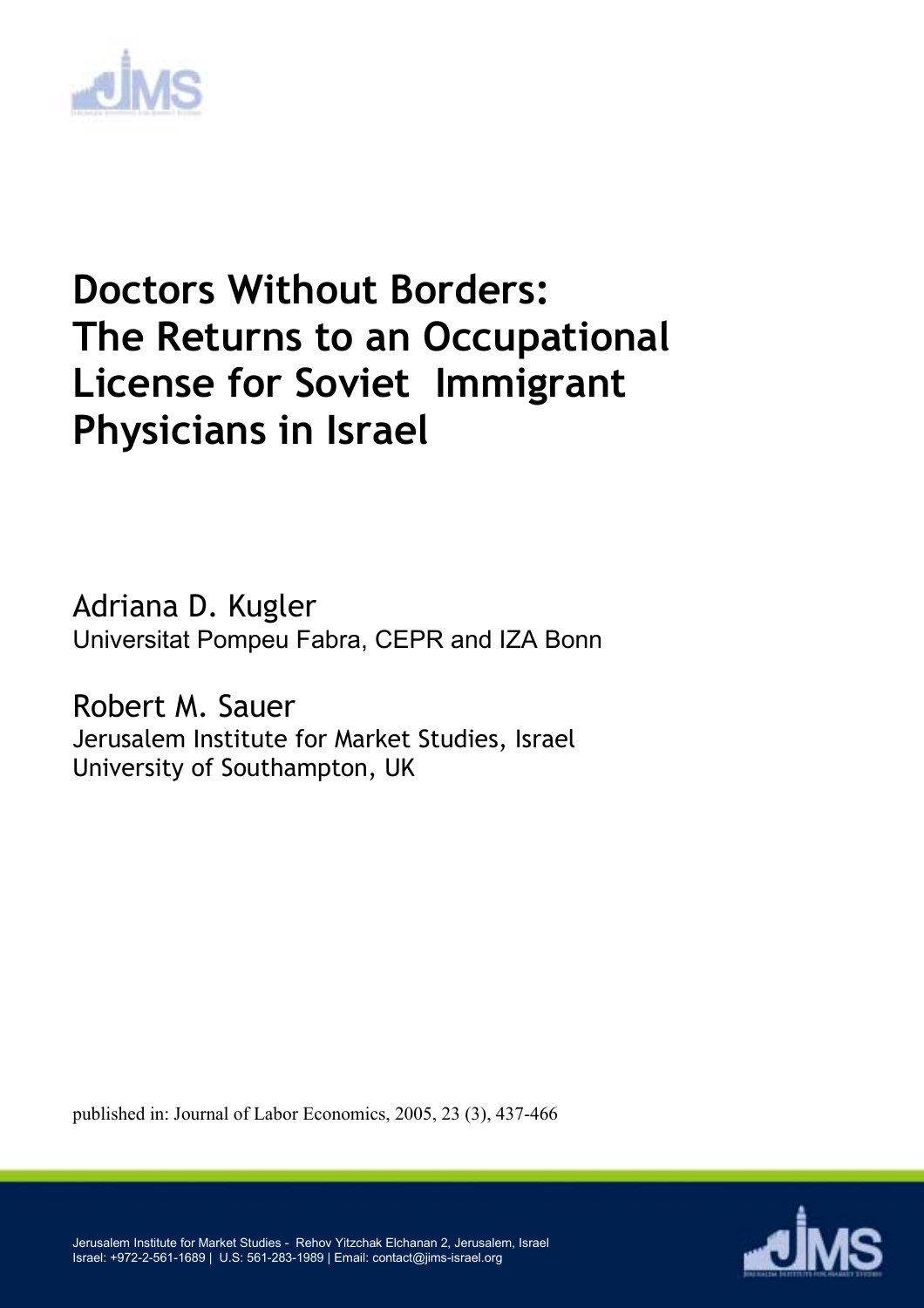

# **Doctors Without Borders: The Returns to an Occupational License for Soviet Immigrant Physicians in Israel**

Adriana D. Kugler Universitat Pompeu Fabra, CEPR and IZA Bonn

Robert M. Sauer Jerusalem Institute for Market Studies, Israel University of Southampton, UK

published in: Journal of Labor Economics, 2005, 23 (3), 437-466



Jerusalem Institute for Market Studies - Rehov Yitzchak Elchanan 2, Jerusalem, Israel Israel: +972-2-561-1689 | U.S: 561-283-1989 | Email: contact@jims-israel.org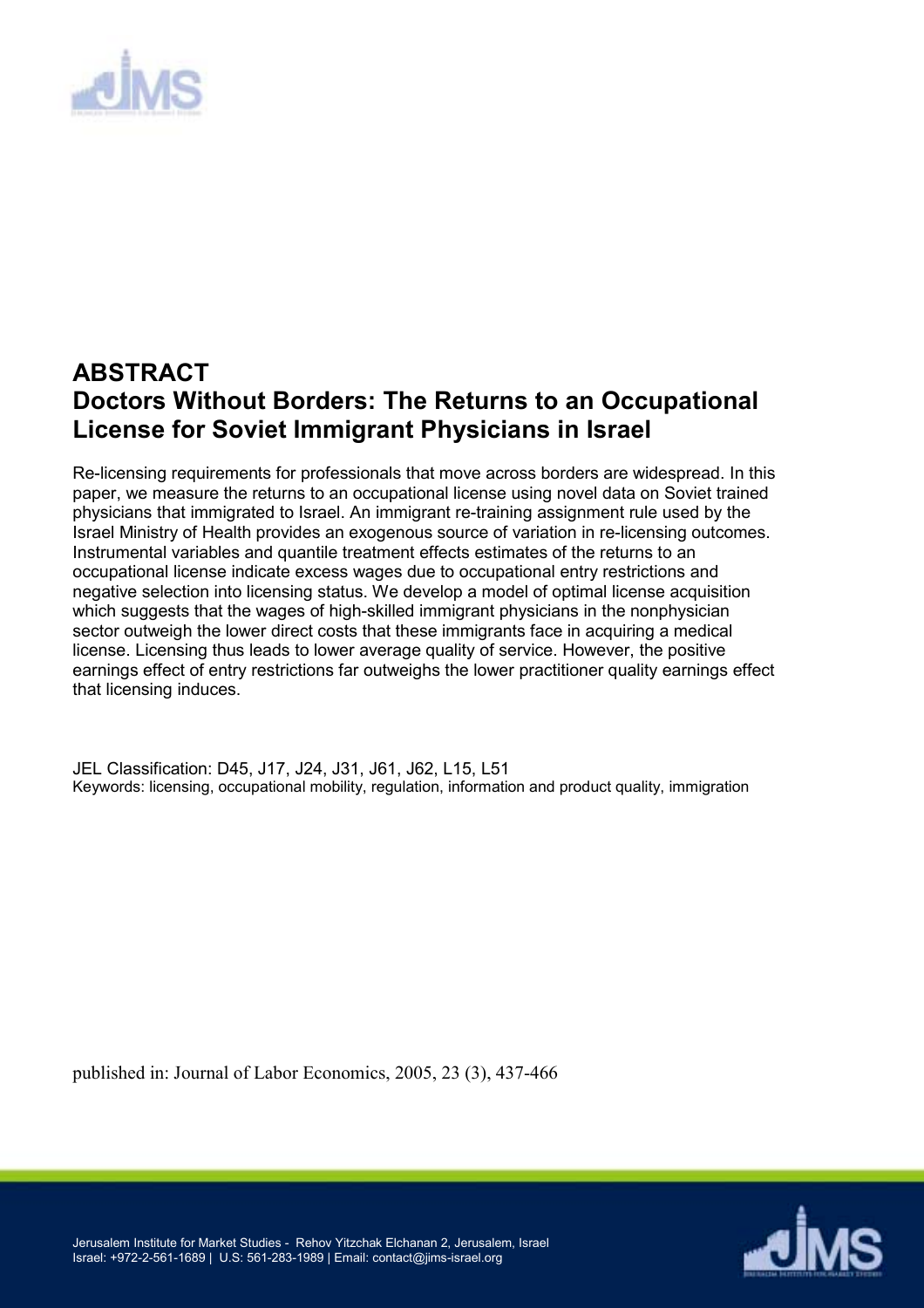

## **ABSTRACT Doctors Without Borders: The Returns to an Occupational License for Soviet Immigrant Physicians in Israel**

Re-licensing requirements for professionals that move across borders are widespread. In this paper, we measure the returns to an occupational license using novel data on Soviet trained physicians that immigrated to Israel. An immigrant re-training assignment rule used by the Israel Ministry of Health provides an exogenous source of variation in re-licensing outcomes. Instrumental variables and quantile treatment effects estimates of the returns to an occupational license indicate excess wages due to occupational entry restrictions and negative selection into licensing status. We develop a model of optimal license acquisition which suggests that the wages of high-skilled immigrant physicians in the nonphysician sector outweigh the lower direct costs that these immigrants face in acquiring a medical license. Licensing thus leads to lower average quality of service. However, the positive earnings effect of entry restrictions far outweighs the lower practitioner quality earnings effect that licensing induces.

JEL Classification: D45, J17, J24, J31, J61, J62, L15, L51 Keywords: licensing, occupational mobility, regulation, information and product quality, immigration

published in: Journal of Labor Economics, 2005, 23 (3), 437-466

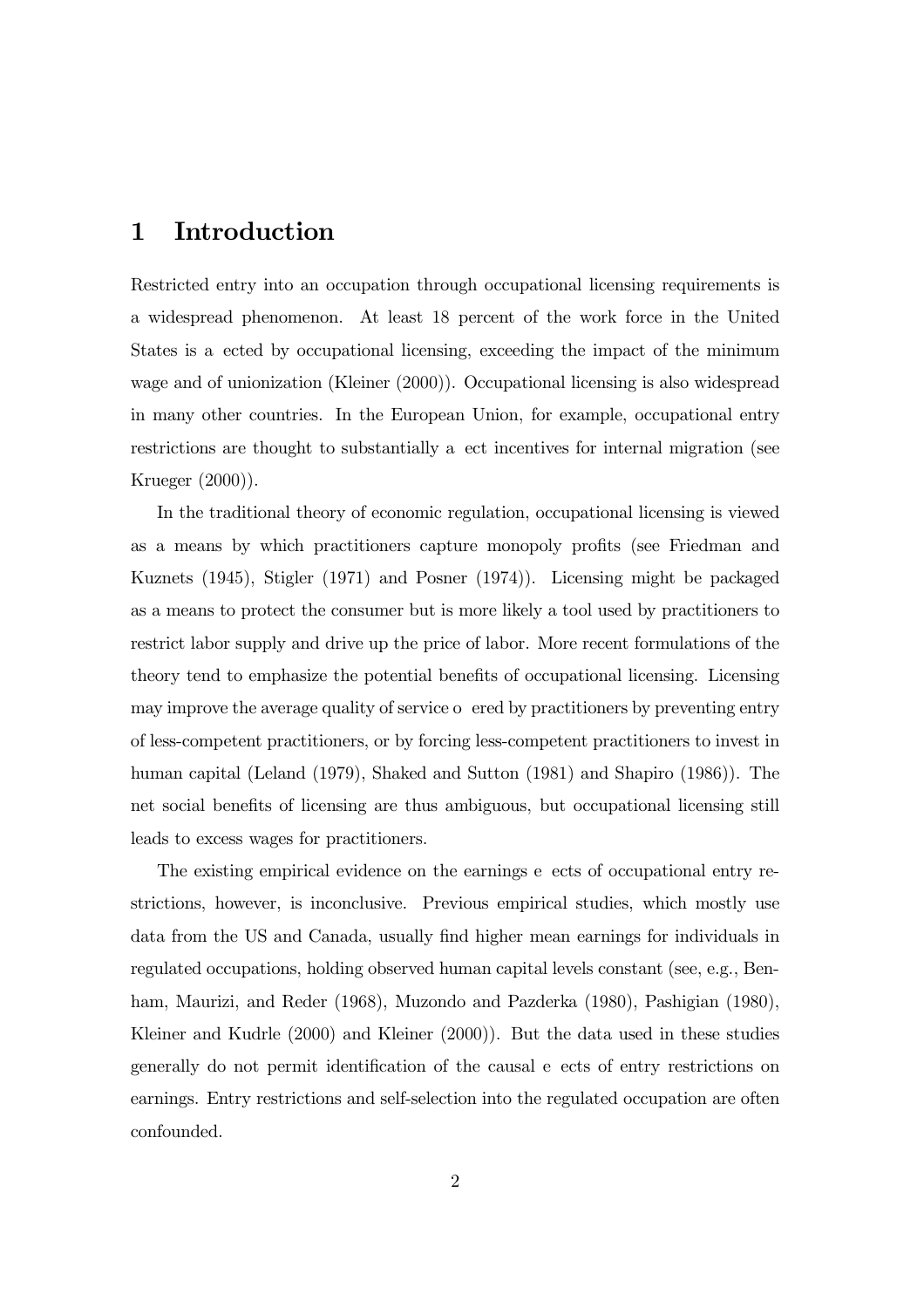## 1 Introduction

Restricted entry into an occupation through occupational licensing requirements is a widespread phenomenon. At least 18 percent of the work force in the United States is a ected by occupational licensing, exceeding the impact of the minimum wage and of unionization (Kleiner (2000)). Occupational licensing is also widespread in many other countries. In the European Union, for example, occupational entry restrictions are thought to substantially a ect incentives for internal migration (see Krueger (2000)).

In the traditional theory of economic regulation, occupational licensing is viewed as a means by which practitioners capture monopoly profits (see Friedman and Kuznets (1945), Stigler (1971) and Posner (1974)). Licensing might be packaged as a means to protect the consumer but is more likely a tool used by practitioners to restrict labor supply and drive up the price of labor. More recent formulations of the theory tend to emphasize the potential benefits of occupational licensing. Licensing may improve the average quality of service o ered by practitioners by preventing entry of less-competent practitioners, or by forcing less-competent practitioners to invest in human capital (Leland (1979), Shaked and Sutton (1981) and Shapiro (1986)). The net social benefits of licensing are thus ambiguous, but occupational licensing still leads to excess wages for practitioners.

The existing empirical evidence on the earnings e ects of occupational entry restrictions, however, is inconclusive. Previous empirical studies, which mostly use data from the US and Canada, usually find higher mean earnings for individuals in regulated occupations, holding observed human capital levels constant (see, e.g., Benham, Maurizi, and Reder (1968), Muzondo and Pazderka (1980), Pashigian (1980), Kleiner and Kudrle (2000) and Kleiner (2000)). But the data used in these studies generally do not permit identification of the causal e ects of entry restrictions on earnings. Entry restrictions and self-selection into the regulated occupation are often confounded.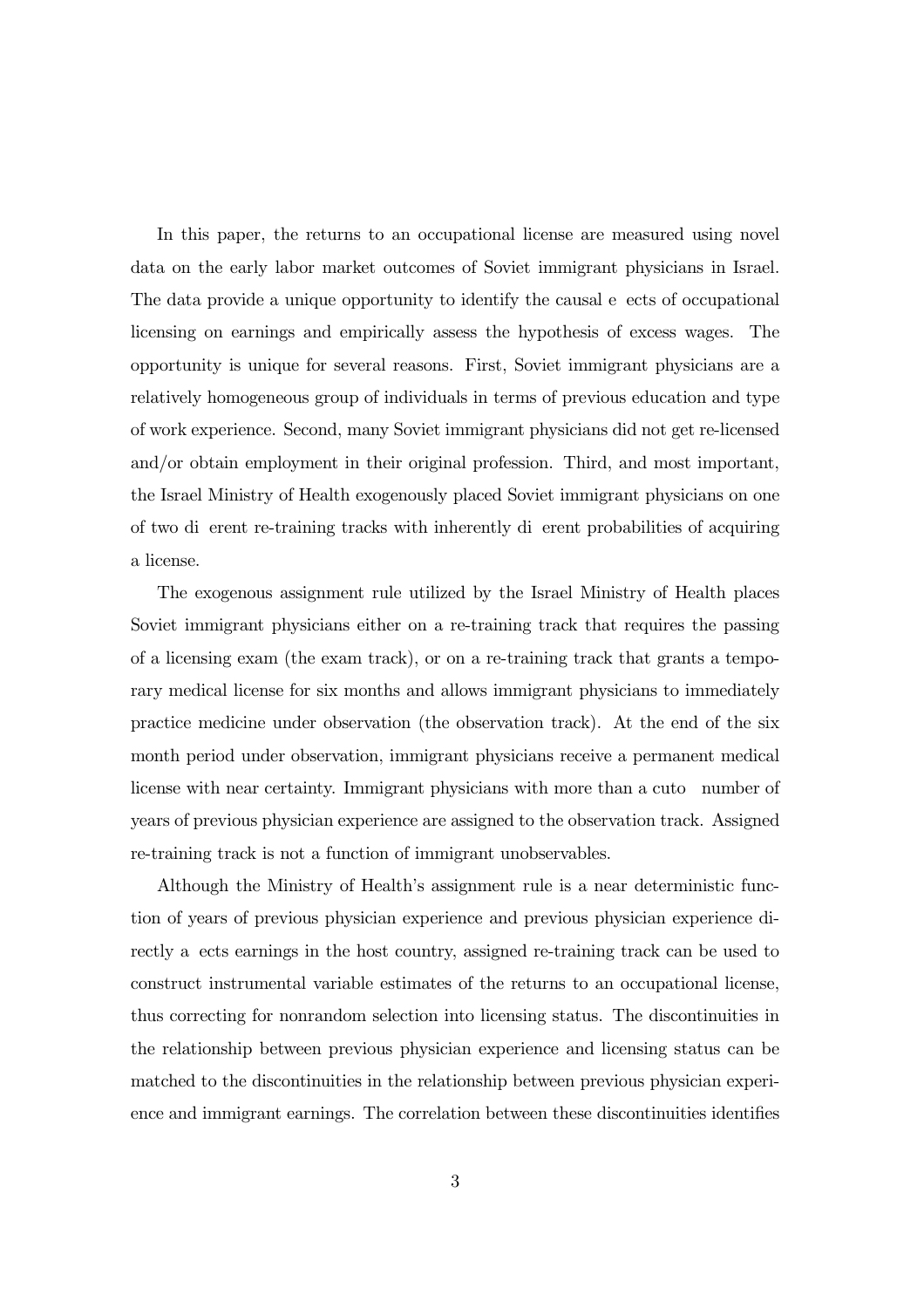In this paper, the returns to an occupational license are measured using novel data on the early labor market outcomes of Soviet immigrant physicians in Israel. The data provide a unique opportunity to identify the causal e ects of occupational licensing on earnings and empirically assess the hypothesis of excess wages. The opportunity is unique for several reasons. First, Soviet immigrant physicians are a relatively homogeneous group of individuals in terms of previous education and type of work experience. Second, many Soviet immigrant physicians did not get re-licensed and/or obtain employment in their original profession. Third, and most important, the Israel Ministry of Health exogenously placed Soviet immigrant physicians on one of two di erent re-training tracks with inherently di erent probabilities of acquiring a license.

The exogenous assignment rule utilized by the Israel Ministry of Health places Soviet immigrant physicians either on a re-training track that requires the passing of a licensing exam (the exam track), or on a re-training track that grants a temporary medical license for six months and allows immigrant physicians to immediately practice medicine under observation (the observation track). At the end of the six month period under observation, immigrant physicians receive a permanent medical license with near certainty. Immigrant physicians with more than a cuto number of years of previous physician experience are assigned to the observation track. Assigned re-training track is not a function of immigrant unobservables.

Although the Ministry of Health's assignment rule is a near deterministic function of years of previous physician experience and previous physician experience directly a ects earnings in the host country, assigned re-training track can be used to construct instrumental variable estimates of the returns to an occupational license, thus correcting for nonrandom selection into licensing status. The discontinuities in the relationship between previous physician experience and licensing status can be matched to the discontinuities in the relationship between previous physician experience and immigrant earnings. The correlation between these discontinuities identifies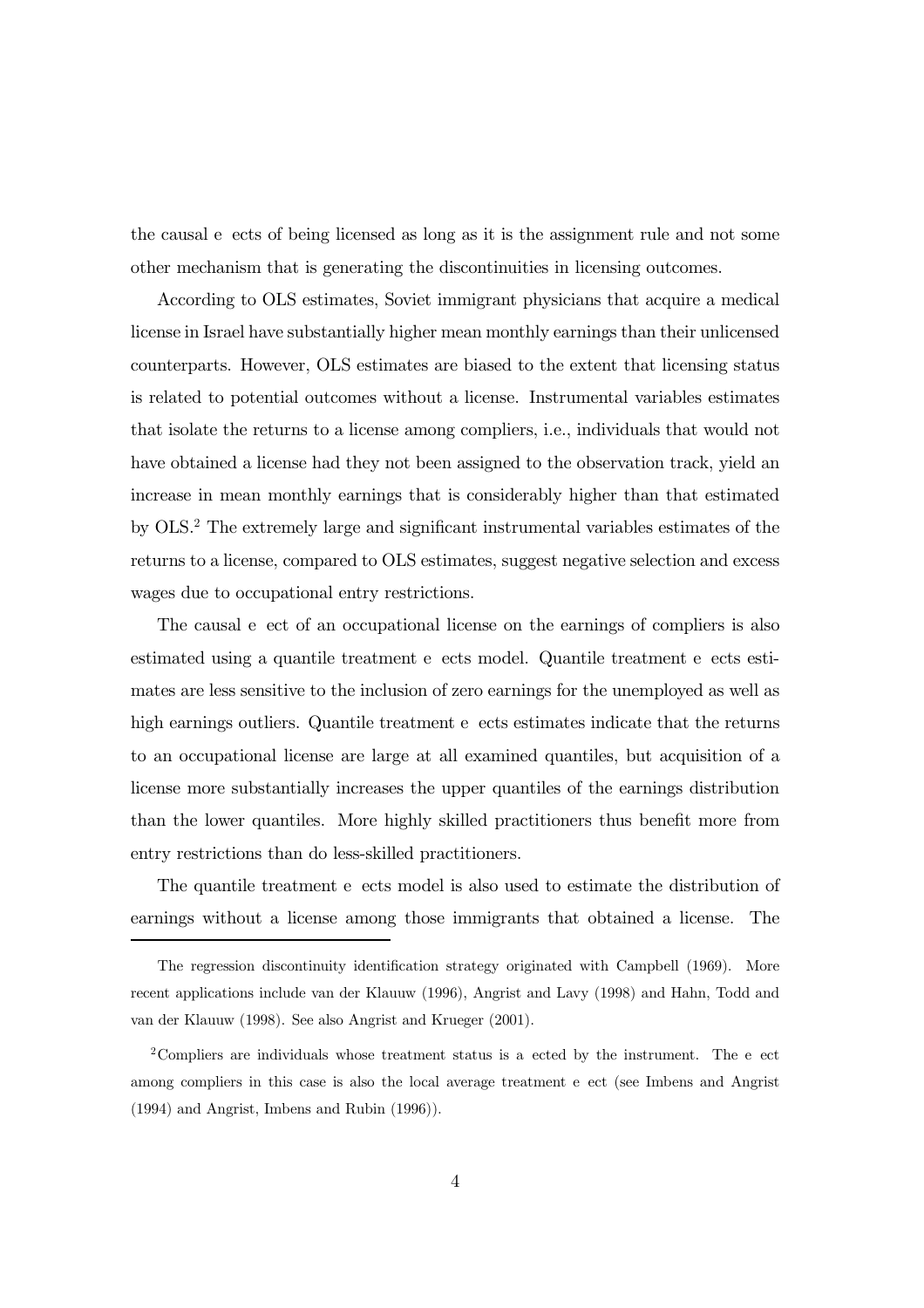the causal e ects of being licensed as long as it is the assignment rule and not some other mechanism that is generating the discontinuities in licensing outcomes.

According to OLS estimates, Soviet immigrant physicians that acquire a medical license in Israel have substantially higher mean monthly earnings than their unlicensed counterparts. However, OLS estimates are biased to the extent that licensing status is related to potential outcomes without a license. Instrumental variables estimates that isolate the returns to a license among compliers, i.e., individuals that would not have obtained a license had they not been assigned to the observation track, yield an increase in mean monthly earnings that is considerably higher than that estimated by OLS.2 The extremely large and significant instrumental variables estimates of the returns to a license, compared to OLS estimates, suggest negative selection and excess wages due to occupational entry restrictions.

The causal e ect of an occupational license on the earnings of compliers is also estimated using a quantile treatment e ects model. Quantile treatment e ects estimates are less sensitive to the inclusion of zero earnings for the unemployed as well as high earnings outliers. Quantile treatment e ects estimates indicate that the returns to an occupational license are large at all examined quantiles, but acquisition of a license more substantially increases the upper quantiles of the earnings distribution than the lower quantiles. More highly skilled practitioners thus benefit more from entry restrictions than do less-skilled practitioners.

The quantile treatment e ects model is also used to estimate the distribution of earnings without a license among those immigrants that obtained a license. The

The regression discontinuity identification strategy originated with Campbell (1969). More recent applications include van der Klauuw (1996), Angrist and Lavy (1998) and Hahn, Todd and van der Klauuw (1998). See also Angrist and Krueger (2001).

<sup>&</sup>lt;sup>2</sup>Compliers are individuals whose treatment status is a ected by the instrument. The e ect among compliers in this case is also the local average treatment e ect (see Imbens and Angrist (1994) and Angrist, Imbens and Rubin (1996)).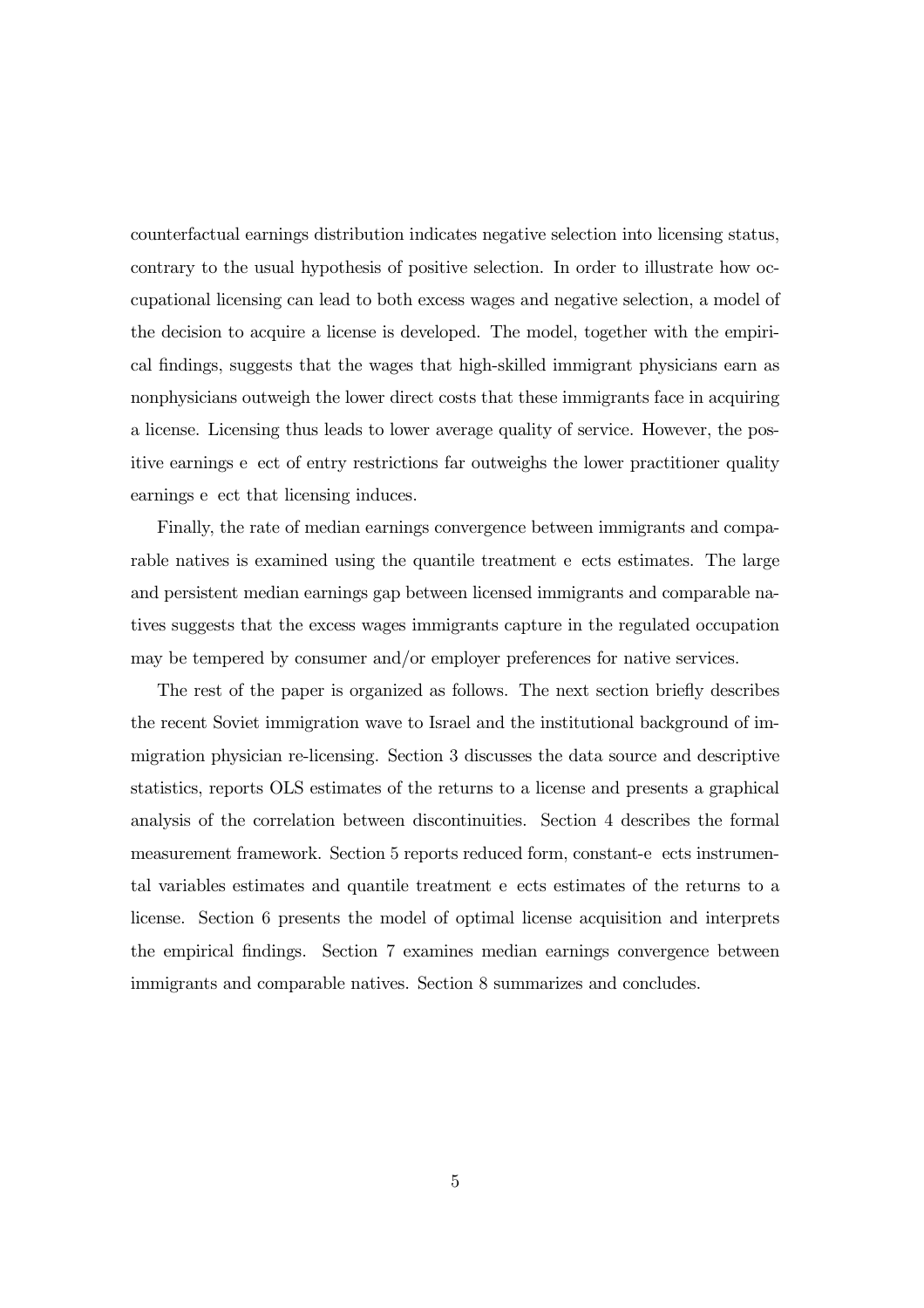counterfactual earnings distribution indicates negative selection into licensing status, contrary to the usual hypothesis of positive selection. In order to illustrate how occupational licensing can lead to both excess wages and negative selection, a model of the decision to acquire a license is developed. The model, together with the empirical findings, suggests that the wages that high-skilled immigrant physicians earn as nonphysicians outweigh the lower direct costs that these immigrants face in acquiring a license. Licensing thus leads to lower average quality of service. However, the positive earnings e ect of entry restrictions far outweighs the lower practitioner quality earnings e ect that licensing induces.

Finally, the rate of median earnings convergence between immigrants and comparable natives is examined using the quantile treatment e ects estimates. The large and persistent median earnings gap between licensed immigrants and comparable natives suggests that the excess wages immigrants capture in the regulated occupation may be tempered by consumer and/or employer preferences for native services.

The rest of the paper is organized as follows. The next section briefly describes the recent Soviet immigration wave to Israel and the institutional background of immigration physician re-licensing. Section 3 discusses the data source and descriptive statistics, reports OLS estimates of the returns to a license and presents a graphical analysis of the correlation between discontinuities. Section 4 describes the formal measurement framework. Section 5 reports reduced form, constant-e ects instrumental variables estimates and quantile treatment e ects estimates of the returns to a license. Section 6 presents the model of optimal license acquisition and interprets the empirical findings. Section 7 examines median earnings convergence between immigrants and comparable natives. Section 8 summarizes and concludes.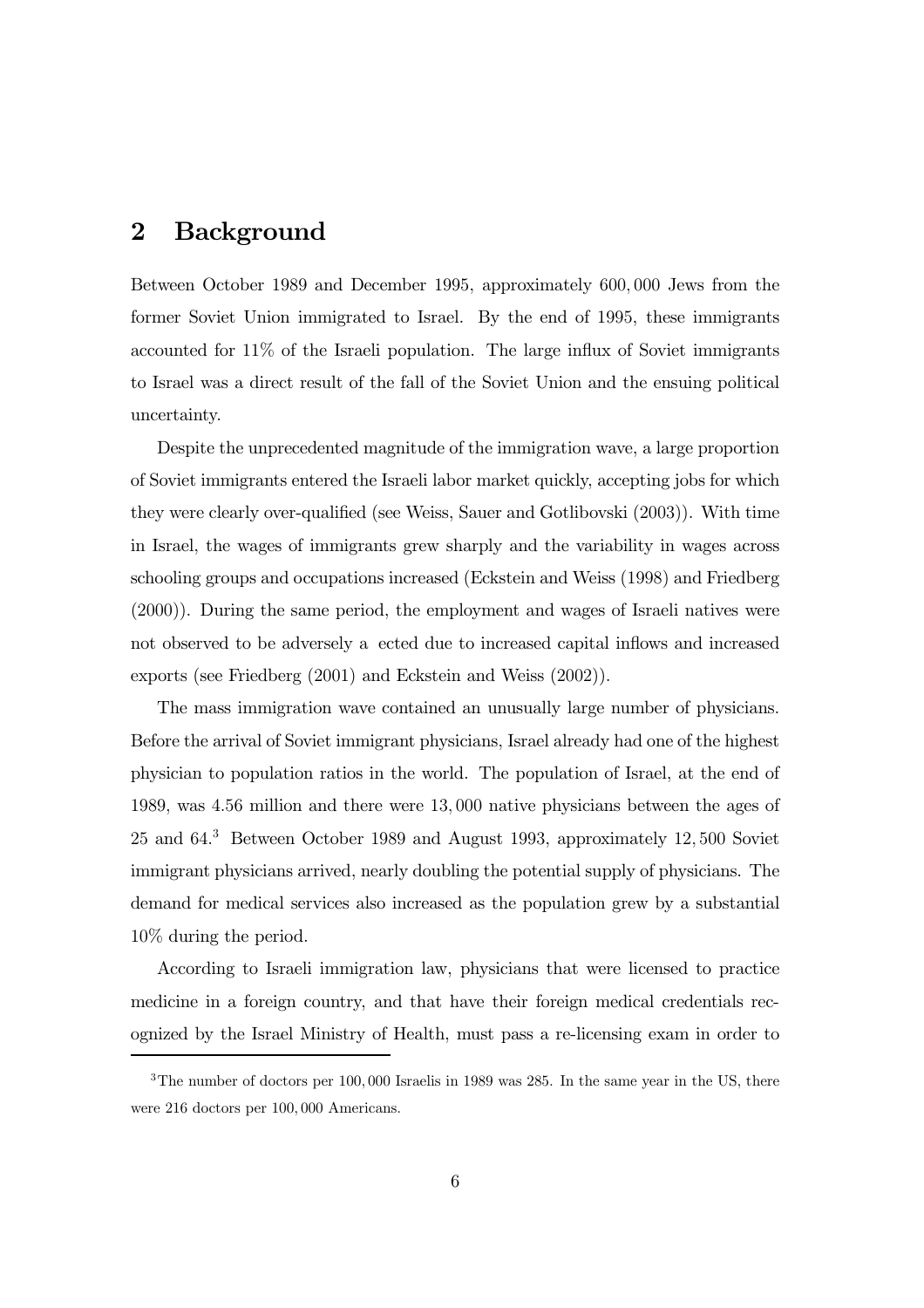## 2 Background

Between October 1989 and December 1995, approximately 600, 000 Jews from the former Soviet Union immigrated to Israel. By the end of 1995, these immigrants accounted for 11% of the Israeli population. The large influx of Soviet immigrants to Israel was a direct result of the fall of the Soviet Union and the ensuing political uncertainty.

Despite the unprecedented magnitude of the immigration wave, a large proportion of Soviet immigrants entered the Israeli labor market quickly, accepting jobs for which they were clearly over-qualified (see Weiss, Sauer and Gotlibovski (2003)). With time in Israel, the wages of immigrants grew sharply and the variability in wages across schooling groups and occupations increased (Eckstein and Weiss (1998) and Friedberg (2000)). During the same period, the employment and wages of Israeli natives were not observed to be adversely a ected due to increased capital inflows and increased exports (see Friedberg (2001) and Eckstein and Weiss (2002)).

The mass immigration wave contained an unusually large number of physicians. Before the arrival of Soviet immigrant physicians, Israel already had one of the highest physician to population ratios in the world. The population of Israel, at the end of 1989, was 4.56 million and there were 13, 000 native physicians between the ages of 25 and 64. <sup>3</sup> Between October 1989 and August 1993, approximately 12, 500 Soviet immigrant physicians arrived, nearly doubling the potential supply of physicians. The demand for medical services also increased as the population grew by a substantial 10% during the period.

According to Israeli immigration law, physicians that were licensed to practice medicine in a foreign country, and that have their foreign medical credentials recognized by the Israel Ministry of Health, must pass a re-licensing exam in order to

<sup>&</sup>lt;sup>3</sup>The number of doctors per 100, 000 Israelis in 1989 was 285. In the same year in the US, there were 216 doctors per 100, 000 Americans.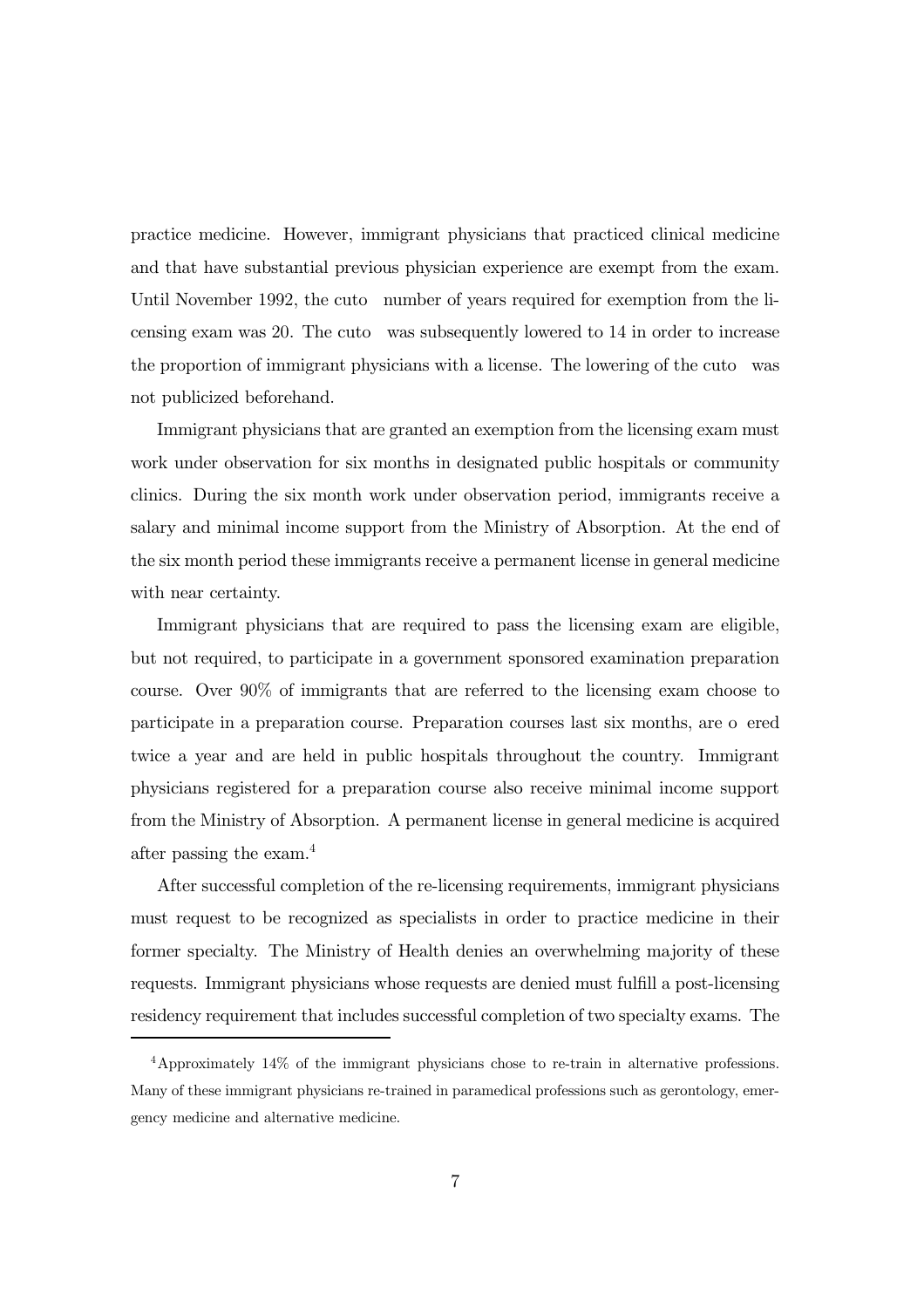practice medicine. However, immigrant physicians that practiced clinical medicine and that have substantial previous physician experience are exempt from the exam. Until November 1992, the cuto number of years required for exemption from the licensing exam was 20. The cuto was subsequently lowered to 14 in order to increase the proportion of immigrant physicians with a license. The lowering of the cuto was not publicized beforehand.

Immigrant physicians that are granted an exemption from the licensing exam must work under observation for six months in designated public hospitals or community clinics. During the six month work under observation period, immigrants receive a salary and minimal income support from the Ministry of Absorption. At the end of the six month period these immigrants receive a permanent license in general medicine with near certainty.

Immigrant physicians that are required to pass the licensing exam are eligible, but not required, to participate in a government sponsored examination preparation course. Over 90% of immigrants that are referred to the licensing exam choose to participate in a preparation course. Preparation courses last six months, are o ered twice a year and are held in public hospitals throughout the country. Immigrant physicians registered for a preparation course also receive minimal income support from the Ministry of Absorption. A permanent license in general medicine is acquired after passing the exam.4

After successful completion of the re-licensing requirements, immigrant physicians must request to be recognized as specialists in order to practice medicine in their former specialty. The Ministry of Health denies an overwhelming majority of these requests. Immigrant physicians whose requests are denied must fulfill a post-licensing residency requirement that includes successful completion of two specialty exams. The

<sup>4</sup>Approximately 14% of the immigrant physicians chose to re-train in alternative professions. Many of these immigrant physicians re-trained in paramedical professions such as gerontology, emergency medicine and alternative medicine.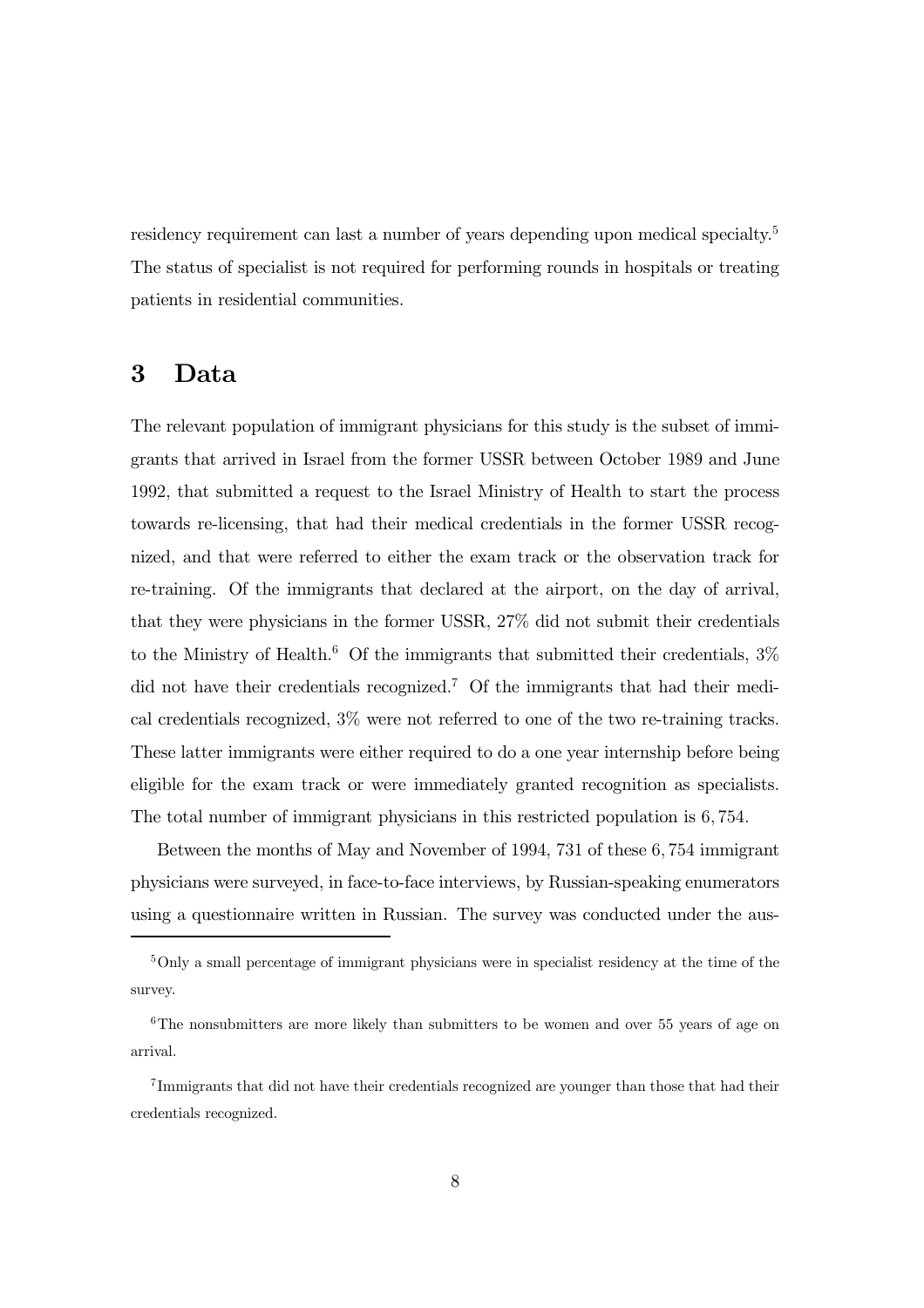residency requirement can last a number of years depending upon medical specialty.<sup>5</sup> The status of specialist is not required for performing rounds in hospitals or treating patients in residential communities.

## 3 Data

The relevant population of immigrant physicians for this study is the subset of immigrants that arrived in Israel from the former USSR between October 1989 and June 1992, that submitted a request to the Israel Ministry of Health to start the process towards re-licensing, that had their medical credentials in the former USSR recognized, and that were referred to either the exam track or the observation track for re-training. Of the immigrants that declared at the airport, on the day of arrival, that they were physicians in the former USSR, 27% did not submit their credentials to the Ministry of Health.<sup>6</sup> Of the immigrants that submitted their credentials,  $3\%$ did not have their credentials recognized.<sup>7</sup> Of the immigrants that had their medical credentials recognized, 3% were not referred to one of the two re-training tracks. These latter immigrants were either required to do a one year internship before being eligible for the exam track or were immediately granted recognition as specialists. The total number of immigrant physicians in this restricted population is 6, 754.

Between the months of May and November of 1994, 731 of these 6, 754 immigrant physicians were surveyed, in face-to-face interviews, by Russian-speaking enumerators using a questionnaire written in Russian. The survey was conducted under the aus-

<sup>5</sup>Only a small percentage of immigrant physicians were in specialist residency at the time of the survey.

<sup>&</sup>lt;sup>6</sup>The nonsubmitters are more likely than submitters to be women and over 55 years of age on arrival.

<sup>7</sup> Immigrants that did not have their credentials recognized are younger than those that had their credentials recognized.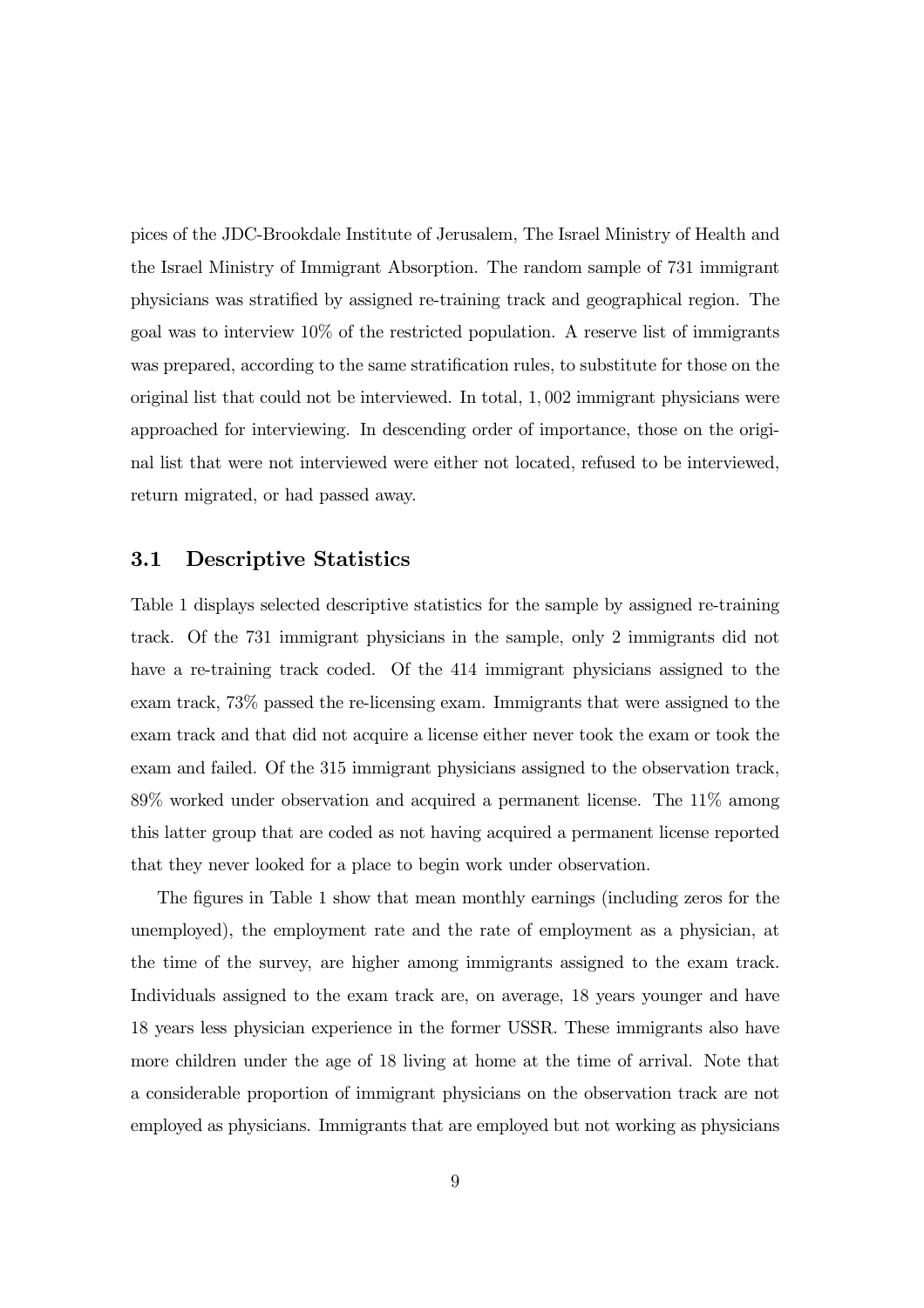pices of the JDC-Brookdale Institute of Jerusalem, The Israel Ministry of Health and the Israel Ministry of Immigrant Absorption. The random sample of 731 immigrant physicians was stratified by assigned re-training track and geographical region. The goal was to interview 10% of the restricted population. A reserve list of immigrants was prepared, according to the same stratification rules, to substitute for those on the original list that could not be interviewed. In total, 1, 002 immigrant physicians were approached for interviewing. In descending order of importance, those on the original list that were not interviewed were either not located, refused to be interviewed, return migrated, or had passed away.

#### 3.1 Descriptive Statistics

Table 1 displays selected descriptive statistics for the sample by assigned re-training track. Of the 731 immigrant physicians in the sample, only 2 immigrants did not have a re-training track coded. Of the 414 immigrant physicians assigned to the exam track, 73% passed the re-licensing exam. Immigrants that were assigned to the exam track and that did not acquire a license either never took the exam or took the exam and failed. Of the 315 immigrant physicians assigned to the observation track, 89% worked under observation and acquired a permanent license. The 11% among this latter group that are coded as not having acquired a permanent license reported that they never looked for a place to begin work under observation.

The figures in Table 1 show that mean monthly earnings (including zeros for the unemployed), the employment rate and the rate of employment as a physician, at the time of the survey, are higher among immigrants assigned to the exam track. Individuals assigned to the exam track are, on average, 18 years younger and have 18 years less physician experience in the former USSR. These immigrants also have more children under the age of 18 living at home at the time of arrival. Note that a considerable proportion of immigrant physicians on the observation track are not employed as physicians. Immigrants that are employed but not working as physicians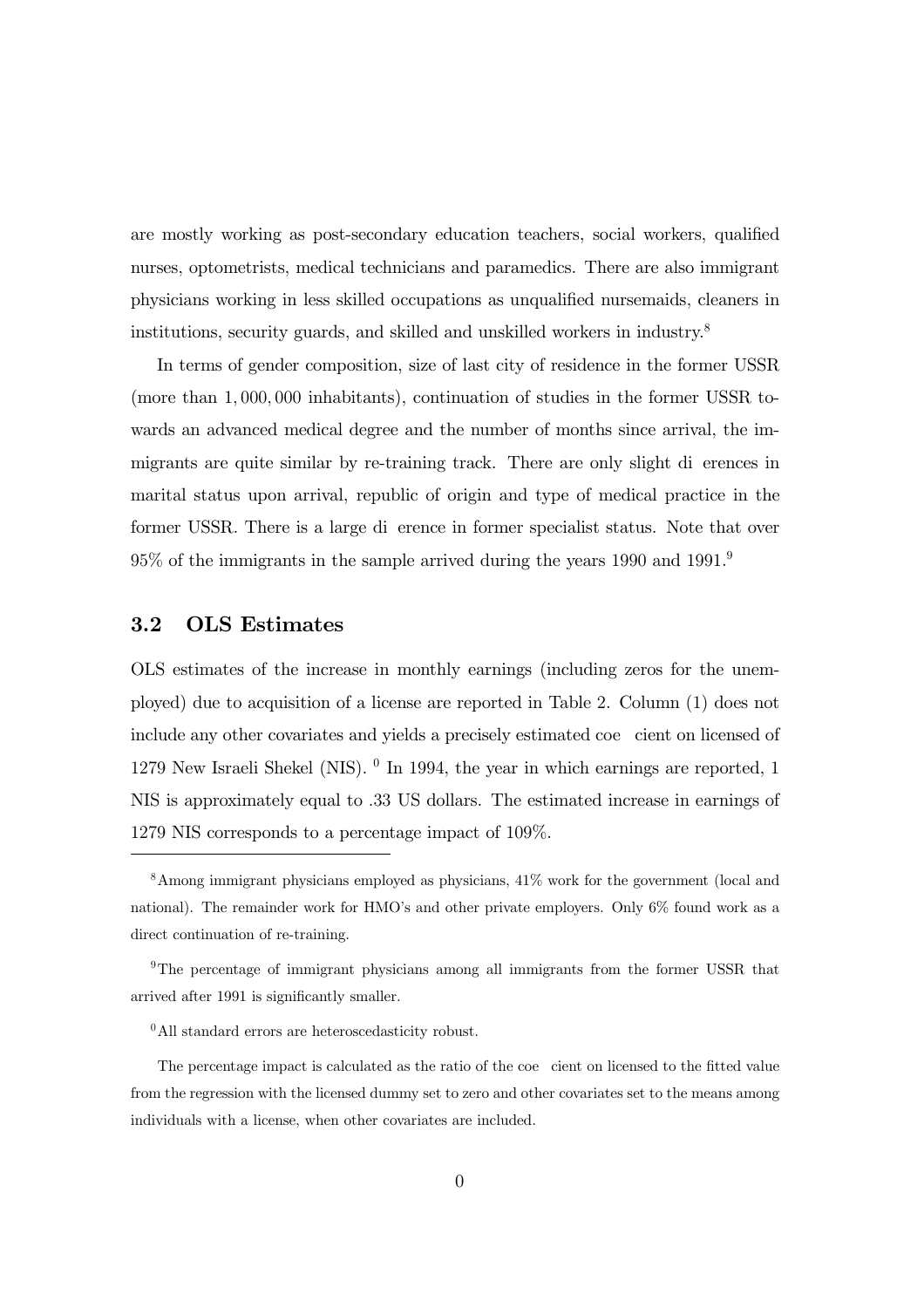are mostly working as post-secondary education teachers, social workers, qualified nurses, optometrists, medical technicians and paramedics. There are also immigrant physicians working in less skilled occupations as unqualified nursemaids, cleaners in institutions, security guards, and skilled and unskilled workers in industry.8

In terms of gender composition, size of last city of residence in the former USSR (more than 1, 000, 000 inhabitants), continuation of studies in the former USSR towards an advanced medical degree and the number of months since arrival, the immigrants are quite similar by re-training track. There are only slight di erences in marital status upon arrival, republic of origin and type of medical practice in the former USSR. There is a large di erence in former specialist status. Note that over 95% of the immigrants in the sample arrived during the years 1990 and 1991. 9

#### 3.2 OLS Estimates

OLS estimates of the increase in monthly earnings (including zeros for the unemployed) due to acquisition of a license are reported in Table 2. Column (1) does not include any other covariates and yields a precisely estimated coe cient on licensed of 1279 New Israeli Shekel (NIS).  $\textdegree$  In 1994, the year in which earnings are reported, 1 NIS is approximately equal to .33 US dollars. The estimated increase in earnings of 1279 NIS corresponds to a percentage impact of 109%.

<sup>8</sup>Among immigrant physicians employed as physicians, 41% work for the government (local and national). The remainder work for HMO's and other private employers. Only 6% found work as a direct continuation of re-training.

<sup>9</sup>The percentage of immigrant physicians among all immigrants from the former USSR that arrived after 1991 is significantly smaller.

 $^{0}$ All standard errors are heteroscedasticity robust.

The percentage impact is calculated as the ratio of the coe cient on licensed to the fitted value from the regression with the licensed dummy set to zero and other covariates set to the means among individuals with a license, when other covariates are included.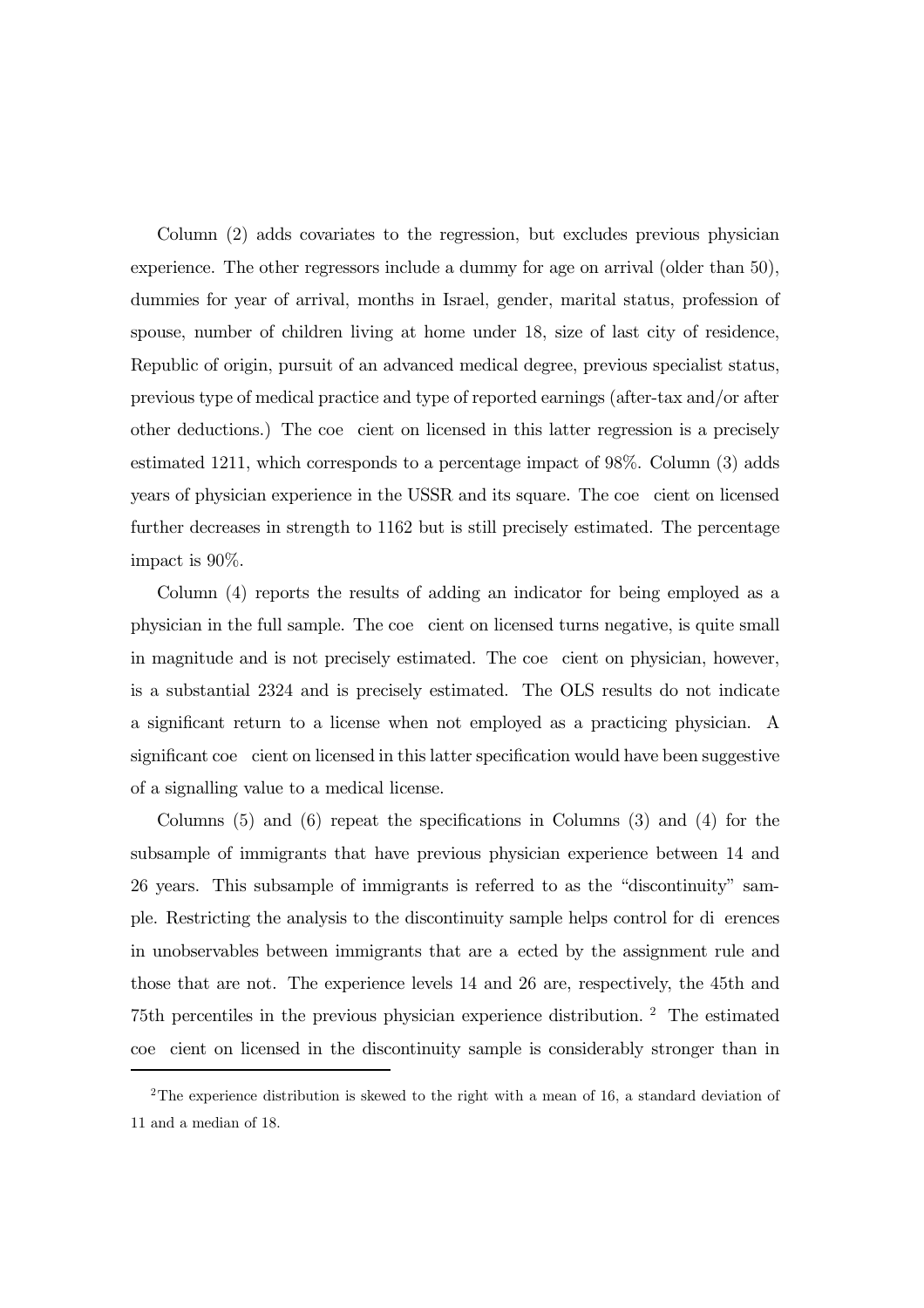Column (2) adds covariates to the regression, but excludes previous physician experience. The other regressors include a dummy for age on arrival (older than 50), dummies for year of arrival, months in Israel, gender, marital status, profession of spouse, number of children living at home under 18, size of last city of residence, Republic of origin, pursuit of an advanced medical degree, previous specialist status, previous type of medical practice and type of reported earnings (after-tax and/or after other deductions.) The coe cient on licensed in this latter regression is a precisely estimated 1211, which corresponds to a percentage impact of 98%. Column (3) adds years of physician experience in the USSR and its square. The coe cient on licensed further decreases in strength to 1162 but is still precisely estimated. The percentage impact is 90%.

Column (4) reports the results of adding an indicator for being employed as a physician in the full sample. The coe cient on licensed turns negative, is quite small in magnitude and is not precisely estimated. The coe cient on physician, however, is a substantial 2324 and is precisely estimated. The OLS results do not indicate a significant return to a license when not employed as a practicing physician. A significant coe cient on licensed in this latter specification would have been suggestive of a signalling value to a medical license.

Columns (5) and (6) repeat the specifications in Columns (3) and (4) for the subsample of immigrants that have previous physician experience between 14 and 26 years. This subsample of immigrants is referred to as the "discontinuity" sample. Restricting the analysis to the discontinuity sample helps control for di erences in unobservables between immigrants that are a ected by the assignment rule and those that are not. The experience levels 14 and 26 are, respectively, the 45th and 75th percentiles in the previous physician experience distribution. <sup>2</sup> The estimated coe cient on licensed in the discontinuity sample is considerably stronger than in

<sup>&</sup>lt;sup>2</sup>The experience distribution is skewed to the right with a mean of 16, a standard deviation of 11 and a median of 18.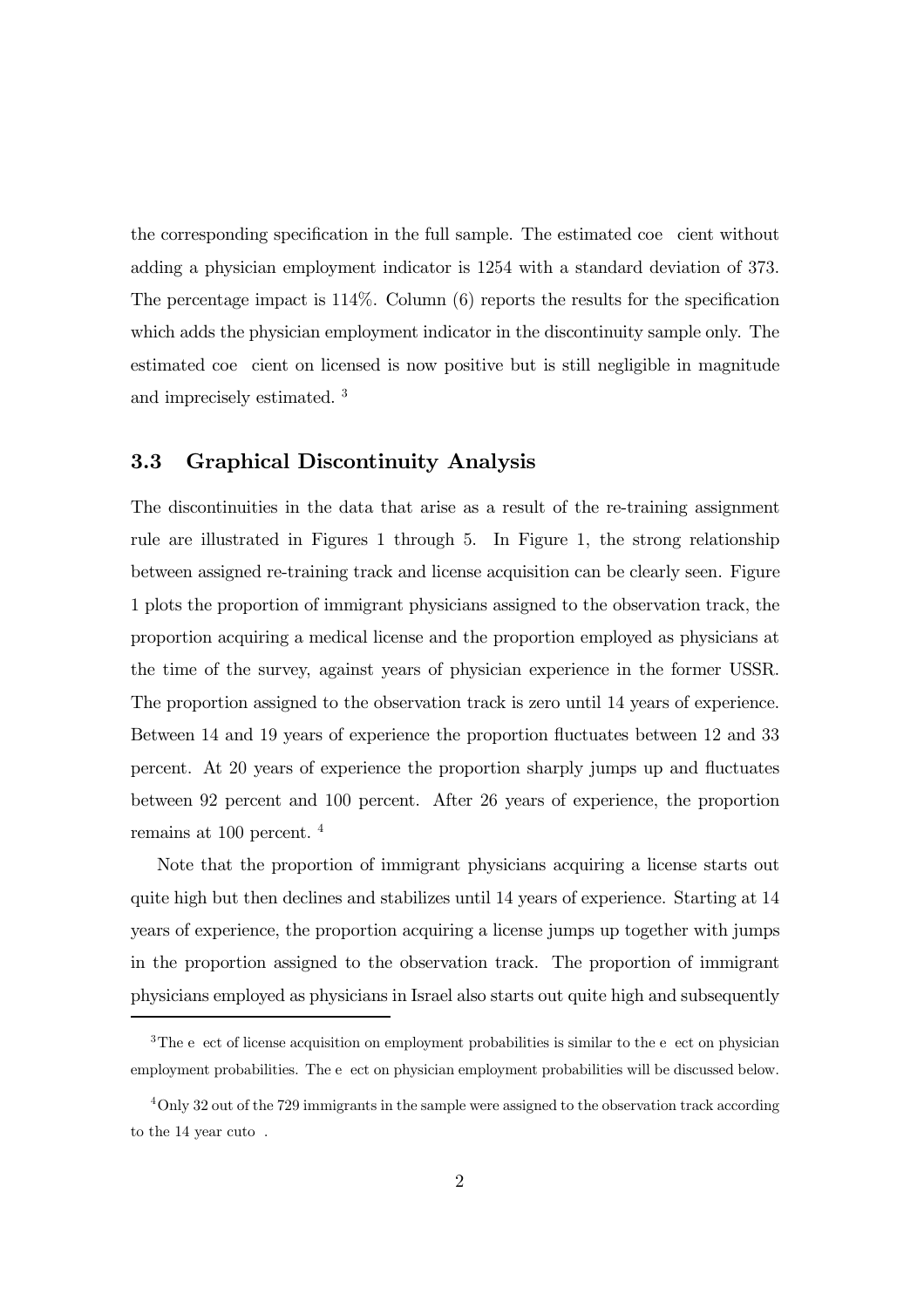the corresponding specification in the full sample. The estimated coe cient without adding a physician employment indicator is 1254 with a standard deviation of 373. The percentage impact is 114%. Column (6) reports the results for the specification which adds the physician employment indicator in the discontinuity sample only. The estimated coe cient on licensed is now positive but is still negligible in magnitude and imprecisely estimated. <sup>3</sup>

#### 3.3 Graphical Discontinuity Analysis

The discontinuities in the data that arise as a result of the re-training assignment rule are illustrated in Figures 1 through 5. In Figure 1, the strong relationship between assigned re-training track and license acquisition can be clearly seen. Figure 1 plots the proportion of immigrant physicians assigned to the observation track, the proportion acquiring a medical license and the proportion employed as physicians at the time of the survey, against years of physician experience in the former USSR. The proportion assigned to the observation track is zero until 14 years of experience. Between 14 and 19 years of experience the proportion fluctuates between 12 and 33 percent. At 20 years of experience the proportion sharply jumps up and fluctuates between 92 percent and 100 percent. After 26 years of experience, the proportion remains at 100 percent. <sup>4</sup>

Note that the proportion of immigrant physicians acquiring a license starts out quite high but then declines and stabilizes until 14 years of experience. Starting at 14 years of experience, the proportion acquiring a license jumps up together with jumps in the proportion assigned to the observation track. The proportion of immigrant physicians employed as physicians in Israel also starts out quite high and subsequently

<sup>&</sup>lt;sup>3</sup>The e ect of license acquisition on employment probabilities is similar to the e ect on physician employment probabilities. The e ect on physician employment probabilities will be discussed below.

<sup>4</sup>Only 32 out of the 729 immigrants in the sample were assigned to the observation track according to the 14 year cuto .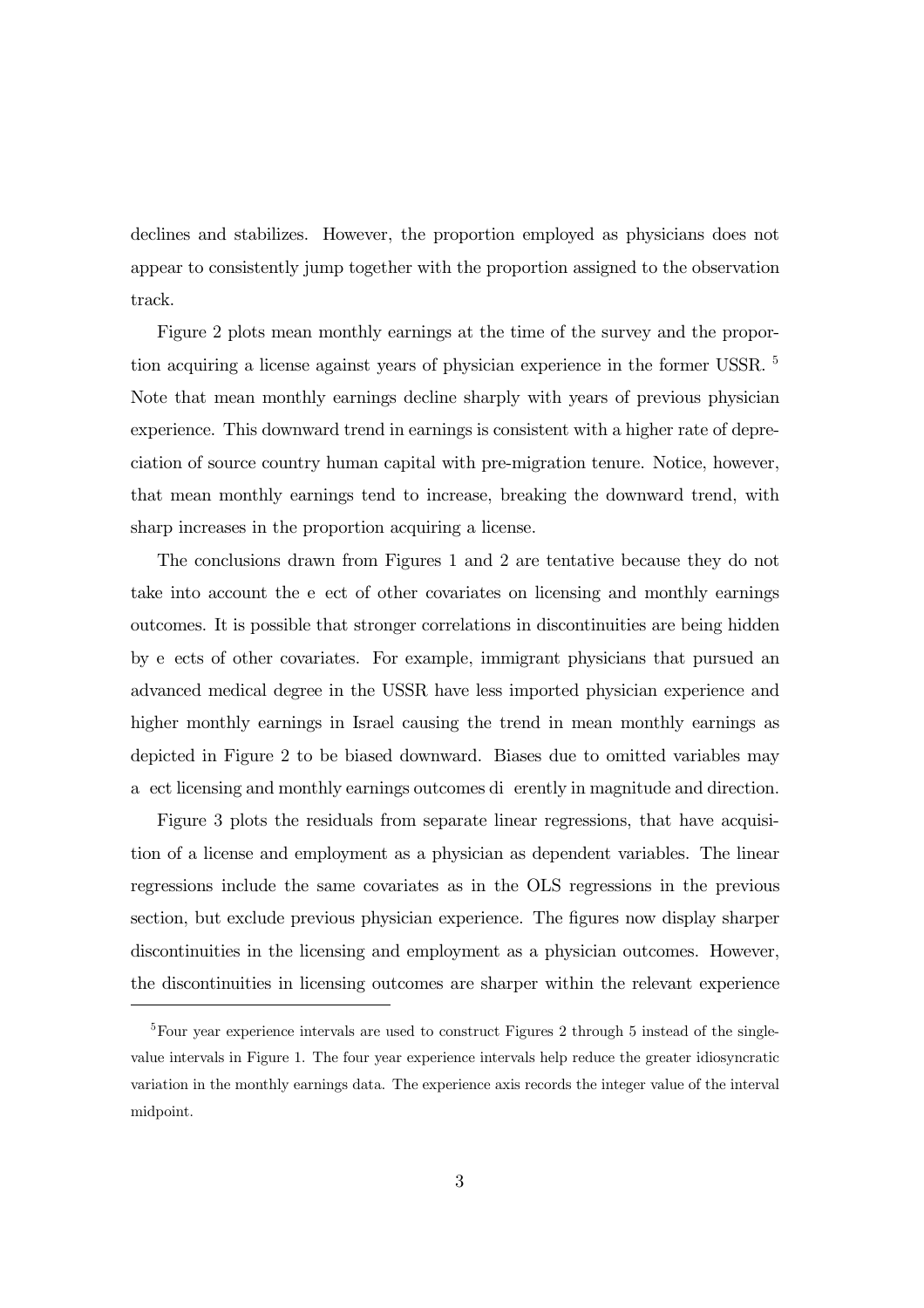declines and stabilizes. However, the proportion employed as physicians does not appear to consistently jump together with the proportion assigned to the observation track.

Figure 2 plots mean monthly earnings at the time of the survey and the proportion acquiring a license against years of physician experience in the former USSR. <sup>5</sup> Note that mean monthly earnings decline sharply with years of previous physician experience. This downward trend in earnings is consistent with a higher rate of depreciation of source country human capital with pre-migration tenure. Notice, however, that mean monthly earnings tend to increase, breaking the downward trend, with sharp increases in the proportion acquiring a license.

The conclusions drawn from Figures 1 and 2 are tentative because they do not take into account the e ect of other covariates on licensing and monthly earnings outcomes. It is possible that stronger correlations in discontinuities are being hidden by e ects of other covariates. For example, immigrant physicians that pursued an advanced medical degree in the USSR have less imported physician experience and higher monthly earnings in Israel causing the trend in mean monthly earnings as depicted in Figure 2 to be biased downward. Biases due to omitted variables may a ect licensing and monthly earnings outcomes di erently in magnitude and direction.

Figure 3 plots the residuals from separate linear regressions, that have acquisition of a license and employment as a physician as dependent variables. The linear regressions include the same covariates as in the OLS regressions in the previous section, but exclude previous physician experience. The figures now display sharper discontinuities in the licensing and employment as a physician outcomes. However, the discontinuities in licensing outcomes are sharper within the relevant experience

 $5$ Four year experience intervals are used to construct Figures 2 through 5 instead of the singlevalue intervals in Figure 1. The four year experience intervals help reduce the greater idiosyncratic variation in the monthly earnings data. The experience axis records the integer value of the interval midpoint.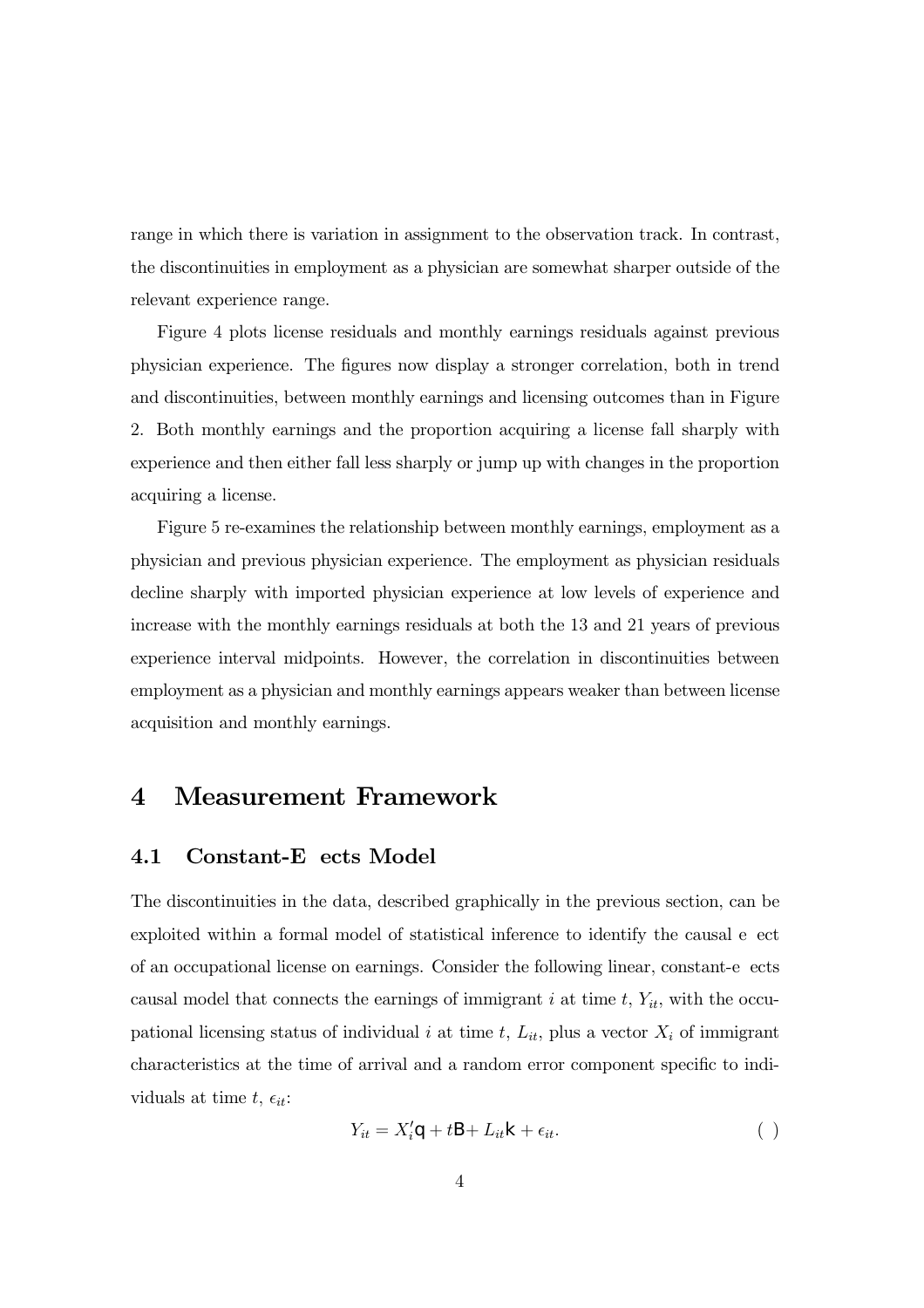range in which there is variation in assignment to the observation track. In contrast, the discontinuities in employment as a physician are somewhat sharper outside of the relevant experience range.

Figure 4 plots license residuals and monthly earnings residuals against previous physician experience. The figures now display a stronger correlation, both in trend and discontinuities, between monthly earnings and licensing outcomes than in Figure 2. Both monthly earnings and the proportion acquiring a license fall sharply with experience and then either fall less sharply or jump up with changes in the proportion acquiring a license.

Figure 5 re-examines the relationship between monthly earnings, employment as a physician and previous physician experience. The employment as physician residuals decline sharply with imported physician experience at low levels of experience and increase with the monthly earnings residuals at both the 13 and 21 years of previous experience interval midpoints. However, the correlation in discontinuities between employment as a physician and monthly earnings appears weaker than between license acquisition and monthly earnings.

## 4 Measurement Framework

#### 4.1 Constant-E ects Model

The discontinuities in the data, described graphically in the previous section, can be exploited within a formal model of statistical inference to identify the causal e ect of an occupational license on earnings. Consider the following linear, constant-e ects causal model that connects the earnings of immigrant i at time  $t, Y_{it}$ , with the occupational licensing status of individual i at time t,  $L_{it}$ , plus a vector  $X_i$  of immigrant characteristics at the time of arrival and a random error component specific to individuals at time t,  $\epsilon_{it}$ :

$$
Y_{it} = X'_{i}, +t\mathbf{S} + L_{it}| + \epsilon_{it}.
$$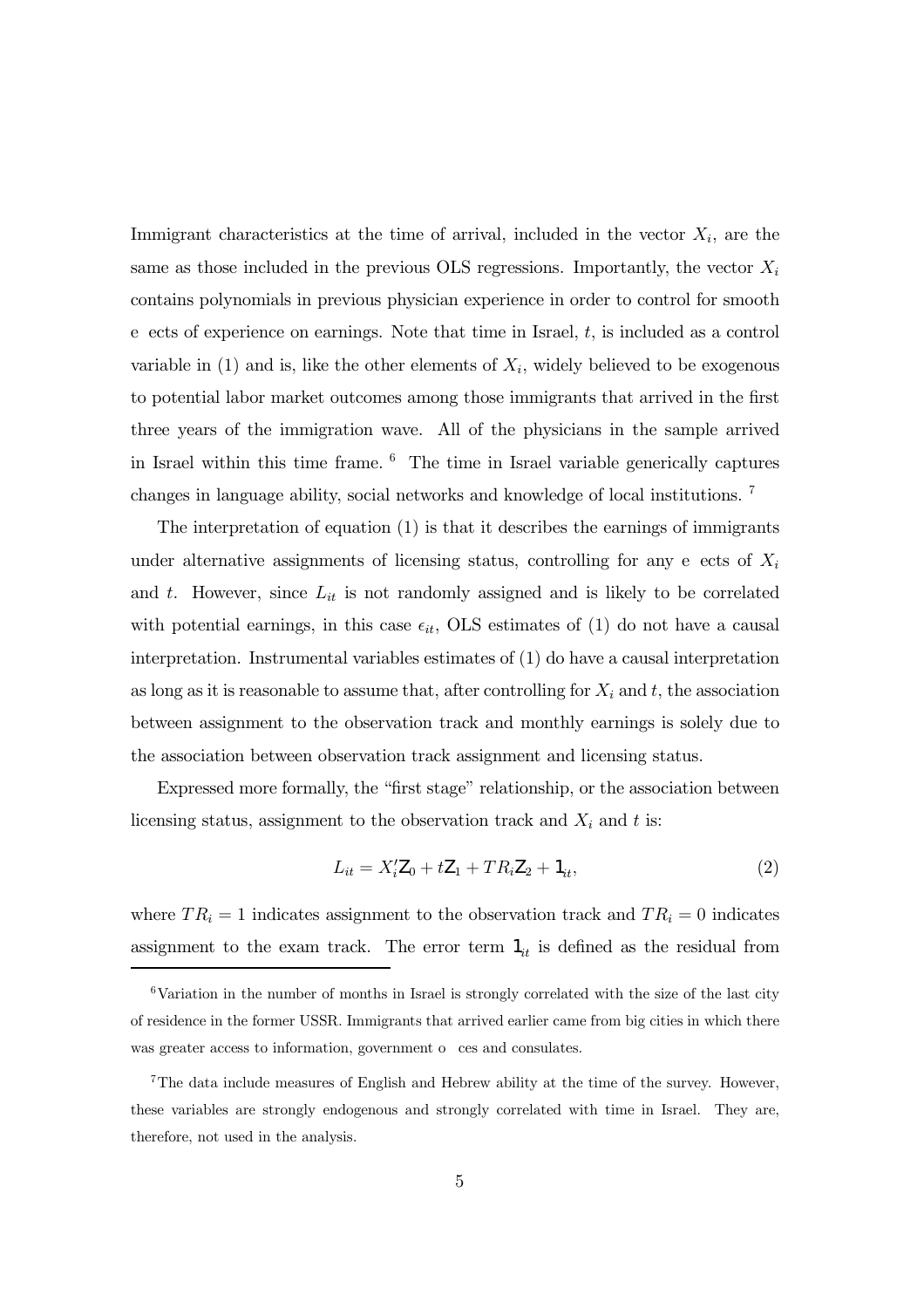Immigrant characteristics at the time of arrival, included in the vector  $X_i$ , are the same as those included in the previous OLS regressions. Importantly, the vector  $X_i$ contains polynomials in previous physician experience in order to control for smooth e ects of experience on earnings. Note that time in Israel,  $t$ , is included as a control variable in  $(1)$  and is, like the other elements of  $X_i$ , widely believed to be exogenous to potential labor market outcomes among those immigrants that arrived in the first three years of the immigration wave. All of the physicians in the sample arrived in Israel within this time frame. <sup>6</sup> The time in Israel variable generically captures changes in language ability, social networks and knowledge of local institutions. <sup>7</sup>

The interpretation of equation (1) is that it describes the earnings of immigrants under alternative assignments of licensing status, controlling for any e ects of  $X_i$ and t. However, since  $L_{it}$  is not randomly assigned and is likely to be correlated with potential earnings, in this case  $\epsilon_{it}$ , OLS estimates of (1) do not have a causal interpretation. Instrumental variables estimates of (1) do have a causal interpretation as long as it is reasonable to assume that, after controlling for  $X_i$  and  $t$ , the association between assignment to the observation track and monthly earnings is solely due to the association between observation track assignment and licensing status.

Expressed more formally, the "first stage" relationship, or the association between licensing status, assignment to the observation track and  $X_i$  and t is:

$$
L_{it} = X_i' \mathbf{k}_0 + t \mathbf{k}_1 + T R_i \mathbf{k}_2 + \mathbf{B}_t,\tag{2}
$$

where  $TR_i = 1$  indicates assignment to the observation track and  $TR_i = 0$  indicates assignment to the exam track. The error term  $B_{it}$  is defined as the residual from

 $6$ Variation in the number of months in Israel is strongly correlated with the size of the last city of residence in the former USSR. Immigrants that arrived earlier came from big cities in which there was greater access to information, government o ces and consulates.

<sup>7</sup>The data include measures of English and Hebrew ability at the time of the survey. However, these variables are strongly endogenous and strongly correlated with time in Israel. They are, therefore, not used in the analysis.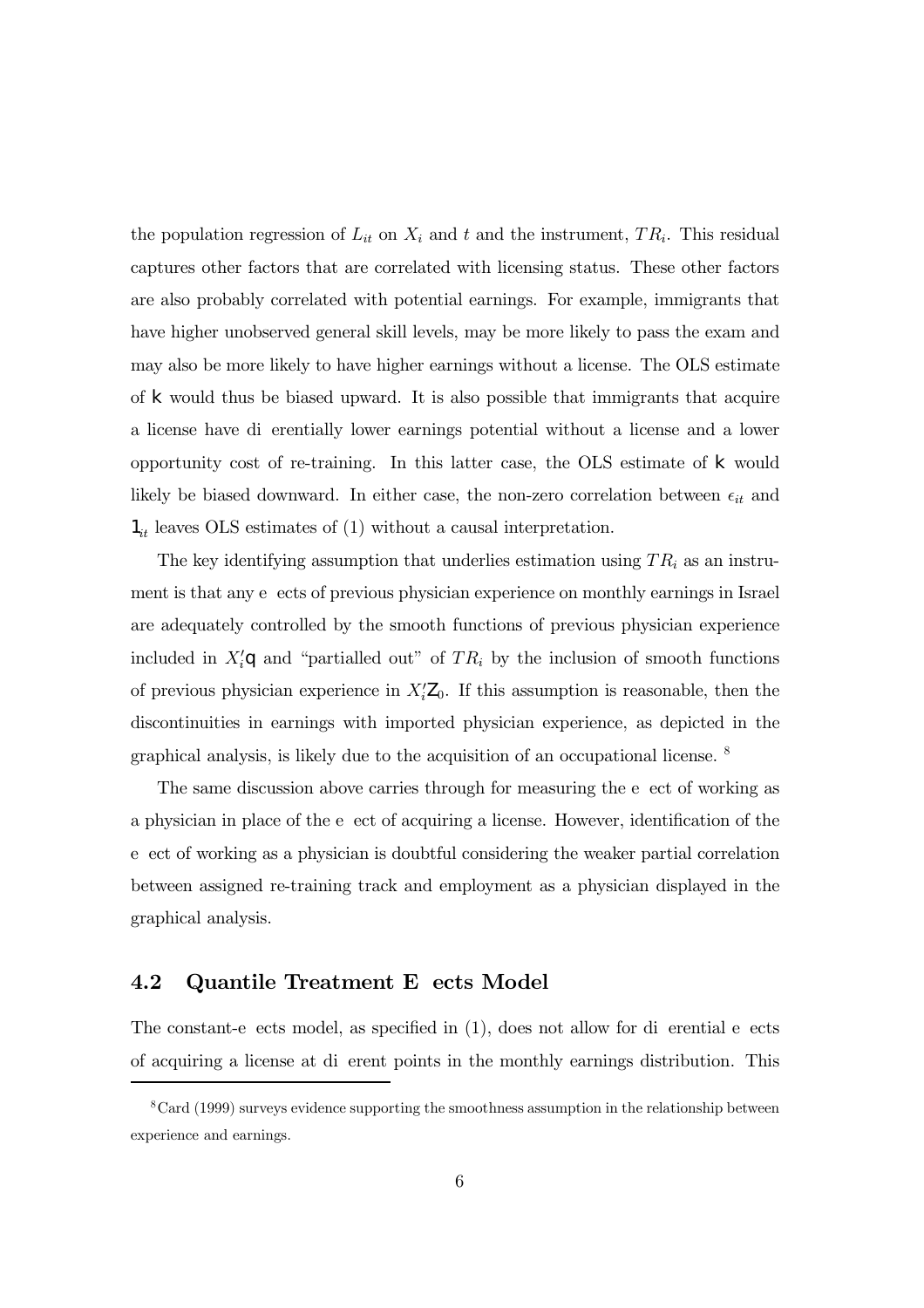the population regression of  $L_{it}$  on  $X_i$  and t and the instrument,  $TR_i$ . This residual captures other factors that are correlated with licensing status. These other factors are also probably correlated with potential earnings. For example, immigrants that have higher unobserved general skill levels, may be more likely to pass the exam and may also be more likely to have higher earnings without a license. The OLS estimate of  $\vert$  would thus be biased upward. It is also possible that immigrants that acquire a license have di erentially lower earnings potential without a license and a lower opportunity cost of re-training. In this latter case, the OLS estimate of  $\vert$  would likely be biased downward. In either case, the non-zero correlation between  $\epsilon_{it}$  and  $B_{it}$  leaves OLS estimates of (1) without a causal interpretation.

The key identifying assumption that underlies estimation using  $TR_i$  as an instrument is that any e ects of previous physician experience on monthly earnings in Israel are adequately controlled by the smooth functions of previous physician experience included in  $X'_{i}$ , and "partialled out" of  $TR_i$  by the inclusion of smooth functions of previous physician experience in  $X_i^{\prime}$ <sub>k<sub>0</sub>. If this assumption is reasonable, then the</sub> discontinuities in earnings with imported physician experience, as depicted in the graphical analysis, is likely due to the acquisition of an occupational license. <sup>8</sup>

The same discussion above carries through for measuring the e ect of working as a physician in place of the e ect of acquiring a license. However, identification of the e ect of working as a physician is doubtful considering the weaker partial correlation between assigned re-training track and employment as a physician displayed in the graphical analysis.

#### 4.2 Quantile Treatment E ects Model

The constant-e ects model, as specified in (1), does not allow for di erential e ects of acquiring a license at di erent points in the monthly earnings distribution. This

 $8$ Card (1999) surveys evidence supporting the smoothness assumption in the relationship between experience and earnings.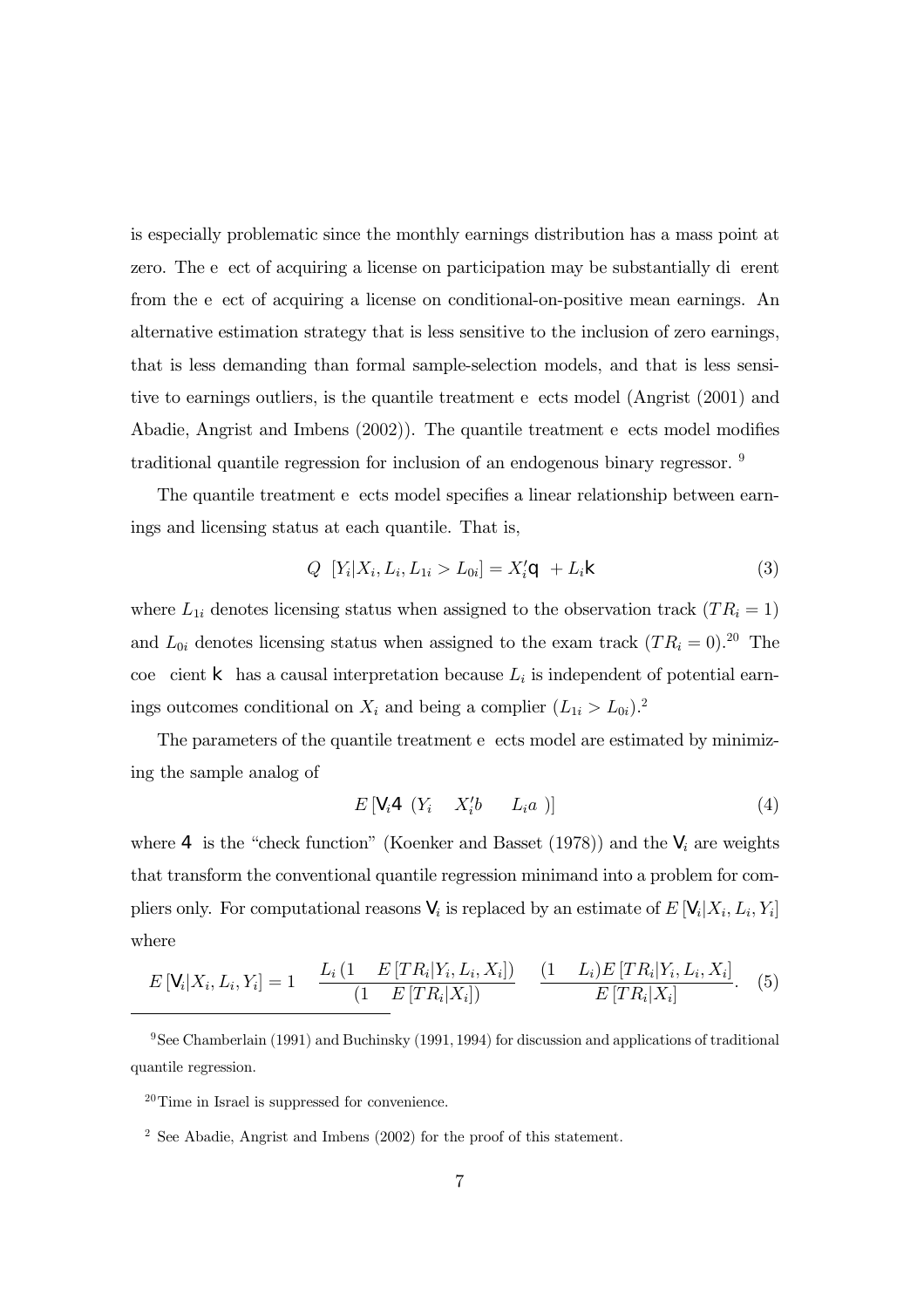is especially problematic since the monthly earnings distribution has a mass point at zero. The e ect of acquiring a license on participation may be substantially di erent from the e ect of acquiring a license on conditional-on-positive mean earnings. An alternative estimation strategy that is less sensitive to the inclusion of zero earnings, that is less demanding than formal sample-selection models, and that is less sensitive to earnings outliers, is the quantile treatment e ects model (Angrist (2001) and Abadie, Angrist and Imbens (2002)). The quantile treatment e ects model modifies traditional quantile regression for inclusion of an endogenous binary regressor. <sup>9</sup>

The quantile treatment e ects model specifies a linear relationship between earnings and licensing status at each quantile. That is,

$$
Q \left[ Y_i | X_i, L_i, L_{1i} > L_{0i} \right] = X'_{i}, \quad + L_i \tag{3}
$$

where  $L_{1i}$  denotes licensing status when assigned to the observation track  $(T R_i = 1)$ and  $L_{0i}$  denotes licensing status when assigned to the exam track  $(T R_i = 0).^{20}$  The coe cient  $\vert$  has a causal interpretation because  $L_i$  is independent of potential earnings outcomes conditional on  $X_i$  and being a complier  $(L_{1i} > L_{0i})$ .<sup>2</sup>

The parameters of the quantile treatment e ects model are estimated by minimizing the sample analog of

$$
E\left[\mathbf{g}_i\mathbf{E}\left(Y_i\quad X_i'b\quad L_ia\right)\right]
$$
\n
$$
\tag{4}
$$

where E is the "check function" (Koenker and Basset (1978)) and the  $g_i$  are weights that transform the conventional quantile regression minimand into a problem for compliers only. For computational reasons  $g_i$  is replaced by an estimate of  $E[g_i|X_i, L_i, Y_i]$ where

$$
E[g_i|X_i, L_i, Y_i] = 1 \quad \frac{L_i(1 - E[TR_i|Y_i, L_i, X_i])}{(1 - E[TR_i|X_i])} \quad \frac{(1 - L_i)E[TR_i|Y_i, L_i, X_i]}{E[TR_i|X_i]}.
$$
 (5)

9See Chamberlain (1991) and Buchinsky (1991, 1994) for discussion and applications of traditional quantile regression.

20Time in Israel is suppressed for convenience.

<sup>2</sup> See Abadie, Angrist and Imbens (2002) for the proof of this statement.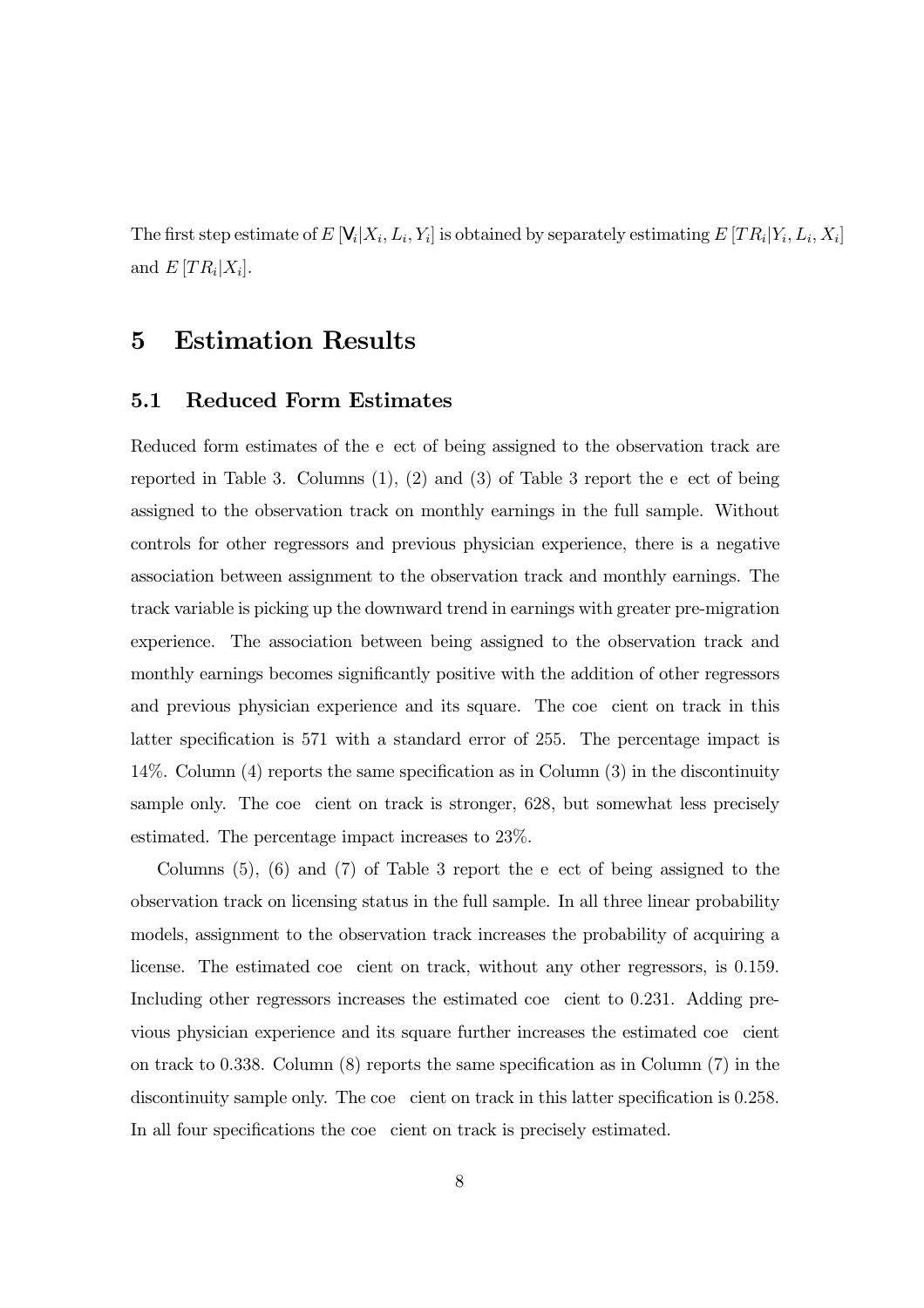The first step estimate of  $E[g_i|X_i, L_i, Y_i]$  is obtained by separately estimating  $E[TR_i|Y_i, L_i, X_i]$ and  $E[TR_i|X_i]$ .

## 5 Estimation Results

#### 5.1 Reduced Form Estimates

Reduced form estimates of the e ect of being assigned to the observation track are reported in Table 3. Columns (1), (2) and (3) of Table 3 report the e ect of being assigned to the observation track on monthly earnings in the full sample. Without controls for other regressors and previous physician experience, there is a negative association between assignment to the observation track and monthly earnings. The track variable is picking up the downward trend in earnings with greater pre-migration experience. The association between being assigned to the observation track and monthly earnings becomes significantly positive with the addition of other regressors and previous physician experience and its square. The coe cient on track in this latter specification is 571 with a standard error of 255. The percentage impact is 14%. Column (4) reports the same specification as in Column (3) in the discontinuity sample only. The coe cient on track is stronger, 628, but somewhat less precisely estimated. The percentage impact increases to 23%.

Columns (5), (6) and (7) of Table 3 report the e ect of being assigned to the observation track on licensing status in the full sample. In all three linear probability models, assignment to the observation track increases the probability of acquiring a license. The estimated coe cient on track, without any other regressors, is 0.159. Including other regressors increases the estimated coe cient to 0.231. Adding previous physician experience and its square further increases the estimated coe cient on track to 0.338. Column (8) reports the same specification as in Column (7) in the discontinuity sample only. The coe cient on track in this latter specification is 0.258. In all four specifications the coe cient on track is precisely estimated.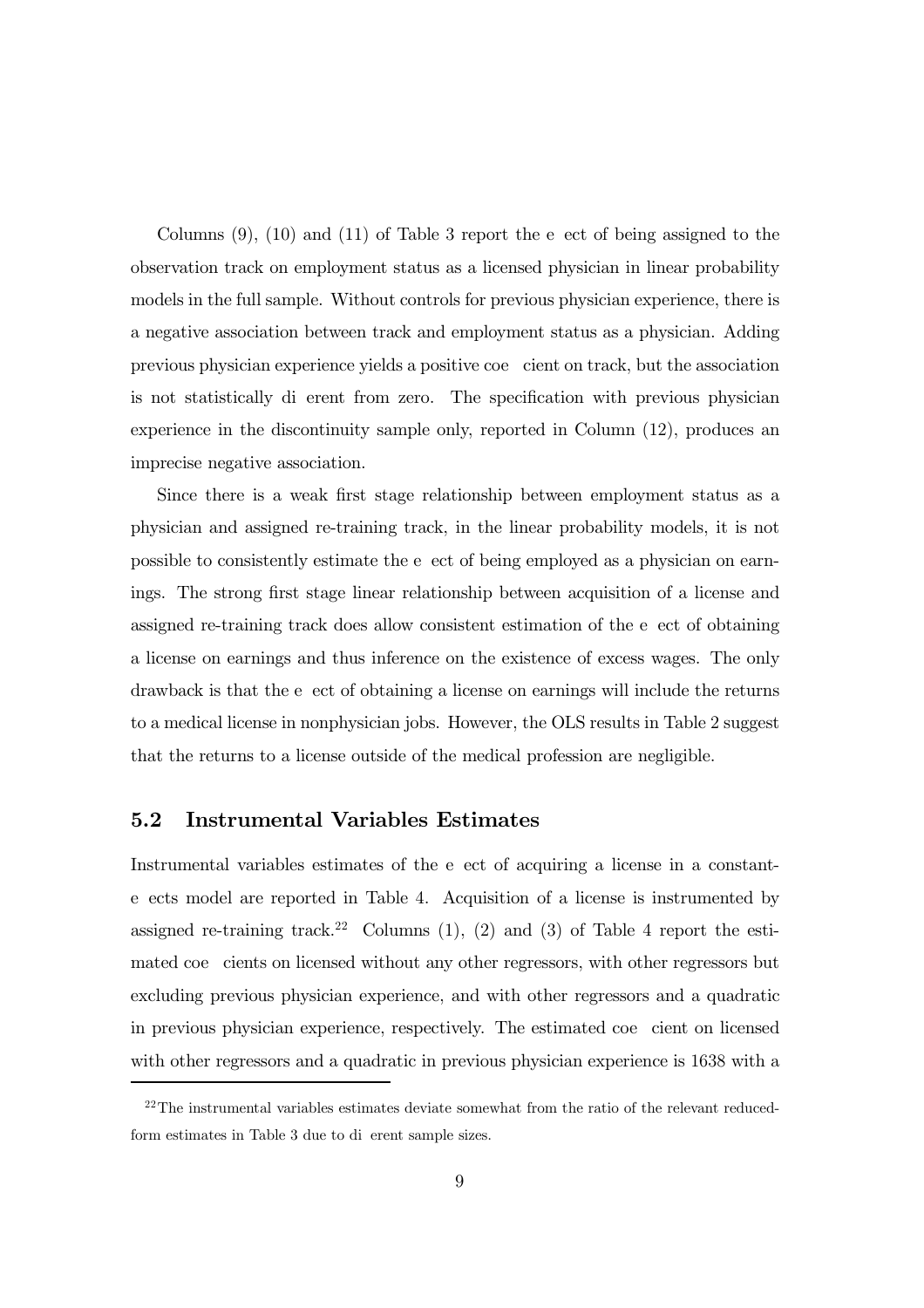Columns (9), (10) and (11) of Table 3 report the e ect of being assigned to the observation track on employment status as a licensed physician in linear probability models in the full sample. Without controls for previous physician experience, there is a negative association between track and employment status as a physician. Adding previous physician experience yields a positive coe cient on track, but the association is not statistically di erent from zero. The specification with previous physician experience in the discontinuity sample only, reported in Column (12), produces an imprecise negative association.

Since there is a weak first stage relationship between employment status as a physician and assigned re-training track, in the linear probability models, it is not possible to consistently estimate the e ect of being employed as a physician on earnings. The strong first stage linear relationship between acquisition of a license and assigned re-training track does allow consistent estimation of the e ect of obtaining a license on earnings and thus inference on the existence of excess wages. The only drawback is that the e ect of obtaining a license on earnings will include the returns to a medical license in nonphysician jobs. However, the OLS results in Table 2 suggest that the returns to a license outside of the medical profession are negligible.

#### 5.2 Instrumental Variables Estimates

Instrumental variables estimates of the e ect of acquiring a license in a constante ects model are reported in Table 4. Acquisition of a license is instrumented by assigned re-training track.<sup>22</sup> Columns  $(1)$ ,  $(2)$  and  $(3)$  of Table 4 report the estimated coe cients on licensed without any other regressors, with other regressors but excluding previous physician experience, and with other regressors and a quadratic in previous physician experience, respectively. The estimated coe cient on licensed with other regressors and a quadratic in previous physician experience is 1638 with a

<sup>&</sup>lt;sup>22</sup>The instrumental variables estimates deviate somewhat from the ratio of the relevant reducedform estimates in Table 3 due to di erent sample sizes.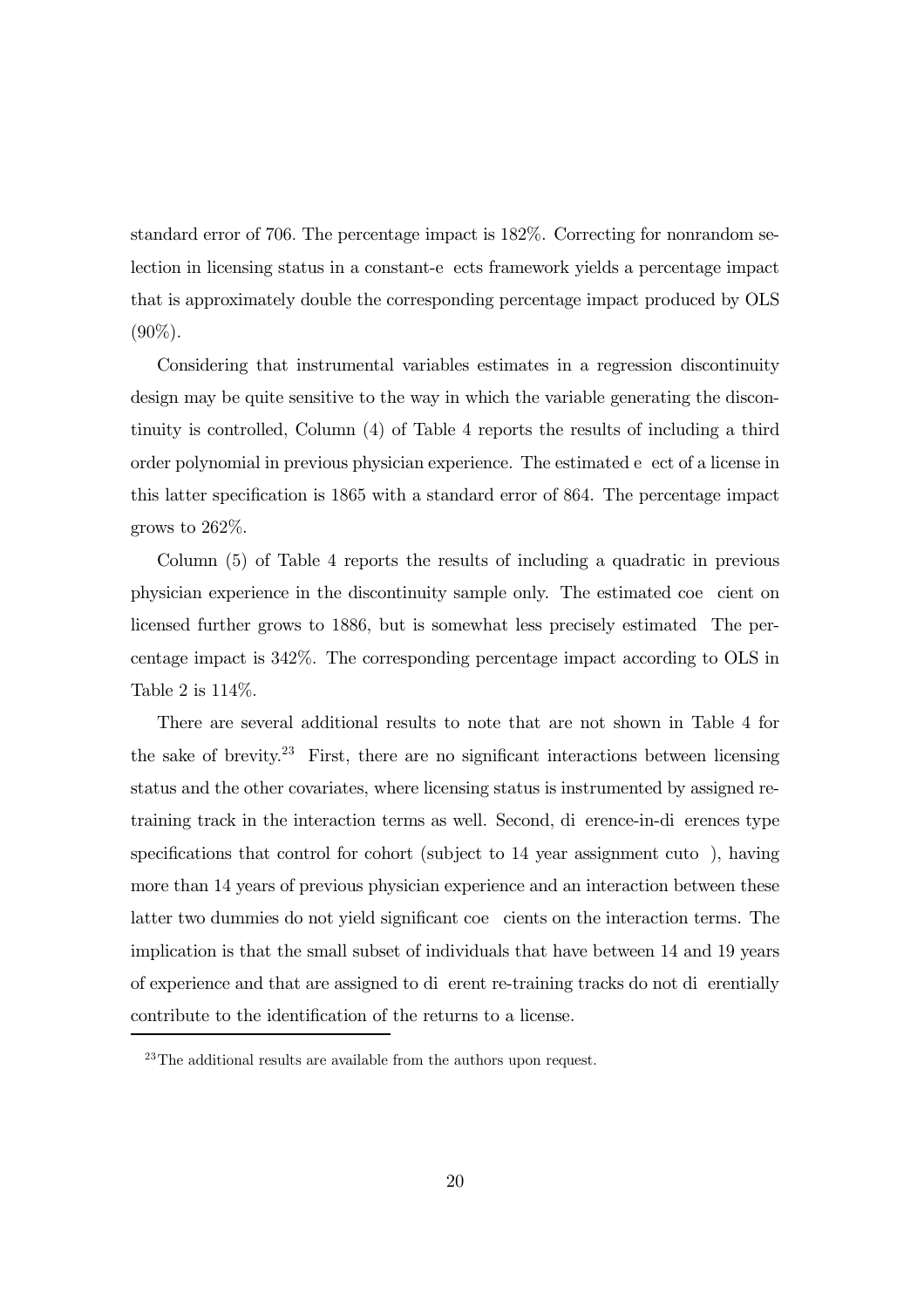standard error of 706. The percentage impact is 182%. Correcting for nonrandom selection in licensing status in a constant-e ects framework yields a percentage impact that is approximately double the corresponding percentage impact produced by OLS  $(90\%)$ .

Considering that instrumental variables estimates in a regression discontinuity design may be quite sensitive to the way in which the variable generating the discontinuity is controlled, Column (4) of Table 4 reports the results of including a third order polynomial in previous physician experience. The estimated e ect of a license in this latter specification is 1865 with a standard error of 864. The percentage impact grows to 262%.

Column (5) of Table 4 reports the results of including a quadratic in previous physician experience in the discontinuity sample only. The estimated coe cient on licensed further grows to 1886, but is somewhat less precisely estimated The percentage impact is 342%. The corresponding percentage impact according to OLS in Table 2 is 114%.

There are several additional results to note that are not shown in Table 4 for the sake of brevity.<sup>23</sup> First, there are no significant interactions between licensing status and the other covariates, where licensing status is instrumented by assigned retraining track in the interaction terms as well. Second, di erence-in-di erences type specifications that control for cohort (subject to 14 year assignment cuto ), having more than 14 years of previous physician experience and an interaction between these latter two dummies do not yield significant coe cients on the interaction terms. The implication is that the small subset of individuals that have between 14 and 19 years of experience and that are assigned to di erent re-training tracks do not di erentially contribute to the identification of the returns to a license.

 $23$ The additional results are available from the authors upon request.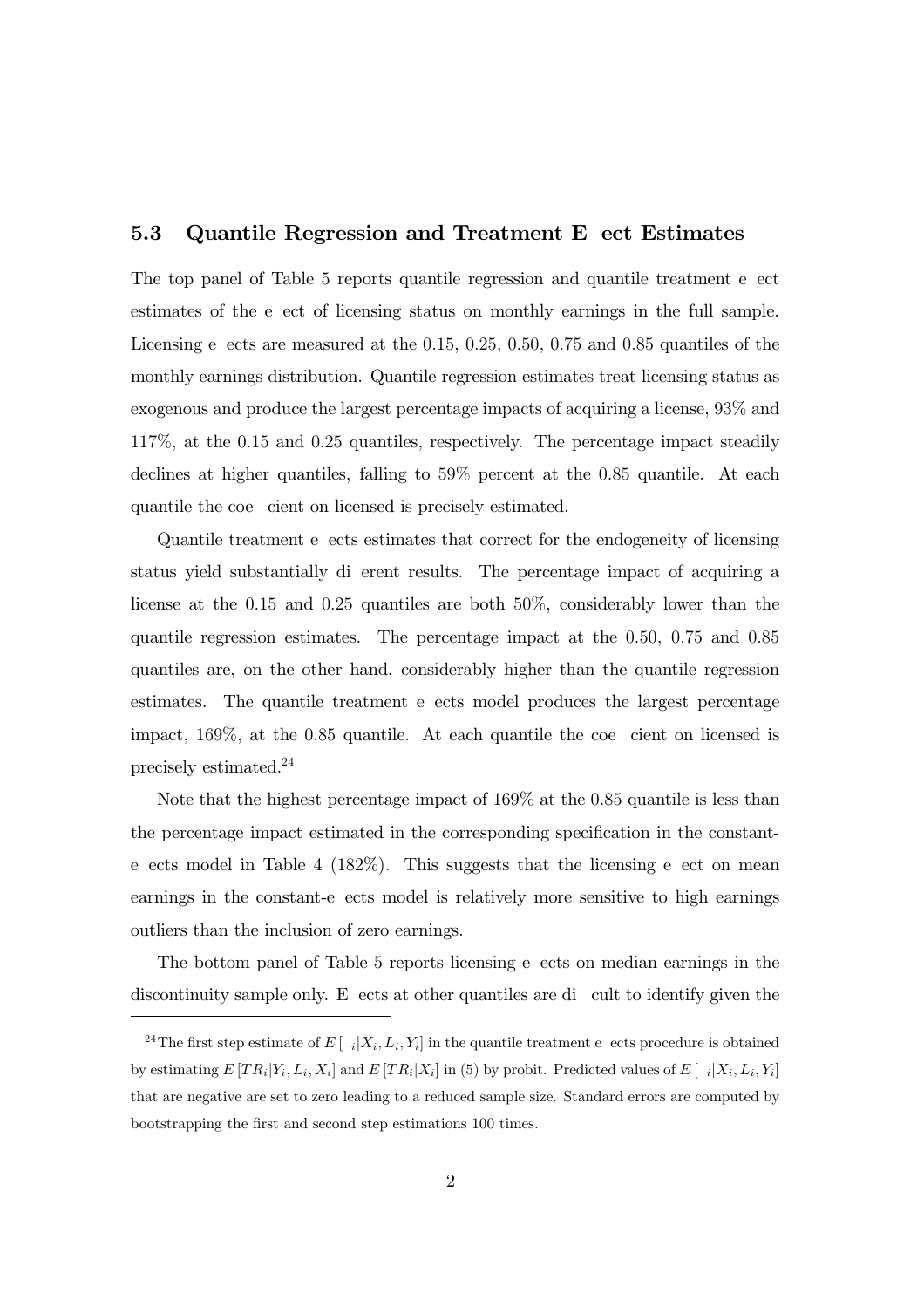#### 5.3 Quantile Regression and Treatment E ect Estimates

The top panel of Table 5 reports quantile regression and quantile treatment e ect estimates of the e ect of licensing status on monthly earnings in the full sample. Licensing e ects are measured at the 0.15, 0.25, 0.50, 0.75 and 0.85 quantiles of the monthly earnings distribution. Quantile regression estimates treat licensing status as exogenous and produce the largest percentage impacts of acquiring a license, 93% and 117%, at the 0.15 and 0.25 quantiles, respectively. The percentage impact steadily declines at higher quantiles, falling to 59% percent at the 0.85 quantile. At each quantile the coe cient on licensed is precisely estimated.

Quantile treatment e ects estimates that correct for the endogeneity of licensing status yield substantially di erent results. The percentage impact of acquiring a license at the 0.15 and 0.25 quantiles are both 50%, considerably lower than the quantile regression estimates. The percentage impact at the 0.50, 0.75 and 0.85 quantiles are, on the other hand, considerably higher than the quantile regression estimates. The quantile treatment e ects model produces the largest percentage impact, 169%, at the 0.85 quantile. At each quantile the coe cient on licensed is precisely estimated.24

Note that the highest percentage impact of 169% at the 0.85 quantile is less than the percentage impact estimated in the corresponding specification in the constante ects model in Table 4 (182%). This suggests that the licensing e ect on mean earnings in the constant-e ects model is relatively more sensitive to high earnings outliers than the inclusion of zero earnings.

The bottom panel of Table 5 reports licensing e ects on median earnings in the discontinuity sample only. E ects at other quantiles are di cult to identify given the

<sup>&</sup>lt;sup>24</sup>The first step estimate of E  $[i]X_i, L_i, Y_i]$  in the quantile treatment e ects procedure is obtained by estimating  $E[TR_i|Y_i, L_i, X_i]$  and  $E[TR_i|X_i]$  in (5) by probit. Predicted values of  $E[$   $i|X_i, L_i, Y_i]$ that are negative are set to zero leading to a reduced sample size. Standard errors are computed by bootstrapping the first and second step estimations 100 times.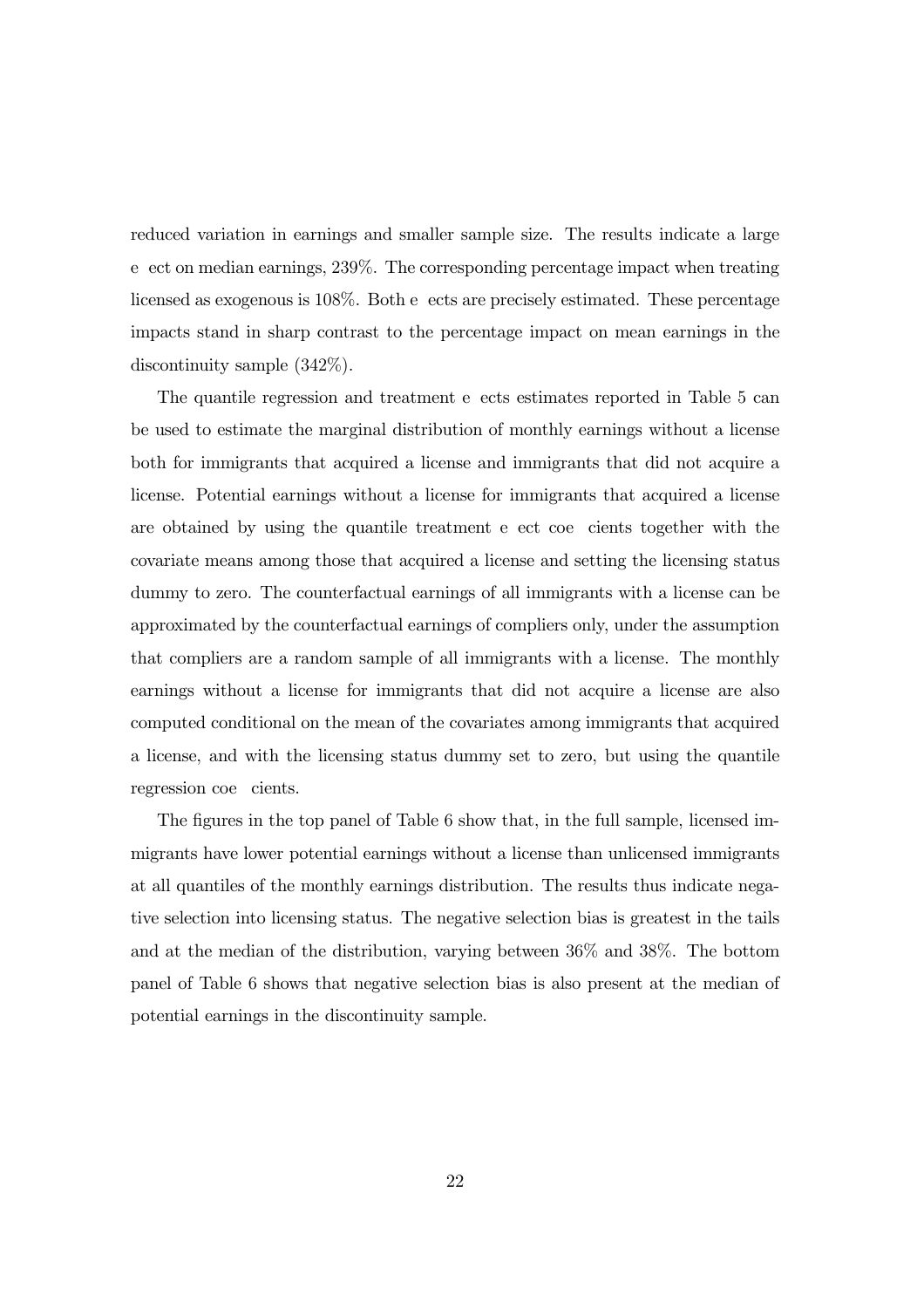reduced variation in earnings and smaller sample size. The results indicate a large e ect on median earnings, 239%. The corresponding percentage impact when treating licensed as exogenous is 108%. Both e ects are precisely estimated. These percentage impacts stand in sharp contrast to the percentage impact on mean earnings in the discontinuity sample (342%).

The quantile regression and treatment e ects estimates reported in Table 5 can be used to estimate the marginal distribution of monthly earnings without a license both for immigrants that acquired a license and immigrants that did not acquire a license. Potential earnings without a license for immigrants that acquired a license are obtained by using the quantile treatment e ect coe cients together with the covariate means among those that acquired a license and setting the licensing status dummy to zero. The counterfactual earnings of all immigrants with a license can be approximated by the counterfactual earnings of compliers only, under the assumption that compliers are a random sample of all immigrants with a license. The monthly earnings without a license for immigrants that did not acquire a license are also computed conditional on the mean of the covariates among immigrants that acquired a license, and with the licensing status dummy set to zero, but using the quantile regression coe cients.

The figures in the top panel of Table 6 show that, in the full sample, licensed immigrants have lower potential earnings without a license than unlicensed immigrants at all quantiles of the monthly earnings distribution. The results thus indicate negative selection into licensing status. The negative selection bias is greatest in the tails and at the median of the distribution, varying between 36% and 38%. The bottom panel of Table 6 shows that negative selection bias is also present at the median of potential earnings in the discontinuity sample.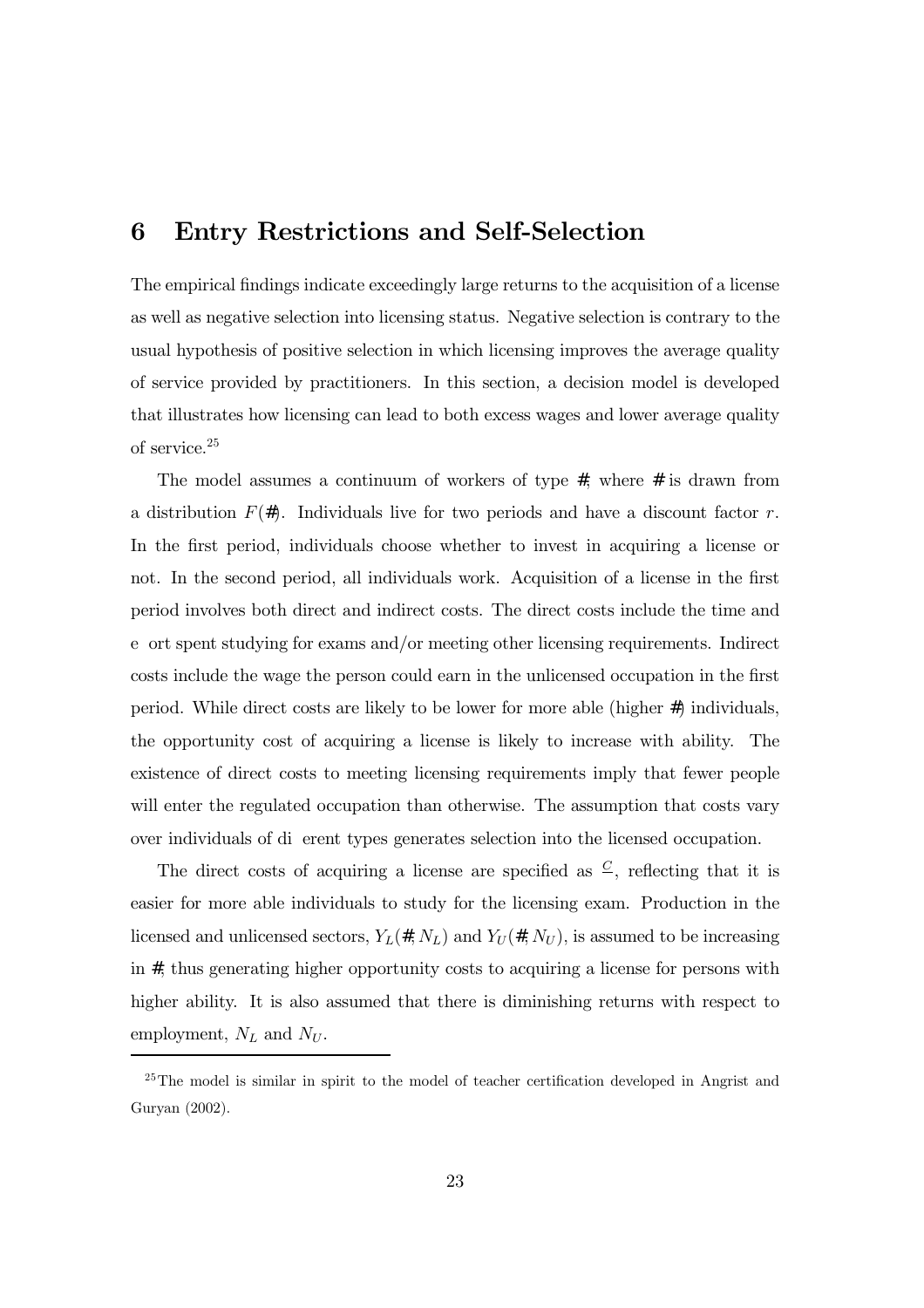## 6 Entry Restrictions and Self-Selection

The empirical findings indicate exceedingly large returns to the acquisition of a license as well as negative selection into licensing status. Negative selection is contrary to the usual hypothesis of positive selection in which licensing improves the average quality of service provided by practitioners. In this section, a decision model is developed that illustrates how licensing can lead to both excess wages and lower average quality of service.25

The model assumes a continuum of workers of type  $4$ , where  $4$  is drawn from a distribution  $F(4)$ . Individuals live for two periods and have a discount factor r. In the first period, individuals choose whether to invest in acquiring a license or not. In the second period, all individuals work. Acquisition of a license in the first period involves both direct and indirect costs. The direct costs include the time and e ort spent studying for exams and/or meeting other licensing requirements. Indirect costs include the wage the person could earn in the unlicensed occupation in the first period. While direct costs are likely to be lower for more able (higher #) individuals, the opportunity cost of acquiring a license is likely to increase with ability. The existence of direct costs to meeting licensing requirements imply that fewer people will enter the regulated occupation than otherwise. The assumption that costs vary over individuals of di erent types generates selection into the licensed occupation.

The direct costs of acquiring a license are specified as  $\mathcal{C}$ , reflecting that it is easier for more able individuals to study for the licensing exam. Production in the licensed and unlicensed sectors,  $Y_L(4, N_L)$  and  $Y_U(4, N_U)$ , is assumed to be increasing in 4, thus generating higher opportunity costs to acquiring a license for persons with higher ability. It is also assumed that there is diminishing returns with respect to employment,  $N_L$  and  $N_U$ .

<sup>&</sup>lt;sup>25</sup>The model is similar in spirit to the model of teacher certification developed in Angrist and Guryan (2002).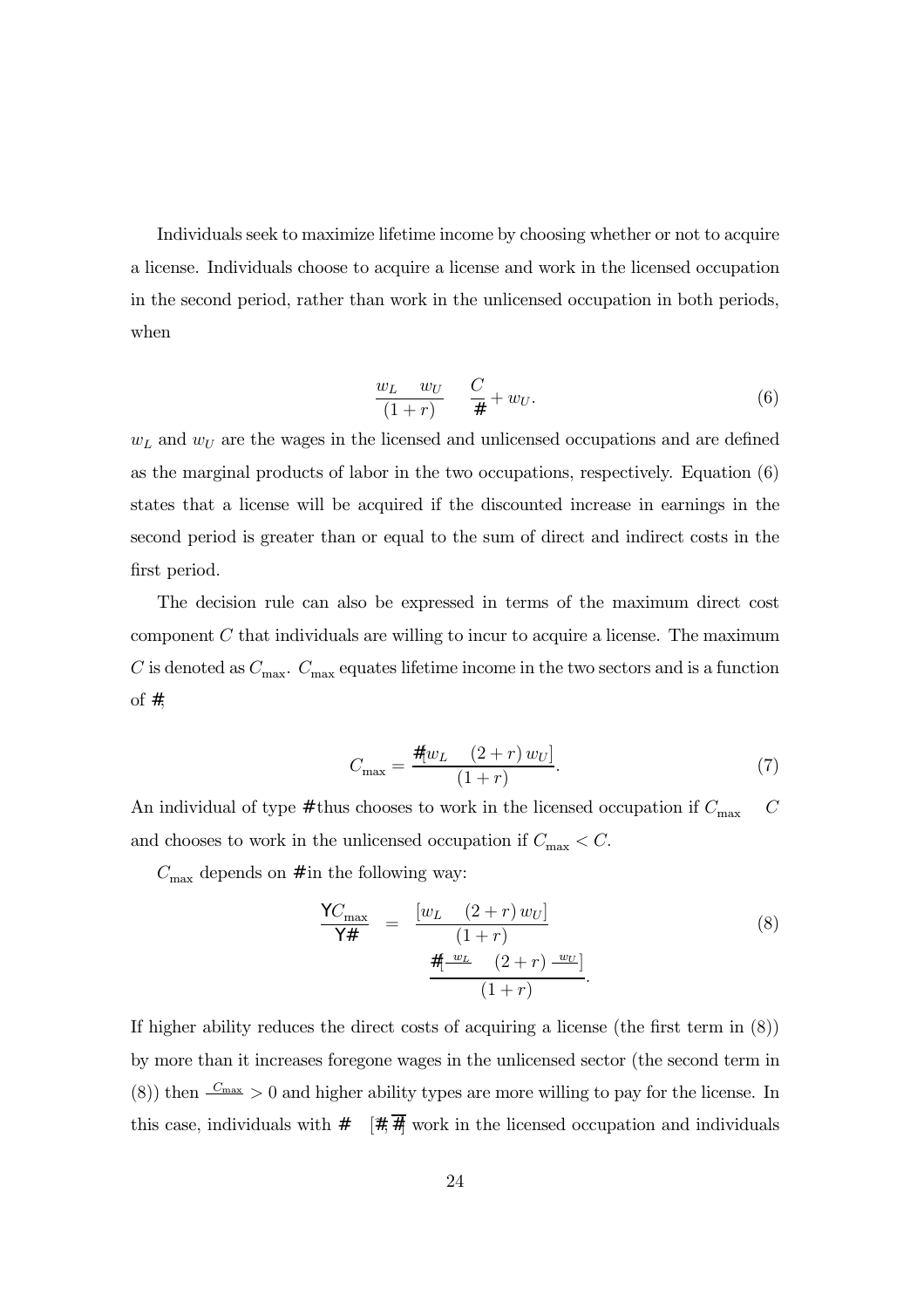Individuals seek to maximize lifetime income by choosing whether or not to acquire a license. Individuals choose to acquire a license and work in the licensed occupation in the second period, rather than work in the unlicensed occupation in both periods, when

$$
\frac{w_L - w_U}{(1+r)} \quad \frac{C}{4} + w_U. \tag{6}
$$

 $w<sub>L</sub>$  and  $w<sub>U</sub>$  are the wages in the licensed and unlicensed occupations and are defined as the marginal products of labor in the two occupations, respectively. Equation (6) states that a license will be acquired if the discounted increase in earnings in the second period is greater than or equal to the sum of direct and indirect costs in the first period.

The decision rule can also be expressed in terms of the maximum direct cost component  $C$  that individuals are willing to incur to acquire a license. The maximum C is denoted as  $C_{\text{max}}$ .  $C_{\text{max}}$  equates lifetime income in the two sectors and is a function of 4,

$$
C_{\max} = \frac{4[w_L \quad (2+r) \, w_U]}{(1+r)}.\tag{7}
$$

An individual of type 4 thus chooses to work in the licensed occupation if  $C_{\text{max}}$   $C$ and chooses to work in the unlicensed occupation if  $C_{\text{max}} < C$ .

 $C_{\text{max}}$  depends on 4 in the following way:

$$
\frac{\text{j } C_{\text{max}}}{\text{j } 4} = \frac{[w_L \quad (2+r) w_U]}{(1+r)} \tag{8}
$$
\n
$$
\frac{4[-\frac{w_L}{r} \quad (2+r) - \frac{w_U}{r}]}{(1+r)}.
$$

If higher ability reduces the direct costs of acquiring a license (the first term in (8)) by more than it increases foregone wages in the unlicensed sector (the second term in (8)) then  $\frac{C_{\text{max}}}{s} > 0$  and higher ability types are more willing to pay for the license. In this case, individuals with  $4 \quad [4, \overline{4}]$  work in the licensed occupation and individuals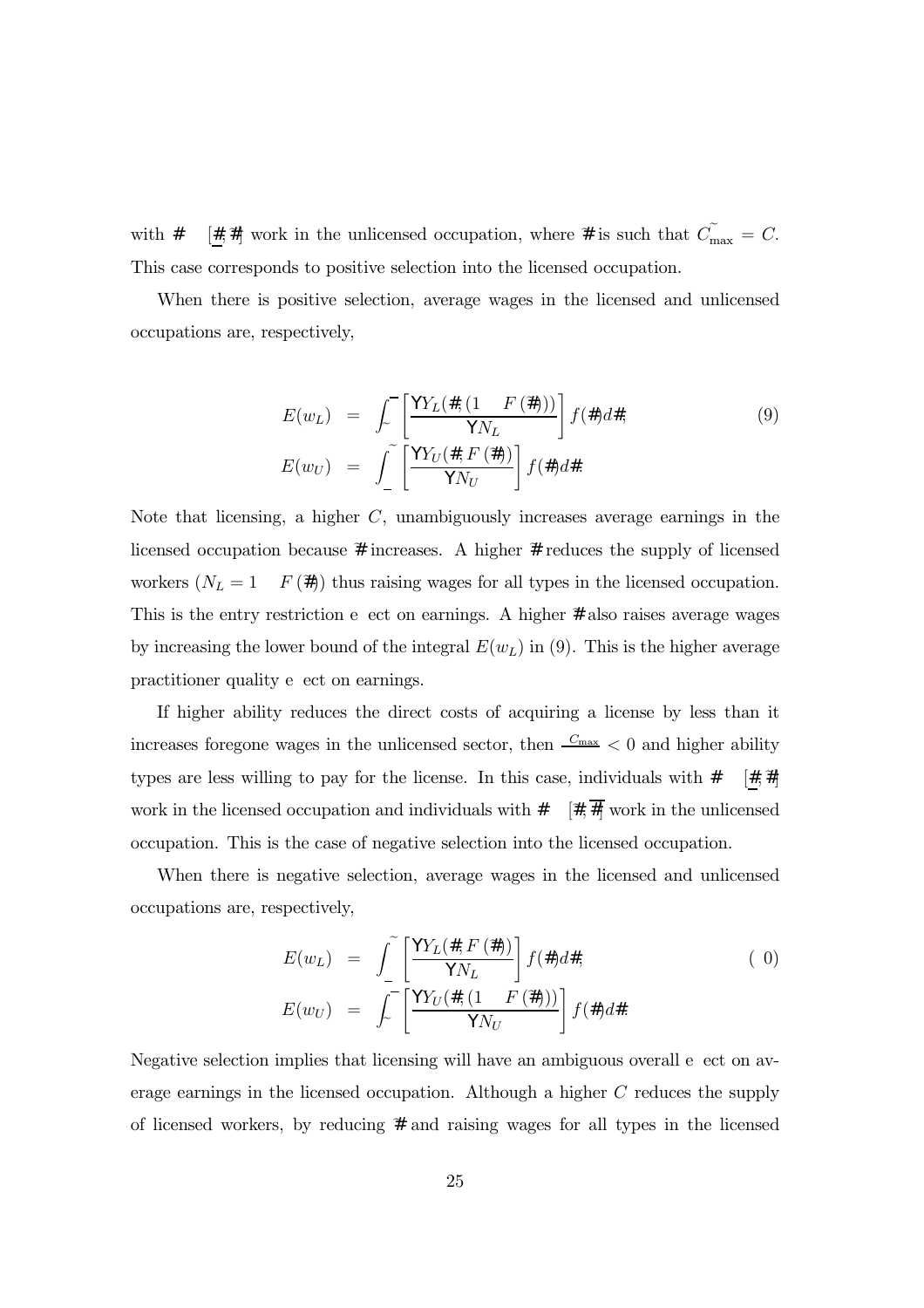with 4 [4, 4] work in the unlicensed occupation, where 4 is such that  $\widetilde{C}_{\text{max}} = C$ . This case corresponds to positive selection into the licensed occupation.

When there is positive selection, average wages in the licensed and unlicensed occupations are, respectively,

$$
E(w_L) = \int_{\sim}^{\sim} \left[ \frac{\mathbf{j} Y_L(4, (1 - F(4)))}{\mathbf{j} N_L} \right] f(4) d4,
$$
\n
$$
E(w_U) = \int_{-}^{\infty} \left[ \frac{\mathbf{j} Y_U(4, F(4))}{\mathbf{j} N_U} \right] f(4) d4.
$$
\n(9)

Note that licensing, a higher C, unambiguously increases average earnings in the licensed occupation because 4 increases. A higher 4 reduces the supply of licensed workers  $(N_L = 1 \quad F(4))$  thus raising wages for all types in the licensed occupation. This is the entry restriction e ect on earnings. A higher 4 also raises average wages by increasing the lower bound of the integral  $E(w_L)$  in (9). This is the higher average practitioner quality e ect on earnings.

If higher ability reduces the direct costs of acquiring a license by less than it increases foregone wages in the unlicensed sector, then  $\frac{C_{\max}}{C_{\max}} < 0$  and higher ability types are less willing to pay for the license. In this case, individuals with  $4 \quad [4, 4]$ work in the licensed occupation and individuals with  $4 \quad [4, \overline{4}]$  work in the unlicensed occupation. This is the case of negative selection into the licensed occupation.

When there is negative selection, average wages in the licensed and unlicensed occupations are, respectively,

$$
E(w_L) = \int_{-}^{\infty} \left[ \frac{\mathbf{j} Y_L(4, F(\mathbf{A}))}{\mathbf{j} N_L} \right] f(4) d4,
$$
\n
$$
E(w_U) = \int_{-}^{\infty} \left[ \frac{\mathbf{j} Y_U(4, (1 - F(\mathbf{A})))}{\mathbf{j} N_U} \right] f(4) d4.
$$
\n(0)

Negative selection implies that licensing will have an ambiguous overall e ect on average earnings in the licensed occupation. Although a higher C reduces the supply of licensed workers, by reducing 4 and raising wages for all types in the licensed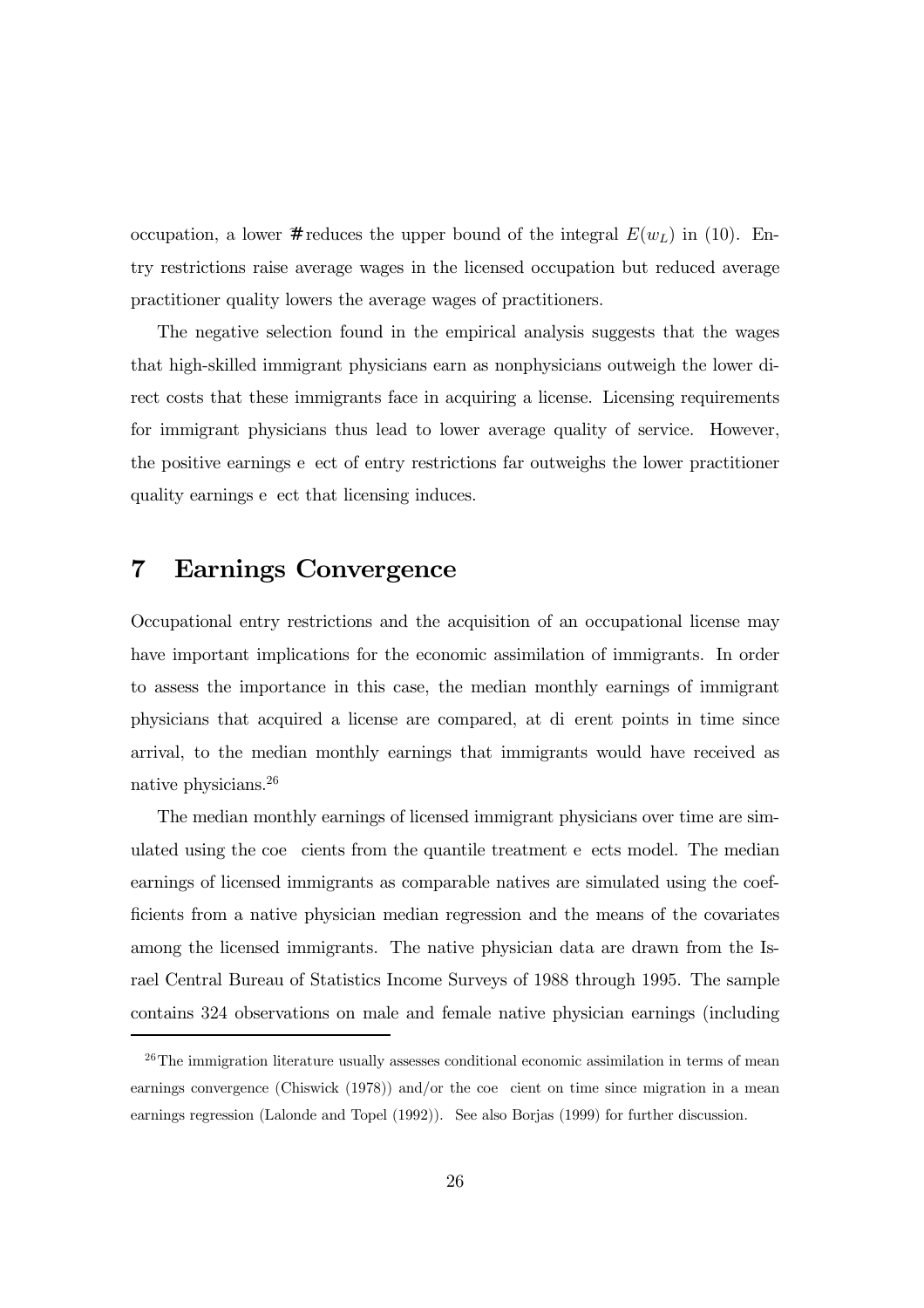occupation, a lower 4 reduces the upper bound of the integral  $E(w_L)$  in (10). Entry restrictions raise average wages in the licensed occupation but reduced average practitioner quality lowers the average wages of practitioners.

The negative selection found in the empirical analysis suggests that the wages that high-skilled immigrant physicians earn as nonphysicians outweigh the lower direct costs that these immigrants face in acquiring a license. Licensing requirements for immigrant physicians thus lead to lower average quality of service. However, the positive earnings e ect of entry restrictions far outweighs the lower practitioner quality earnings e ect that licensing induces.

## 7 Earnings Convergence

Occupational entry restrictions and the acquisition of an occupational license may have important implications for the economic assimilation of immigrants. In order to assess the importance in this case, the median monthly earnings of immigrant physicians that acquired a license are compared, at di erent points in time since arrival, to the median monthly earnings that immigrants would have received as native physicians.26

The median monthly earnings of licensed immigrant physicians over time are simulated using the coe cients from the quantile treatment e ects model. The median earnings of licensed immigrants as comparable natives are simulated using the coefficients from a native physician median regression and the means of the covariates among the licensed immigrants. The native physician data are drawn from the Israel Central Bureau of Statistics Income Surveys of 1988 through 1995. The sample contains 324 observations on male and female native physician earnings (including

 $26$ The immigration literature usually assesses conditional economic assimilation in terms of mean earnings convergence (Chiswick (1978)) and/or the coe cient on time since migration in a mean earnings regression (Lalonde and Topel (1992)). See also Borjas (1999) for further discussion.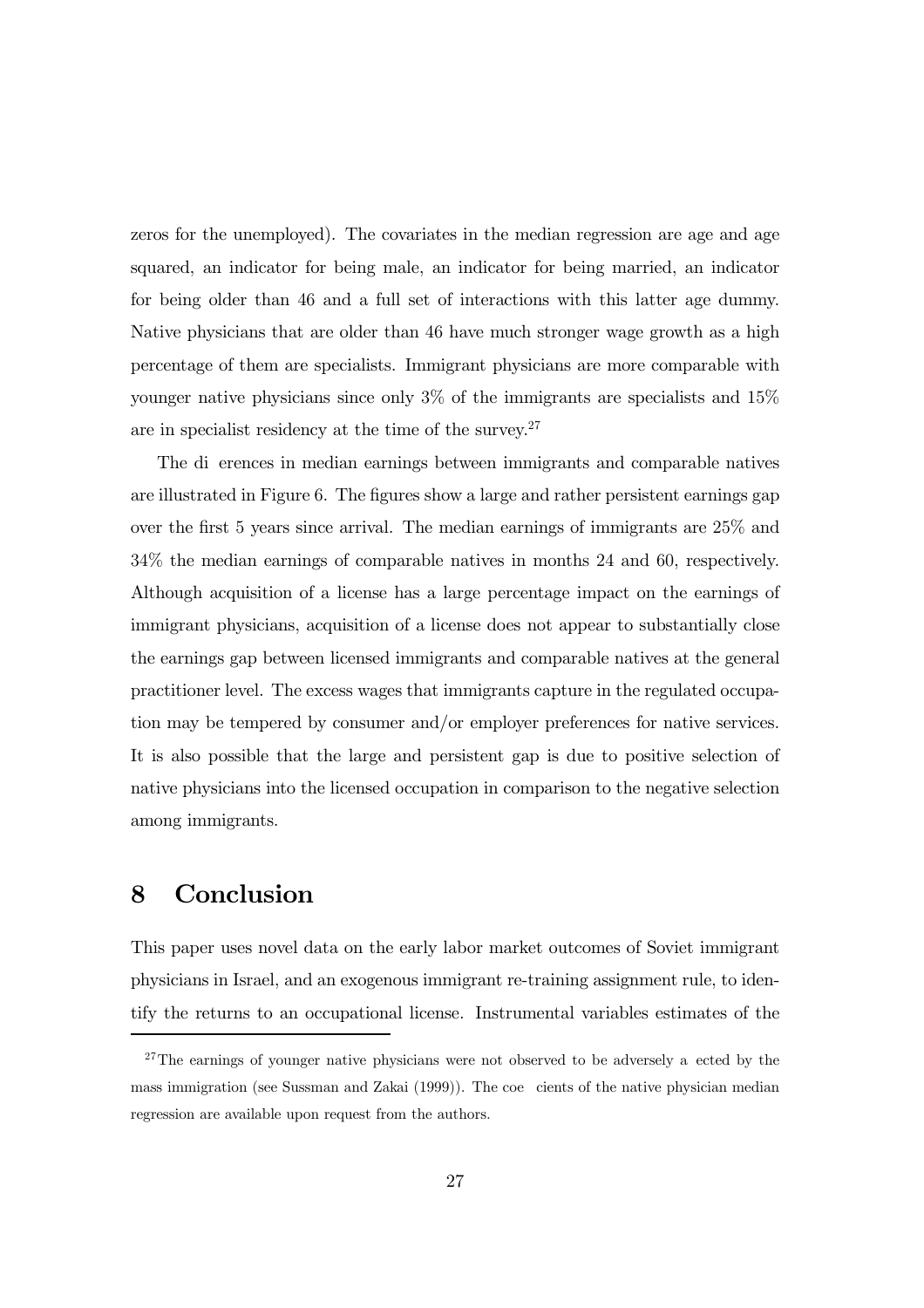zeros for the unemployed). The covariates in the median regression are age and age squared, an indicator for being male, an indicator for being married, an indicator for being older than 46 and a full set of interactions with this latter age dummy. Native physicians that are older than 46 have much stronger wage growth as a high percentage of them are specialists. Immigrant physicians are more comparable with younger native physicians since only 3% of the immigrants are specialists and 15% are in specialist residency at the time of the survey. $27$ 

The di erences in median earnings between immigrants and comparable natives are illustrated in Figure 6. The figures show a large and rather persistent earnings gap over the first 5 years since arrival. The median earnings of immigrants are 25% and 34% the median earnings of comparable natives in months 24 and 60, respectively. Although acquisition of a license has a large percentage impact on the earnings of immigrant physicians, acquisition of a license does not appear to substantially close the earnings gap between licensed immigrants and comparable natives at the general practitioner level. The excess wages that immigrants capture in the regulated occupation may be tempered by consumer and/or employer preferences for native services. It is also possible that the large and persistent gap is due to positive selection of native physicians into the licensed occupation in comparison to the negative selection among immigrants.

## 8 Conclusion

This paper uses novel data on the early labor market outcomes of Soviet immigrant physicians in Israel, and an exogenous immigrant re-training assignment rule, to identify the returns to an occupational license. Instrumental variables estimates of the

<sup>&</sup>lt;sup>27</sup>The earnings of younger native physicians were not observed to be adversely a ected by the mass immigration (see Sussman and Zakai (1999)). The coe cients of the native physician median regression are available upon request from the authors.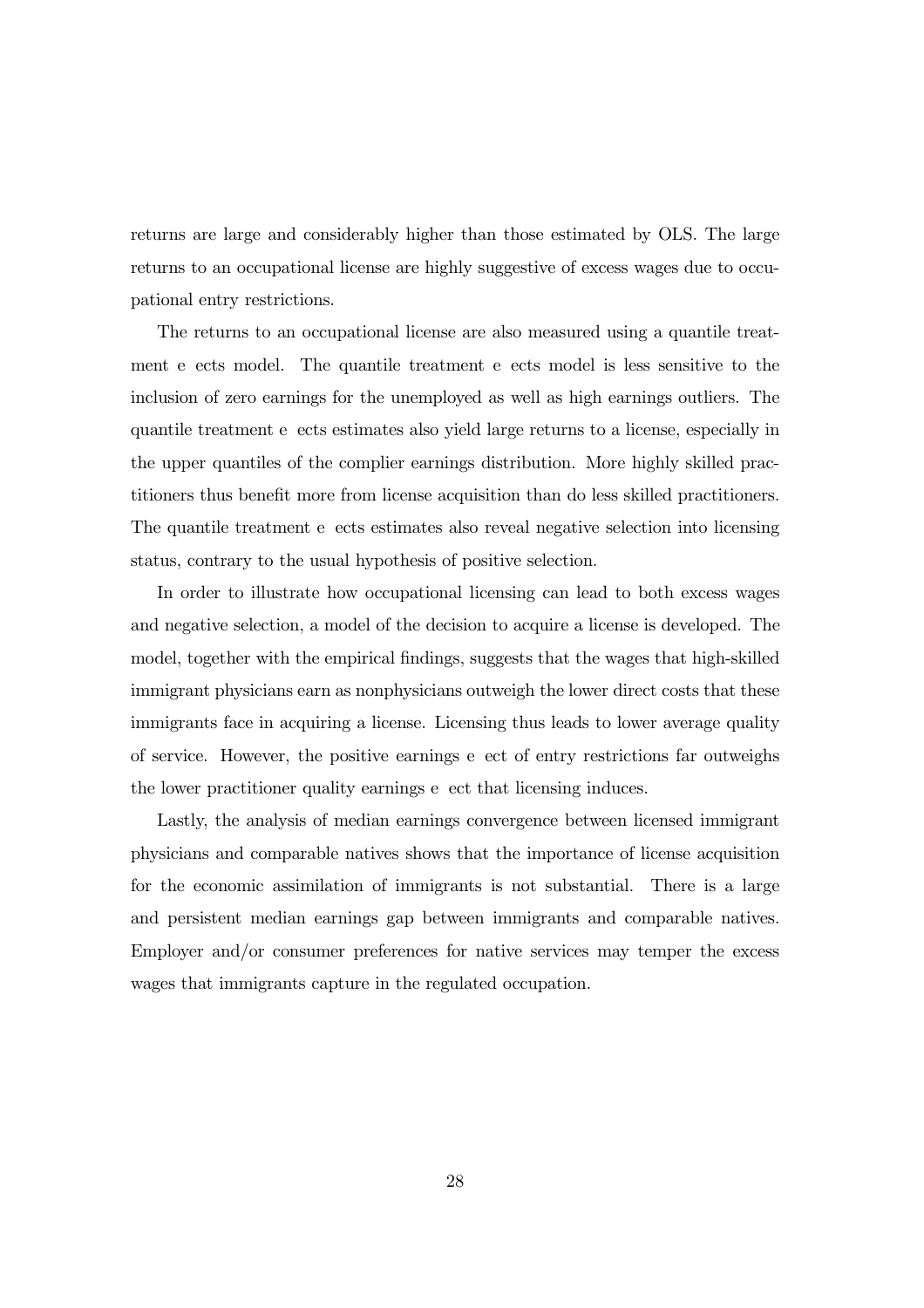returns are large and considerably higher than those estimated by OLS. The large returns to an occupational license are highly suggestive of excess wages due to occupational entry restrictions.

The returns to an occupational license are also measured using a quantile treatment e ects model. The quantile treatment e ects model is less sensitive to the inclusion of zero earnings for the unemployed as well as high earnings outliers. The quantile treatment e ects estimates also yield large returns to a license, especially in the upper quantiles of the complier earnings distribution. More highly skilled practitioners thus benefit more from license acquisition than do less skilled practitioners. The quantile treatment e ects estimates also reveal negative selection into licensing status, contrary to the usual hypothesis of positive selection.

In order to illustrate how occupational licensing can lead to both excess wages and negative selection, a model of the decision to acquire a license is developed. The model, together with the empirical findings, suggests that the wages that high-skilled immigrant physicians earn as nonphysicians outweigh the lower direct costs that these immigrants face in acquiring a license. Licensing thus leads to lower average quality of service. However, the positive earnings e ect of entry restrictions far outweighs the lower practitioner quality earnings e ect that licensing induces.

Lastly, the analysis of median earnings convergence between licensed immigrant physicians and comparable natives shows that the importance of license acquisition for the economic assimilation of immigrants is not substantial. There is a large and persistent median earnings gap between immigrants and comparable natives. Employer and/or consumer preferences for native services may temper the excess wages that immigrants capture in the regulated occupation.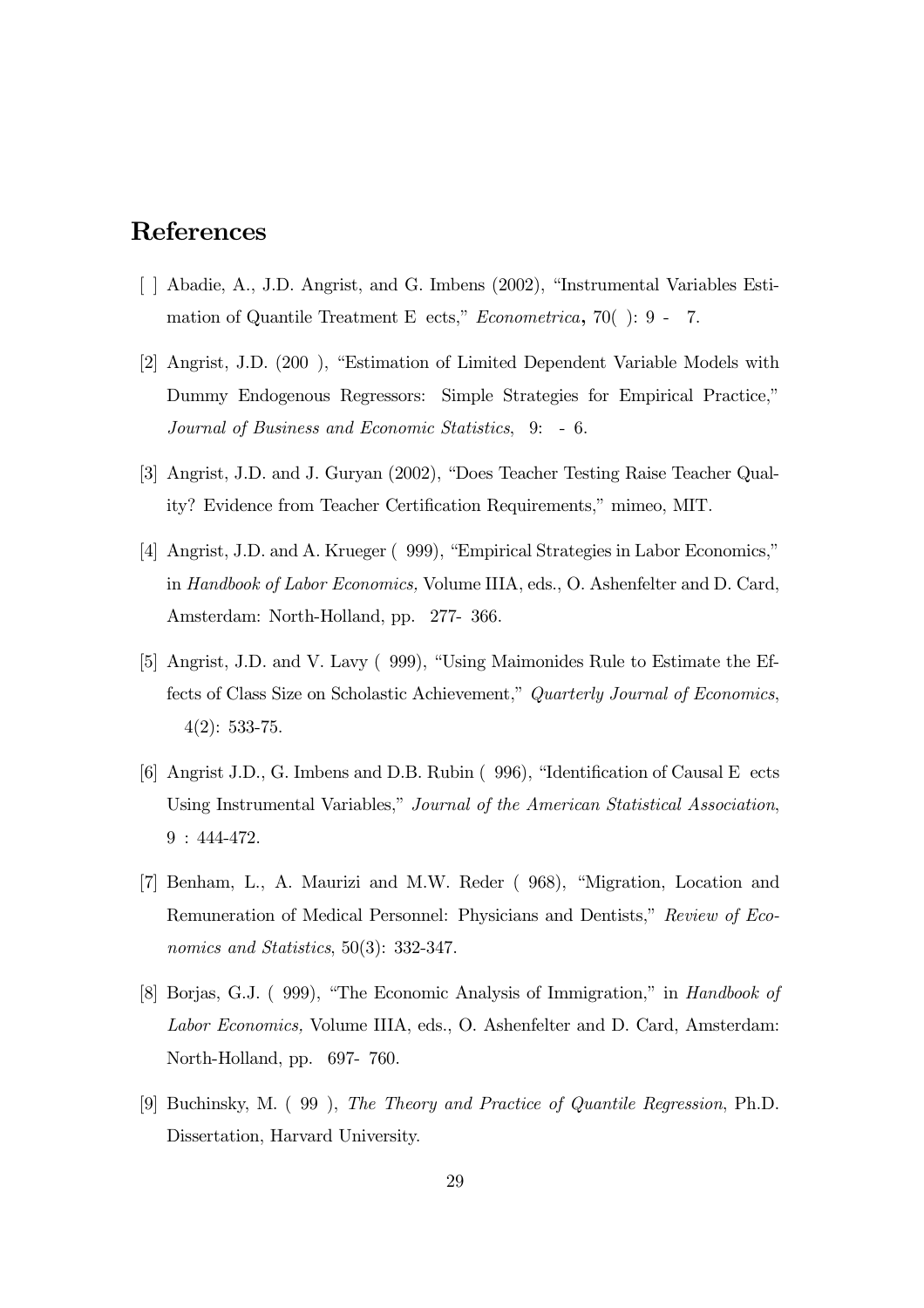## References

- [ ] Abadie, A., J.D. Angrist, and G. Imbens (2002), "Instrumental Variables Estimation of Quantile Treatment E ects," Econometrica, 70( ): 9 - 7.
- [2] Angrist, J.D. (200 ), "Estimation of Limited Dependent Variable Models with Dummy Endogenous Regressors: Simple Strategies for Empirical Practice," Journal of Business and Economic Statistics, 9: - 6.
- [3] Angrist, J.D. and J. Guryan (2002), "Does Teacher Testing Raise Teacher Quality? Evidence from Teacher Certification Requirements," mimeo, MIT.
- [4] Angrist, J.D. and A. Krueger ( 999), "Empirical Strategies in Labor Economics," in Handbook of Labor Economics, Volume IIIA, eds., O. Ashenfelter and D. Card, Amsterdam: North-Holland, pp. 277- 366.
- [5] Angrist, J.D. and V. Lavy ( 999), "Using Maimonides Rule to Estimate the Effects of Class Size on Scholastic Achievement," Quarterly Journal of Economics, 4(2): 533-75.
- [6] Angrist J.D., G. Imbens and D.B. Rubin ( 996), "Identification of Causal E ects Using Instrumental Variables," Journal of the American Statistical Association, 9 : 444-472.
- [7] Benham, L., A. Maurizi and M.W. Reder ( 968), "Migration, Location and Remuneration of Medical Personnel: Physicians and Dentists," Review of Economics and Statistics, 50(3): 332-347.
- [8] Borjas, G.J. ( 999), "The Economic Analysis of Immigration," in Handbook of Labor Economics, Volume IIIA, eds., O. Ashenfelter and D. Card, Amsterdam: North-Holland, pp. 697- 760.
- [9] Buchinsky, M. ( 99 ), The Theory and Practice of Quantile Regression, Ph.D. Dissertation, Harvard University.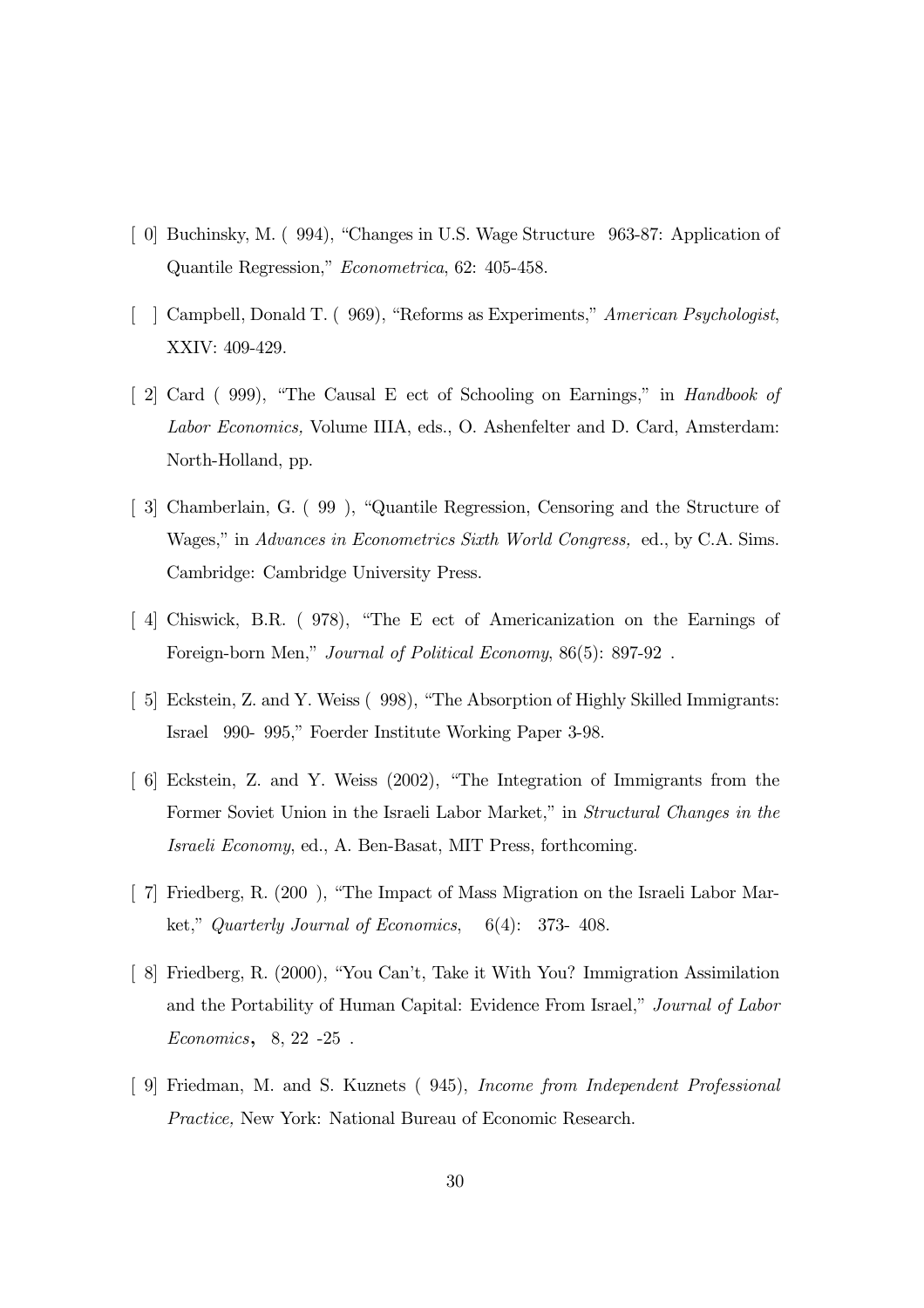- [ 0] Buchinsky, M. ( 994), "Changes in U.S. Wage Structure 963-87: Application of Quantile Regression," Econometrica, 62: 405-458.
- [ ] Campbell, Donald T. ( 969), "Reforms as Experiments," American Psychologist, XXIV: 409-429.
- [ 2] Card ( 999), "The Causal E ect of Schooling on Earnings," in Handbook of Labor Economics, Volume IIIA, eds., O. Ashenfelter and D. Card, Amsterdam: North-Holland, pp.
- [ 3] Chamberlain, G. ( 99 ), "Quantile Regression, Censoring and the Structure of Wages," in Advances in Econometrics Sixth World Congress, ed., by C.A. Sims. Cambridge: Cambridge University Press.
- [ 4] Chiswick, B.R. ( 978), "The E ect of Americanization on the Earnings of Foreign-born Men," Journal of Political Economy, 86(5): 897-92 .
- [ 5] Eckstein, Z. and Y. Weiss ( 998), "The Absorption of Highly Skilled Immigrants: Israel 990- 995," Foerder Institute Working Paper 3-98.
- [ 6] Eckstein, Z. and Y. Weiss (2002), "The Integration of Immigrants from the Former Soviet Union in the Israeli Labor Market," in Structural Changes in the Israeli Economy, ed., A. Ben-Basat, MIT Press, forthcoming.
- [ 7] Friedberg, R. (200 ), "The Impact of Mass Migration on the Israeli Labor Market," Quarterly Journal of Economics, 6(4): 373- 408.
- [ 8] Friedberg, R. (2000), "You Can't, Take it With You? Immigration Assimilation and the Portability of Human Capital: Evidence From Israel," Journal of Labor Economics, 8, 22 -25 .
- [ 9] Friedman, M. and S. Kuznets ( 945), Income from Independent Professional Practice, New York: National Bureau of Economic Research.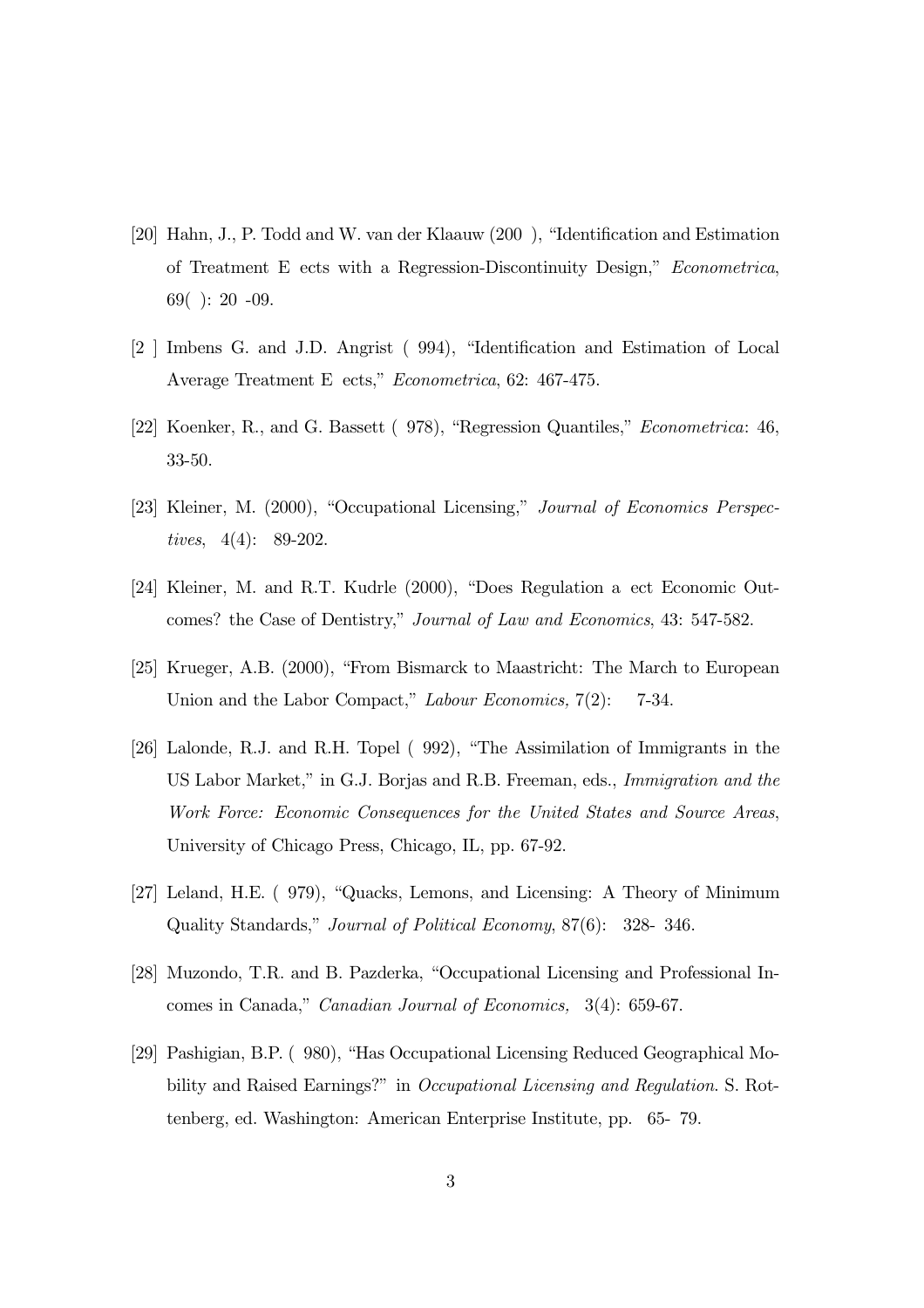- [20] Hahn, J., P. Todd and W. van der Klaauw (200 ), "Identification and Estimation of Treatment E ects with a Regression-Discontinuity Design," Econometrica, 69( ): 20 -09.
- [2 ] Imbens G. and J.D. Angrist ( 994), "Identification and Estimation of Local Average Treatment E ects," Econometrica, 62: 467-475.
- [22] Koenker, R., and G. Bassett ( 978), "Regression Quantiles," Econometrica: 46, 33-50.
- [23] Kleiner, M. (2000), "Occupational Licensing," Journal of Economics Perspectives, 4(4): 89-202.
- [24] Kleiner, M. and R.T. Kudrle (2000), "Does Regulation a ect Economic Outcomes? the Case of Dentistry," Journal of Law and Economics, 43: 547-582.
- [25] Krueger, A.B. (2000), "From Bismarck to Maastricht: The March to European Union and the Labor Compact," Labour Economics, 7(2): 7-34.
- [26] Lalonde, R.J. and R.H. Topel ( 992), "The Assimilation of Immigrants in the US Labor Market," in G.J. Borjas and R.B. Freeman, eds., Immigration and the Work Force: Economic Consequences for the United States and Source Areas, University of Chicago Press, Chicago, IL, pp. 67-92.
- [27] Leland, H.E. ( 979), "Quacks, Lemons, and Licensing: A Theory of Minimum Quality Standards," Journal of Political Economy, 87(6): 328- 346.
- [28] Muzondo, T.R. and B. Pazderka, "Occupational Licensing and Professional Incomes in Canada," Canadian Journal of Economics, 3(4): 659-67.
- [29] Pashigian, B.P. ( 980), "Has Occupational Licensing Reduced Geographical Mobility and Raised Earnings?" in Occupational Licensing and Regulation. S. Rottenberg, ed. Washington: American Enterprise Institute, pp. 65- 79.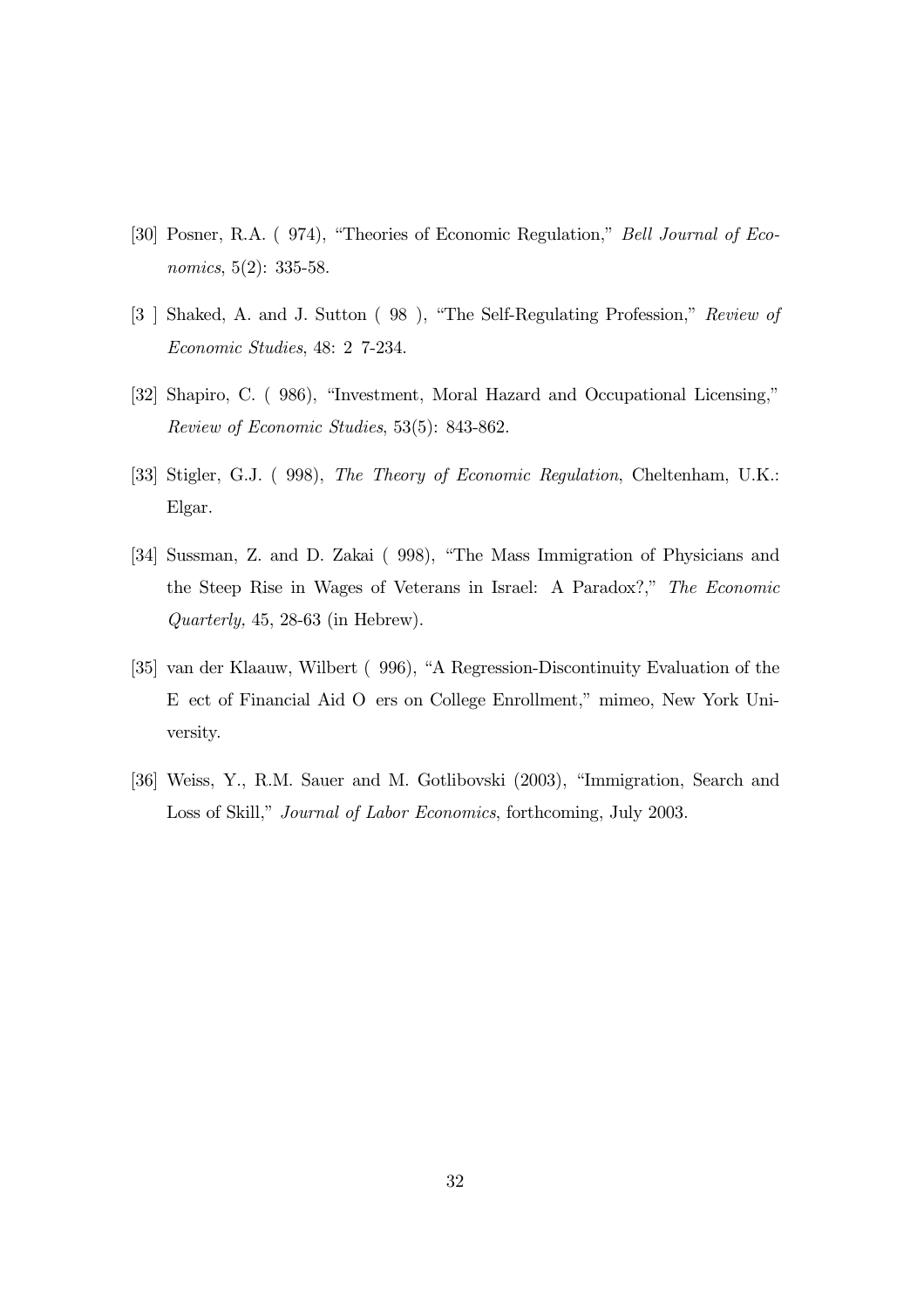- [30] Posner, R.A. ( 974), "Theories of Economic Regulation," Bell Journal of Economics, 5(2): 335-58.
- [3 ] Shaked, A. and J. Sutton ( 98 ), "The Self-Regulating Profession," Review of Economic Studies, 48: 2 7-234.
- [32] Shapiro, C. ( 986), "Investment, Moral Hazard and Occupational Licensing," Review of Economic Studies, 53(5): 843-862.
- [33] Stigler, G.J. ( 998), The Theory of Economic Regulation, Cheltenham, U.K.: Elgar.
- [34] Sussman, Z. and D. Zakai ( 998), "The Mass Immigration of Physicians and the Steep Rise in Wages of Veterans in Israel: A Paradox?," The Economic Quarterly, 45, 28-63 (in Hebrew).
- [35] van der Klaauw, Wilbert ( 996), "A Regression-Discontinuity Evaluation of the E ect of Financial Aid O ers on College Enrollment," mimeo, New York University.
- [36] Weiss, Y., R.M. Sauer and M. Gotlibovski (2003), "Immigration, Search and Loss of Skill," Journal of Labor Economics, forthcoming, July 2003.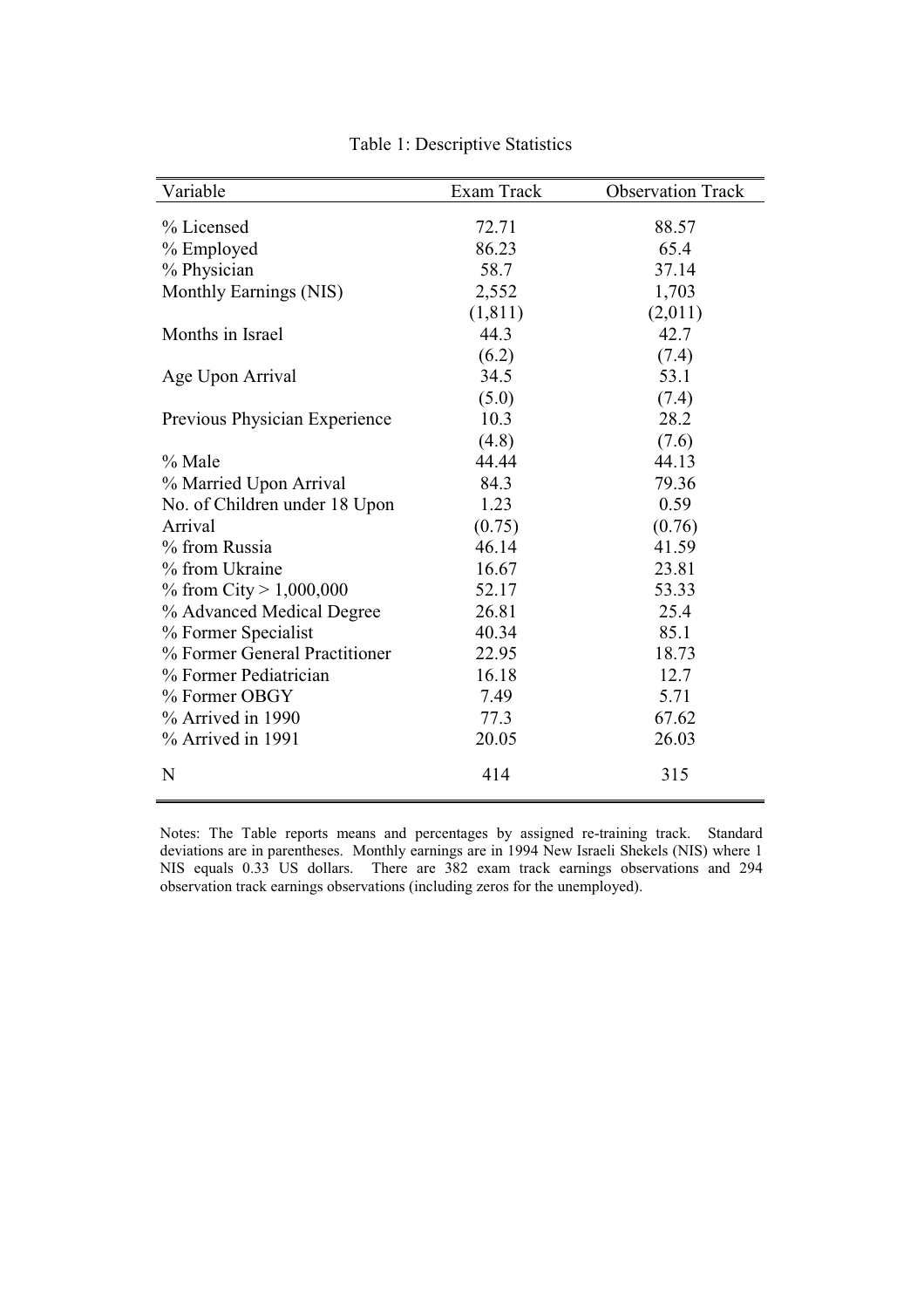| Variable                      | Exam Track | <b>Observation Track</b> |
|-------------------------------|------------|--------------------------|
| % Licensed                    | 72.71      |                          |
|                               |            | 88.57                    |
| % Employed                    | 86.23      | 65.4                     |
| % Physician                   | 58.7       | 37.14                    |
| Monthly Earnings (NIS)        | 2,552      | 1,703                    |
|                               | (1, 811)   | (2,011)                  |
| Months in Israel              | 44.3       | 42.7                     |
|                               | (6.2)      | (7.4)                    |
| Age Upon Arrival              | 34.5       | 53.1                     |
|                               | (5.0)      | (7.4)                    |
| Previous Physician Experience | 10.3       | 28.2                     |
|                               | (4.8)      | (7.6)                    |
| % Male                        | 44.44      | 44.13                    |
| % Married Upon Arrival        | 84.3       | 79.36                    |
| No. of Children under 18 Upon | 1.23       | 0.59                     |
| Arrival                       | (0.75)     | (0.76)                   |
| % from Russia                 | 46.14      | 41.59                    |
| % from Ukraine                | 16.67      | 23.81                    |
| % from City > $1,000,000$     | 52.17      | 53.33                    |
| % Advanced Medical Degree     | 26.81      | 25.4                     |
| % Former Specialist           | 40.34      | 85.1                     |
| % Former General Practitioner | 22.95      | 18.73                    |
| % Former Pediatrician         | 16.18      | 12.7                     |
| % Former OBGY                 | 7.49       | 5.71                     |
| % Arrived in 1990             | 77.3       | 67.62                    |
| $%$ Arrived in 1991           | 20.05      | 26.03                    |
| N                             | 414        | 315                      |

Table 1: Descriptive Statistics

Notes: The Table reports means and percentages by assigned re-training track. Standard deviations are in parentheses. Monthly earnings are in 1994 New Israeli Shekels (NIS) where 1 NIS equals 0.33 US dollars. There are 382 exam track earnings observations and 294 observation track earnings observations (including zeros for the unemployed).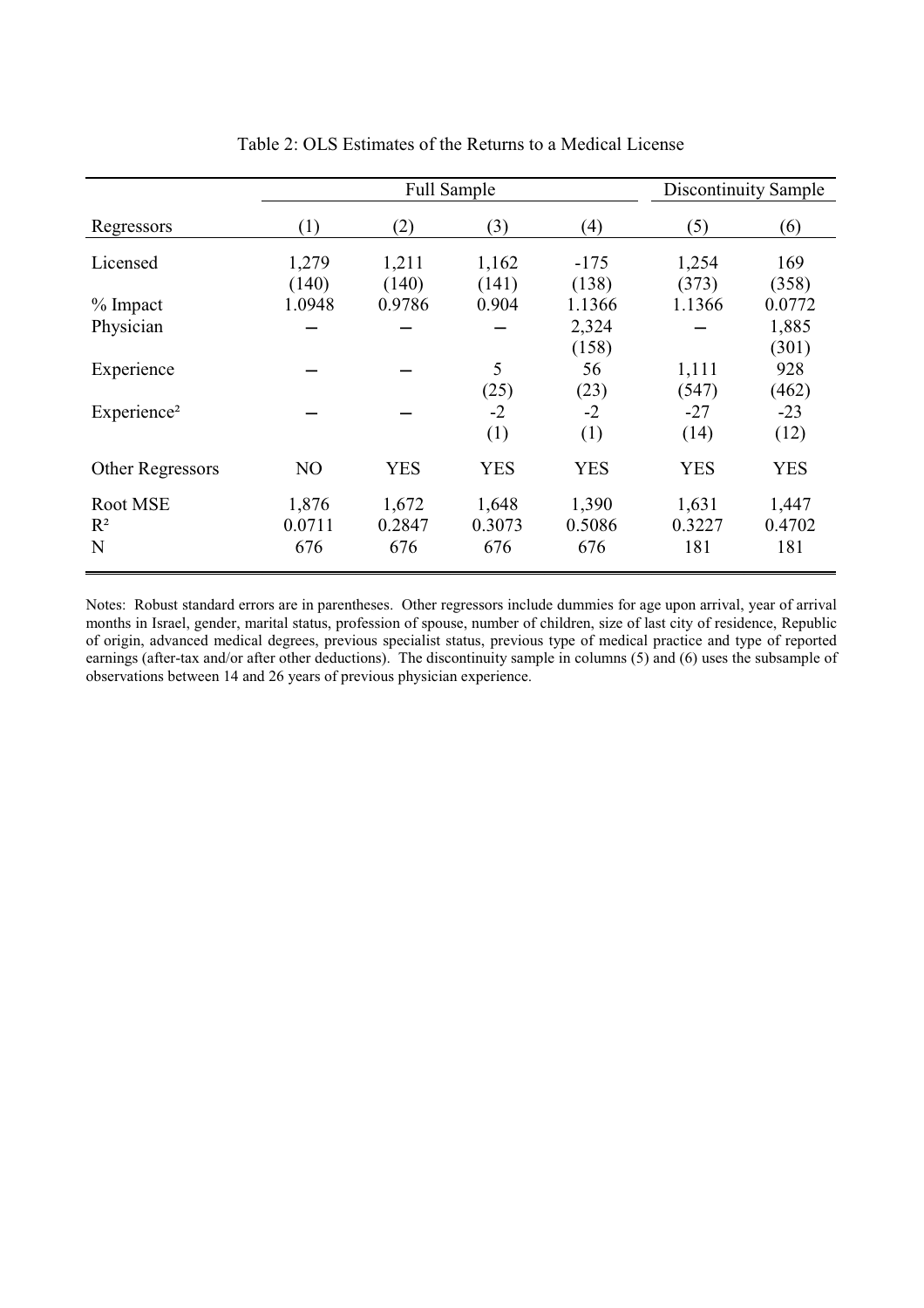|                         |        | <b>Full Sample</b> | Discontinuity Sample |            |            |            |
|-------------------------|--------|--------------------|----------------------|------------|------------|------------|
| Regressors              | (1)    | (2)                | (3)                  | (4)        | (5)        | (6)        |
| Licensed                | 1,279  | 1,211              | 1,162                | $-175$     | 1,254      | 169        |
|                         | (140)  | (140)              | (141)                | (138)      | (373)      | (358)      |
| $%$ Impact              | 1.0948 | 0.9786             | 0.904                | 1.1366     | 1.1366     | 0.0772     |
| Physician               |        |                    |                      | 2,324      |            | 1,885      |
|                         |        |                    |                      | (158)      |            | (301)      |
| Experience              |        |                    | 5                    | 56         | 1,111      | 928        |
|                         |        |                    | (25)                 | (23)       | (547)      | (462)      |
| Experience <sup>2</sup> |        |                    | $-2$                 | $-2$       | $-27$      | $-23$      |
|                         |        |                    | (1)                  | (1)        | (14)       | (12)       |
| Other Regressors        | NO     | <b>YES</b>         | <b>YES</b>           | <b>YES</b> | <b>YES</b> | <b>YES</b> |
| Root MSE                | 1,876  | 1,672              | 1,648                | 1,390      | 1,631      | 1,447      |
| $R^2$                   | 0.0711 | 0.2847             | 0.3073               | 0.5086     | 0.3227     | 0.4702     |
| N                       | 676    | 676                | 676                  | 676        | 181        | 181        |

Table 2: OLS Estimates of the Returns to a Medical License

Notes: Robust standard errors are in parentheses. Other regressors include dummies for age upon arrival, year of arrival months in Israel, gender, marital status, profession of spouse, number of children, size of last city of residence, Republic of origin, advanced medical degrees, previous specialist status, previous type of medical practice and type of reported earnings (after-tax and/or after other deductions). The discontinuity sample in columns (5) and (6) uses the subsample of observations between 14 and 26 years of previous physician experience.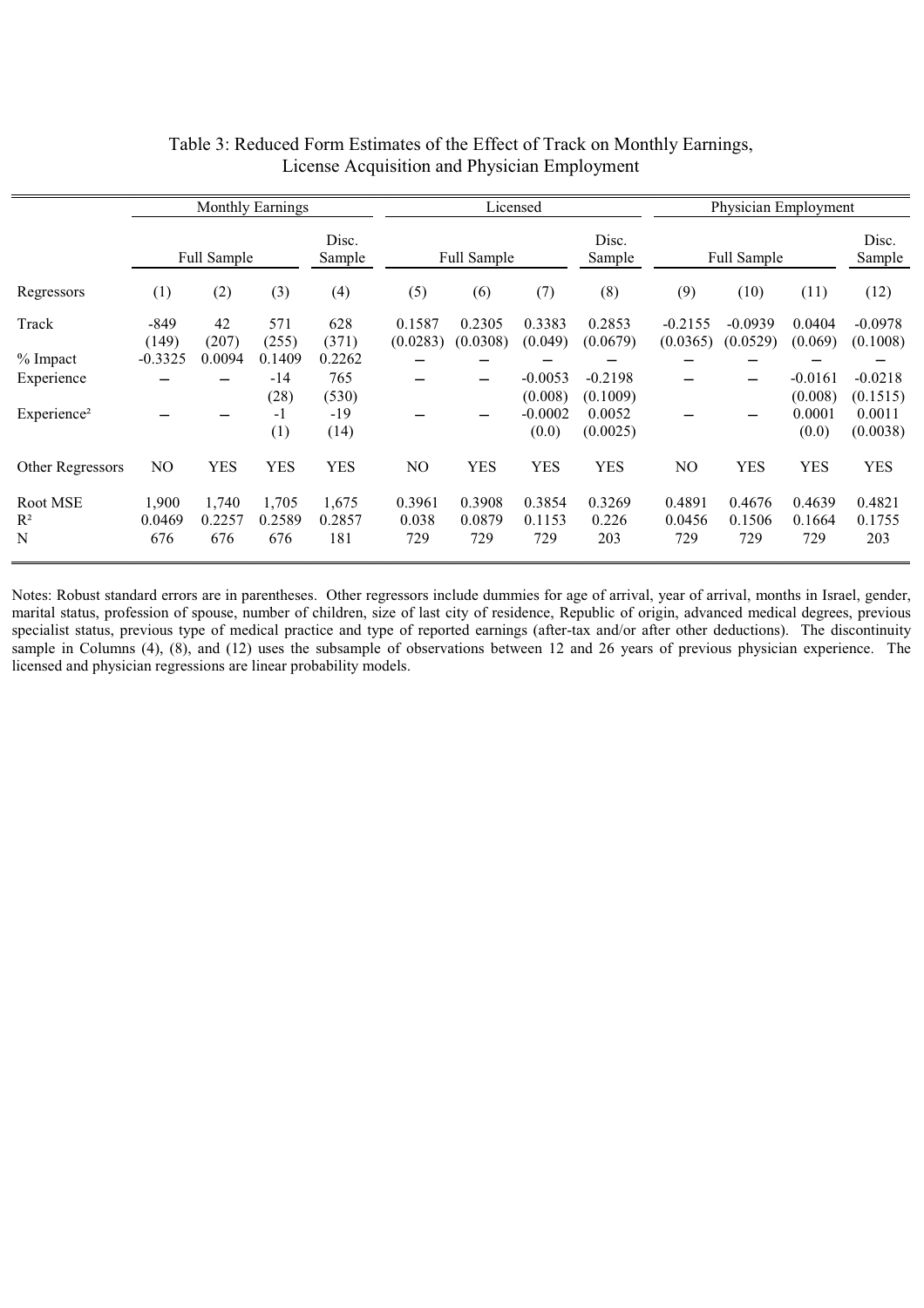|                                 | <b>Monthly Earnings</b> |                        |                        | Licensed               |                        |                         |                               | Physician Employment           |                         |                         |                            |                                |
|---------------------------------|-------------------------|------------------------|------------------------|------------------------|------------------------|-------------------------|-------------------------------|--------------------------------|-------------------------|-------------------------|----------------------------|--------------------------------|
|                                 |                         | Full Sample            |                        | Disc.<br>Sample        | Full Sample            |                         |                               | Disc.<br>Sample                | Full Sample             |                         |                            | Disc.<br>Sample                |
| Regressors                      | (1)                     | (2)                    | (3)                    | (4)                    | (5)                    | (6)                     | (7)                           | (8)                            | (9)                     | (10)                    | (11)                       | (12)                           |
| Track                           | $-849$<br>(149)         | 42<br>(207)            | 571<br>(255)           | 628<br>(371)           | 0.1587<br>(0.0283)     | 0.2305<br>(0.0308)      | 0.3383<br>(0.049)             | 0.2853<br>(0.0679)             | $-0.2155$<br>(0.0365)   | $-0.0939$<br>(0.0529)   | 0.0404<br>(0.069)          | $-0.0978$<br>(0.1008)          |
| $%$ Impact                      | $-0.3325$               | 0.0094                 | 0.1409                 | 0.2262                 |                        |                         |                               |                                |                         |                         |                            |                                |
| Experience                      |                         |                        | $-14$                  | 765                    |                        |                         | $-0.0053$                     | $-0.2198$                      |                         |                         | $-0.0161$                  | $-0.0218$                      |
| Experience <sup>2</sup>         |                         |                        | (28)<br>$-1$<br>(1)    | (530)<br>$-19$<br>(14) |                        |                         | (0.008)<br>$-0.0002$<br>(0.0) | (0.1009)<br>0.0052<br>(0.0025) |                         |                         | (0.008)<br>0.0001<br>(0.0) | (0.1515)<br>0.0011<br>(0.0038) |
| Other Regressors                | NO.                     | <b>YES</b>             | <b>YES</b>             | YES                    | NO.                    | YES                     | <b>YES</b>                    | <b>YES</b>                     | N <sub>O</sub>          | <b>YES</b>              | <b>YES</b>                 | <b>YES</b>                     |
| Root MSE<br>$\mathbb{R}^2$<br>N | 1,900<br>0.0469<br>676  | 1,740<br>0.2257<br>676 | 1.705<br>0.2589<br>676 | 1,675<br>0.2857<br>181 | 0.3961<br>0.038<br>729 | 0.3908<br>0.0879<br>729 | 0.3854<br>0.1153<br>729       | 0.3269<br>0.226<br>203         | 0.4891<br>0.0456<br>729 | 0.4676<br>0.1506<br>729 | 0.4639<br>0.1664<br>729    | 0.4821<br>0.1755<br>203        |

#### Table 3: Reduced Form Estimates of the Effect of Track on Monthly Earnings, License Acquisition and Physician Employment

Notes: Robust standard errors are in parentheses. Other regressors include dummies for age of arrival, year of arrival, months in Israel, gender, marital status, profession of spouse, number of children, size of last city of residence, Republic of origin, advanced medical degrees, previous specialist status, previous type of medical practice and type of reported earnings (after-tax and/or after other deductions). The discontinuity sample in Columns (4), (8), and (12) uses the subsample of observations between 12 and 26 years of previous physician experience. The licensed and physician regressions are linear probability models.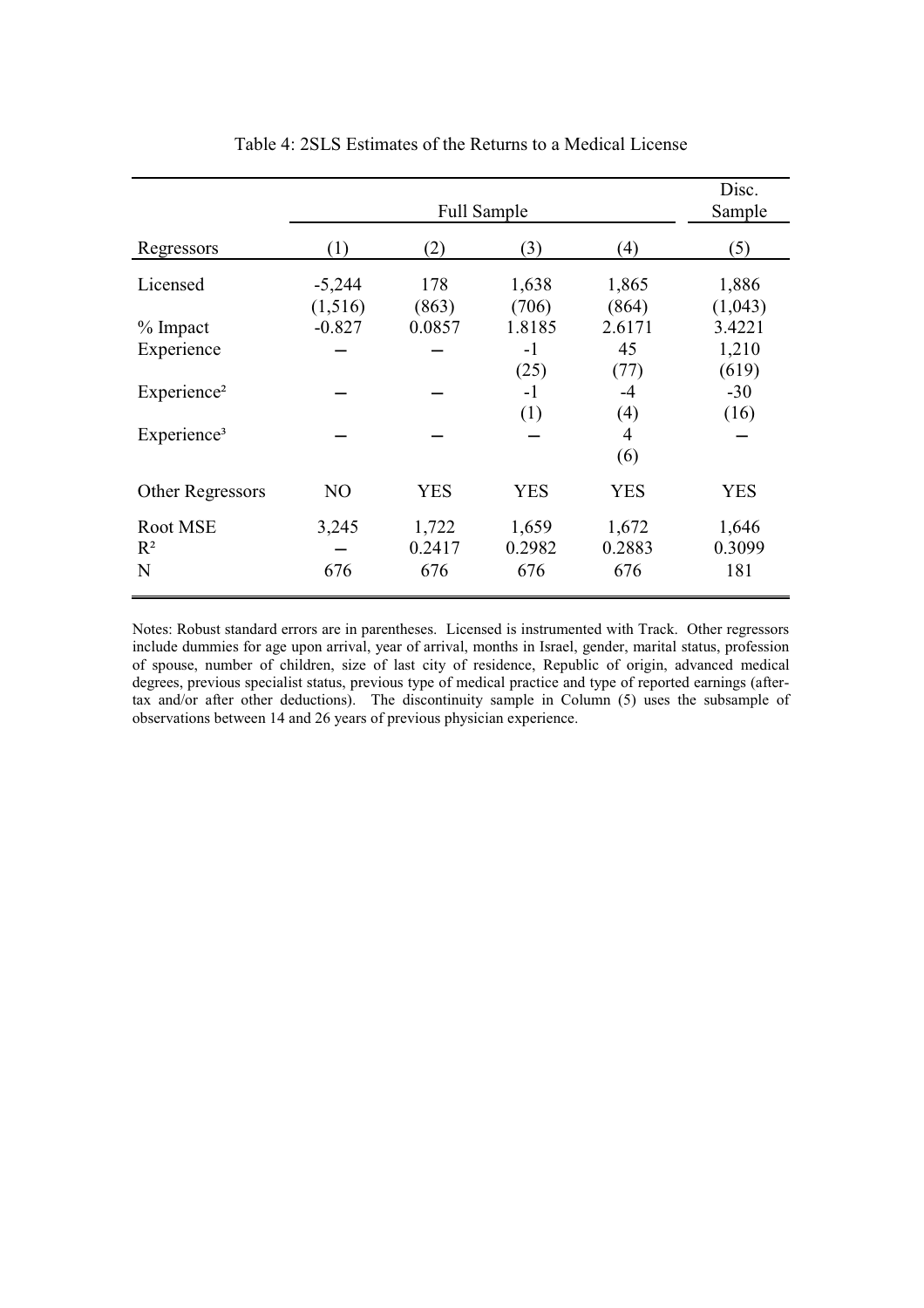|                         |                     | Disc.<br>Sample |                |                |                  |
|-------------------------|---------------------|-----------------|----------------|----------------|------------------|
| Regressors              | (1)                 | (2)             | (3)            | (4)            | (5)              |
| Licensed                | $-5,244$<br>(1,516) | 178<br>(863)    | 1,638<br>(706) | 1,865<br>(864) | 1,886<br>(1,043) |
| $%$ Impact              | $-0.827$            | 0.0857          | 1.8185         | 2.6171         | 3.4221           |
| Experience              |                     |                 | $-1$           | 45             | 1,210            |
|                         |                     |                 | (25)           | (77)           | (619)            |
| Experience <sup>2</sup> |                     |                 | $-1$           | $-4$           | $-30$            |
| Experience <sup>3</sup> |                     |                 | (1)            | (4)<br>4       | (16)             |
|                         |                     |                 |                | (6)            |                  |
| Other Regressors        | NO                  | <b>YES</b>      | <b>YES</b>     | <b>YES</b>     | <b>YES</b>       |
| Root MSE                | 3,245               | 1,722           | 1,659          | 1,672          | 1,646            |
| $R^2$                   |                     | 0.2417          | 0.2982         | 0.2883         | 0.3099           |
| N                       | 676                 | 676             | 676            | 676            | 181              |

Table 4: 2SLS Estimates of the Returns to a Medical License

Notes: Robust standard errors are in parentheses. Licensed is instrumented with Track. Other regressors include dummies for age upon arrival, year of arrival, months in Israel, gender, marital status, profession of spouse, number of children, size of last city of residence, Republic of origin, advanced medical degrees, previous specialist status, previous type of medical practice and type of reported earnings (aftertax and/or after other deductions). The discontinuity sample in Column (5) uses the subsample of observations between 14 and 26 years of previous physician experience.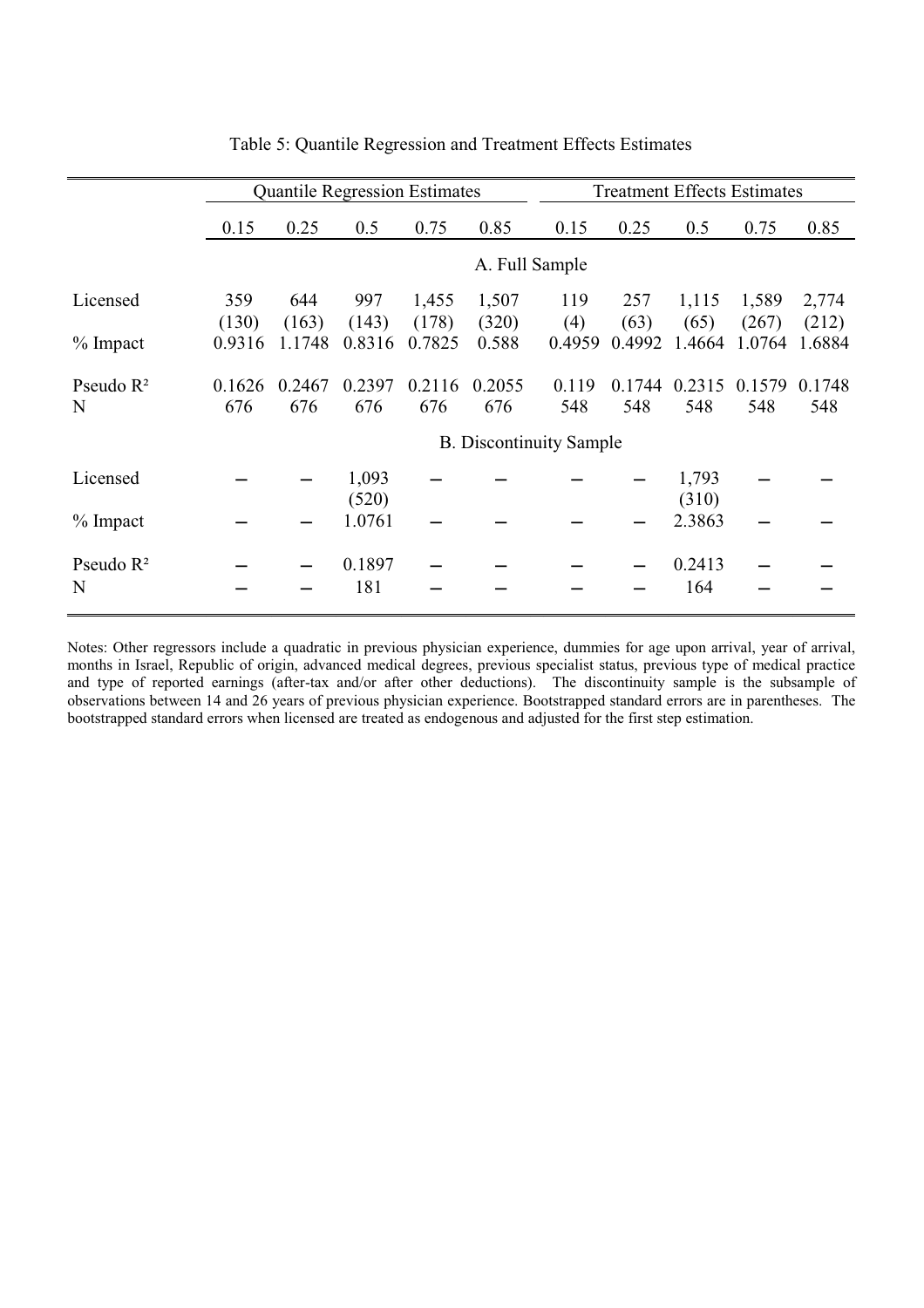|                       | <b>Quantile Regression Estimates</b> |                                |                 |                 |                | <b>Treatment Effects Estimates</b> |                |                |                 |                 |  |
|-----------------------|--------------------------------------|--------------------------------|-----------------|-----------------|----------------|------------------------------------|----------------|----------------|-----------------|-----------------|--|
|                       | 0.15                                 | 0.25                           | 0.5             | 0.75            | 0.85           | 0.15                               | 0.25           | 0.5            | 0.75            | 0.85            |  |
|                       | A. Full Sample                       |                                |                 |                 |                |                                    |                |                |                 |                 |  |
| Licensed              | 359                                  | 644                            | 997             | 1,455           | 1,507          | 119                                | 257            | 1,115          | 1,589           | 2,774           |  |
| $%$ Impact            | (130)<br>0.9316                      | (163)<br>1.1748                | (143)<br>0.8316 | (178)<br>0.7825 | (320)<br>0.588 | (4)<br>0.4959                      | (63)<br>0.4992 | (65)<br>1.4664 | (267)<br>1.0764 | (212)<br>1.6884 |  |
|                       |                                      |                                |                 |                 |                |                                    |                |                |                 |                 |  |
| Pseudo $\mathbb{R}^2$ | 0.1626                               | 0.2467                         | 0.2397          | 0.2116          | 0.2055         | 0.119                              | 0.1744         | 0.2315         | 0.1579          | 0.1748          |  |
| N                     | 676                                  | 676                            | 676             | 676             | 676            | 548                                | 548            | 548            | 548             | 548             |  |
|                       |                                      | <b>B.</b> Discontinuity Sample |                 |                 |                |                                    |                |                |                 |                 |  |
| Licensed              |                                      |                                | 1,093           |                 |                |                                    |                | 1,793          |                 |                 |  |
|                       |                                      |                                | (520)           |                 |                |                                    |                | (310)          |                 |                 |  |
| $%$ Impact            |                                      |                                | 1.0761          |                 |                |                                    |                | 2.3863         |                 |                 |  |
| Pseudo $R^2$          |                                      |                                | 0.1897          |                 |                |                                    |                | 0.2413         |                 |                 |  |
| N                     |                                      |                                | 181             |                 |                |                                    |                | 164            |                 |                 |  |

Table 5: Quantile Regression and Treatment Effects Estimates

Notes: Other regressors include a quadratic in previous physician experience, dummies for age upon arrival, year of arrival, months in Israel, Republic of origin, advanced medical degrees, previous specialist status, previous type of medical practice and type of reported earnings (after-tax and/or after other deductions). The discontinuity sample is the subsample of observations between 14 and 26 years of previous physician experience. Bootstrapped standard errors are in parentheses. The bootstrapped standard errors when licensed are treated as endogenous and adjusted for the first step estimation.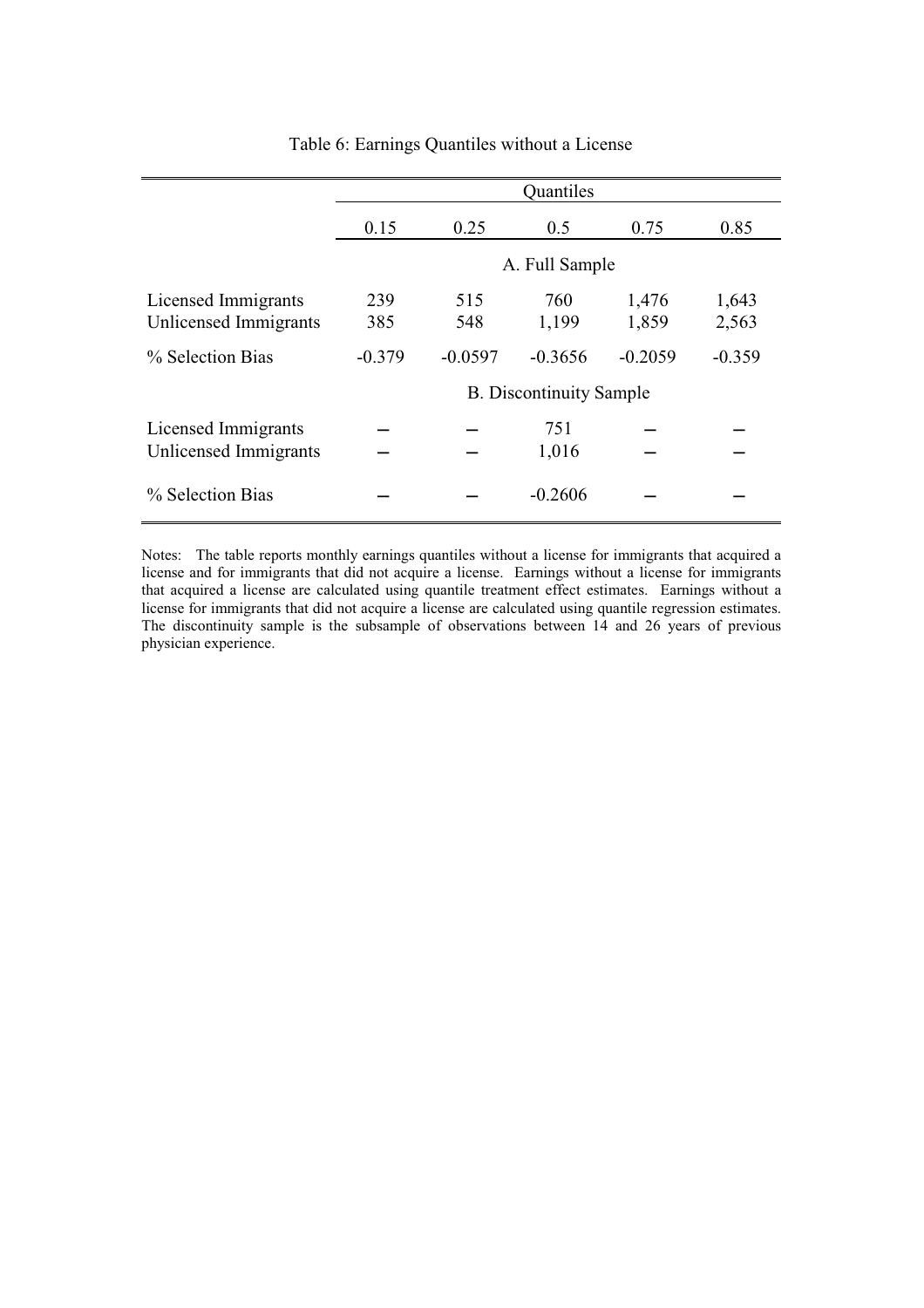|                                              | Quantiles  |                |                                |                |                |  |  |  |  |  |
|----------------------------------------------|------------|----------------|--------------------------------|----------------|----------------|--|--|--|--|--|
|                                              | 0.15       | 0.25           | 0.5                            | 0.75           | 0.85           |  |  |  |  |  |
|                                              |            | A. Full Sample |                                |                |                |  |  |  |  |  |
| Licensed Immigrants<br>Unlicensed Immigrants | 239<br>385 | 515<br>548     | 760<br>1,199                   | 1,476<br>1,859 | 1,643<br>2,563 |  |  |  |  |  |
| % Selection Bias                             | $-0.379$   | $-0.0597$      | $-0.3656$                      | $-0.2059$      | $-0.359$       |  |  |  |  |  |
|                                              |            |                | <b>B.</b> Discontinuity Sample |                |                |  |  |  |  |  |
| Licensed Immigrants<br>Unlicensed Immigrants |            |                | 751<br>1,016                   |                |                |  |  |  |  |  |
| % Selection Bias                             |            |                | $-0.2606$                      |                |                |  |  |  |  |  |

Table 6: Earnings Quantiles without a License

Notes: The table reports monthly earnings quantiles without a license for immigrants that acquired a license and for immigrants that did not acquire a license. Earnings without a license for immigrants that acquired a license are calculated using quantile treatment effect estimates. Earnings without a license for immigrants that did not acquire a license are calculated using quantile regression estimates. The discontinuity sample is the subsample of observations between 14 and 26 years of previous physician experience.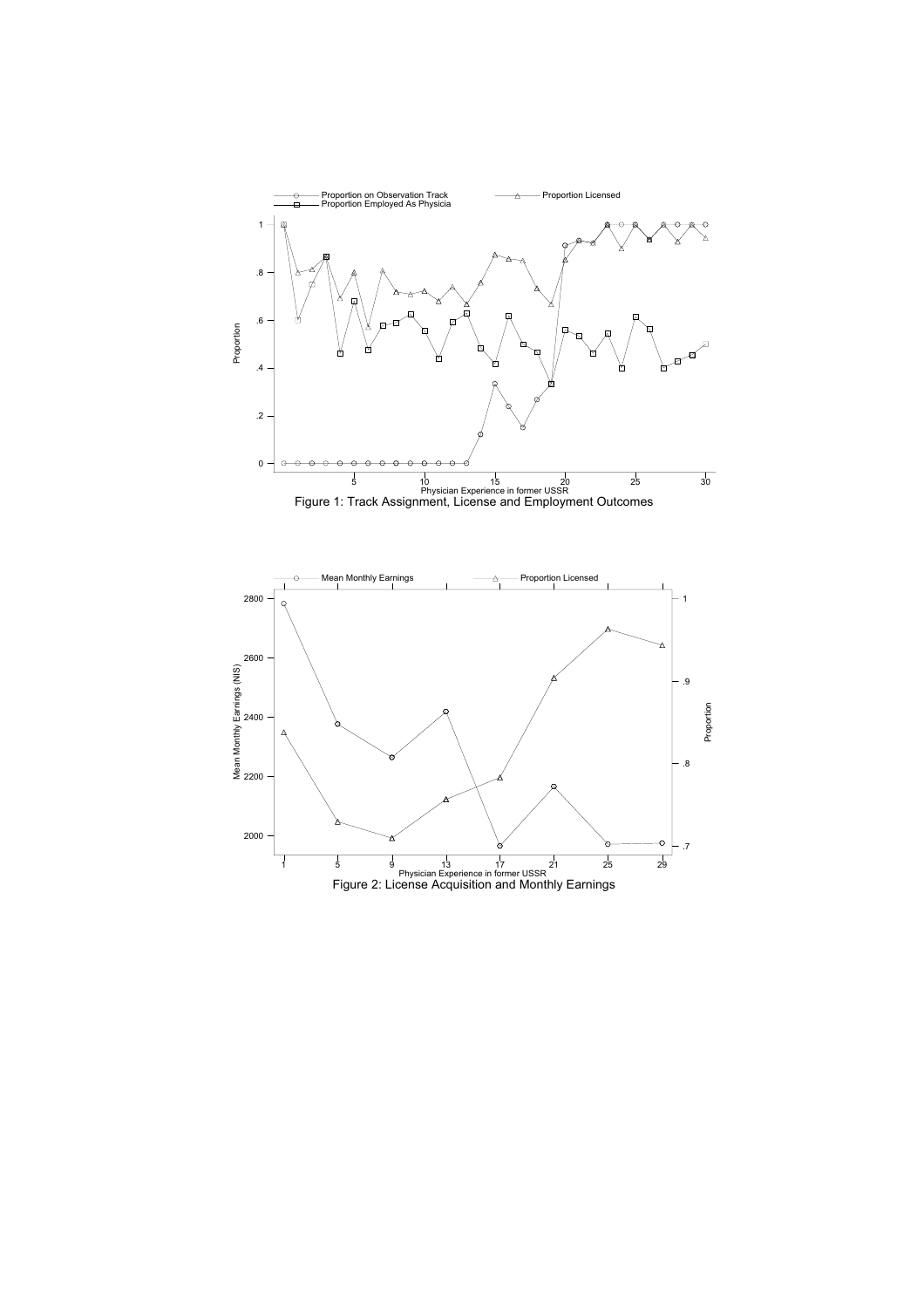

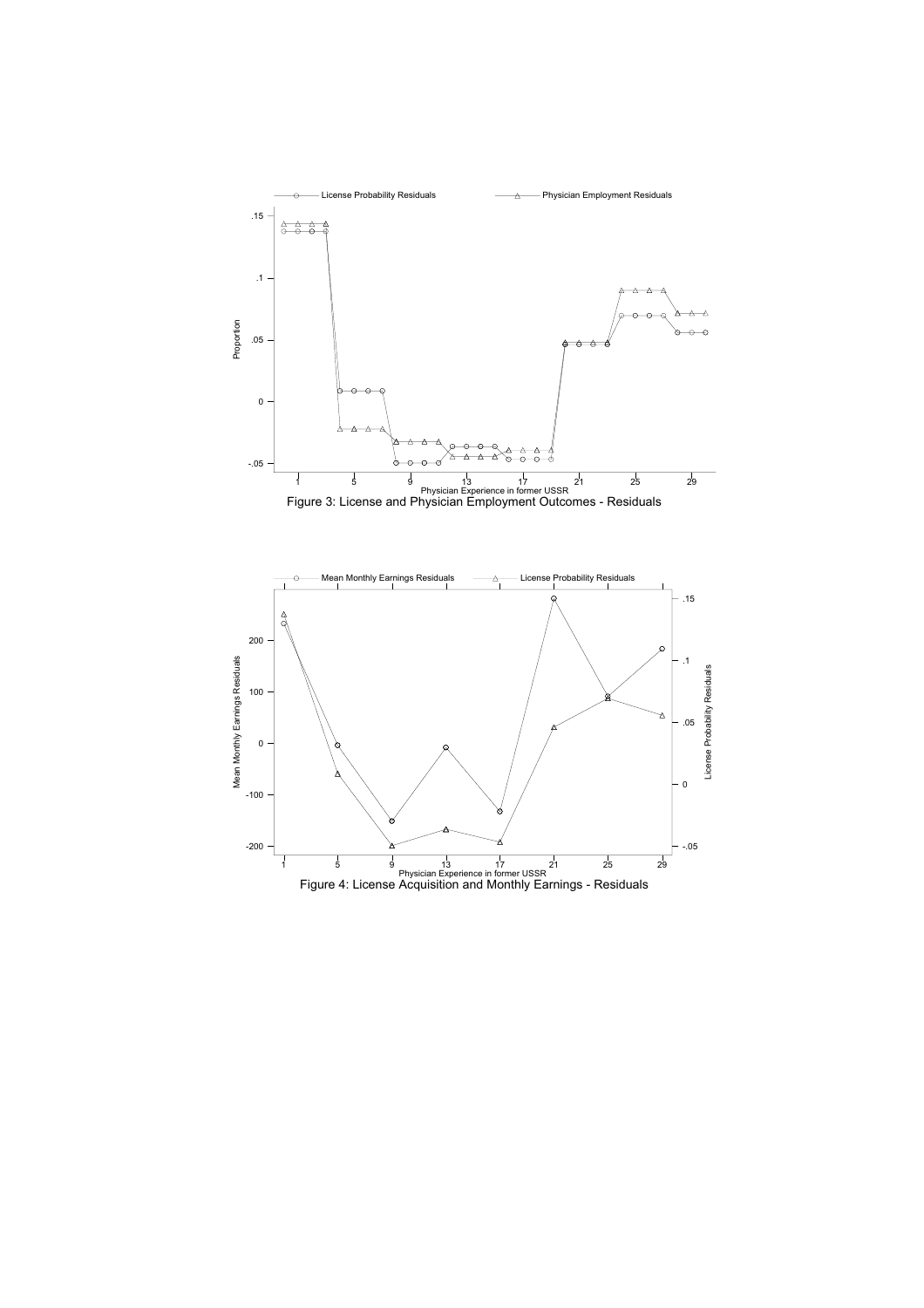